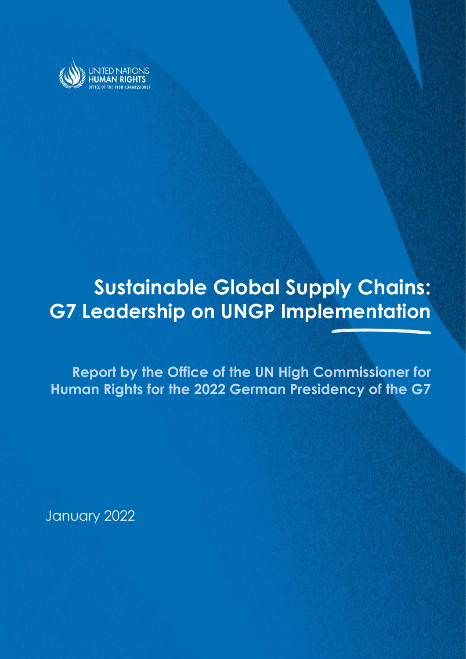

# Sustainable Global Supply Chains: G7 Leadership on UNGP Implementation

Sustainable Global Supply Chains: G7 Leadership on UNGP Implementation

Report by the Office of the UN High Commissioner for Human Rights for the 2022 German Presidency of the G7

January 2022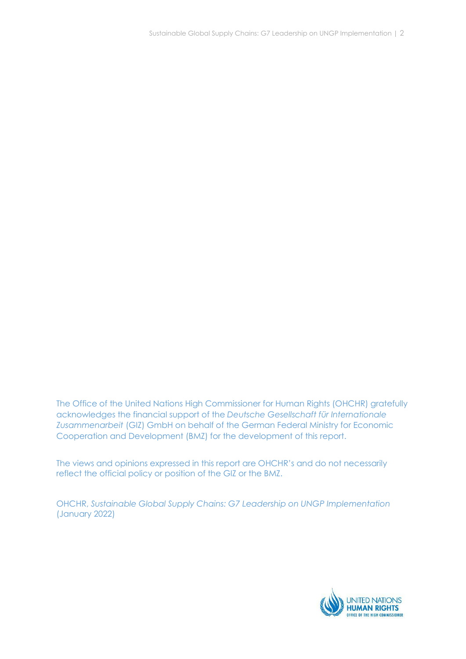The Office of the United Nations High Commissioner for Human Rights (OHCHR) gratefully acknowledges the financial support of the Deutsche Gesellschaft für Internationale Zusammenarbeit (GIZ) GmbH on behalf of the German Federal Ministry for Economic Cooperation and Development (BMZ) for the development of this report.

The views and opinions expressed in this report are OHCHR's and do not necessarily reflect the official policy or position of the GIZ or the BMZ.

OHCHR, Sustainable Global Supply Chains: G7 Leadership on UNGP Implementation (January 2022)

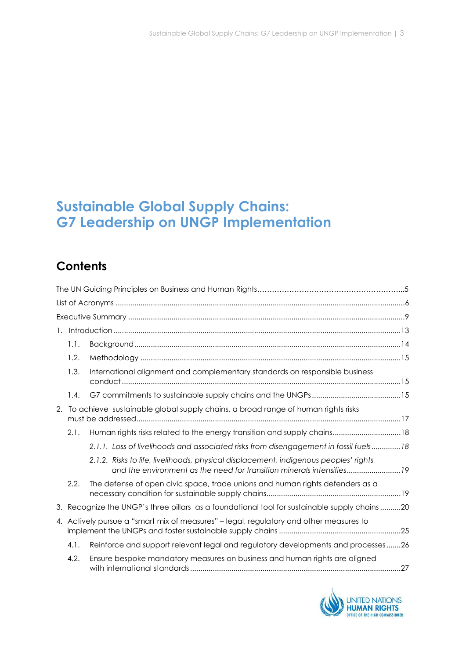# Sustainable Global Supply Chains: G7 Leadership on UNGP Implementation

# **Contents**

|    | 1.1.                                                                                   |                                                                                                                                                             |  |  |
|----|----------------------------------------------------------------------------------------|-------------------------------------------------------------------------------------------------------------------------------------------------------------|--|--|
|    | 1.2.                                                                                   |                                                                                                                                                             |  |  |
|    | 1.3.                                                                                   | International alignment and complementary standards on responsible business                                                                                 |  |  |
|    | 1.4.                                                                                   |                                                                                                                                                             |  |  |
| 2. | To achieve sustainable global supply chains, a broad range of human rights risks       |                                                                                                                                                             |  |  |
|    | 2.1.                                                                                   | Human rights risks related to the energy transition and supply chains 18                                                                                    |  |  |
|    |                                                                                        | 2.1.1. Loss of livelihoods and associated risks from disengagement in fossil fuels18                                                                        |  |  |
|    |                                                                                        | 2.1.2. Risks to life, livelihoods, physical displacement, indigenous peoples' rights<br>and the environment as the need for transition minerals intensifies |  |  |
|    | 2.2.                                                                                   | The defense of open civic space, trade unions and human rights defenders as a                                                                               |  |  |
|    |                                                                                        | 3. Recognize the UNGP's three pillars as a foundational tool for sustainable supply chains 20                                                               |  |  |
|    | 4. Actively pursue a "smart mix of measures" - legal, regulatory and other measures to |                                                                                                                                                             |  |  |
|    | 4.1.                                                                                   | Reinforce and support relevant legal and regulatory developments and processes26                                                                            |  |  |
|    | 4.2.                                                                                   | Ensure bespoke mandatory measures on business and human rights are aligned                                                                                  |  |  |

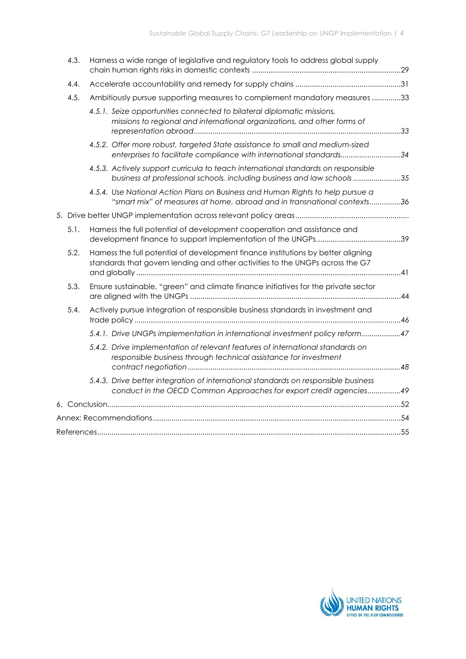|  | 4.3. | Harness a wide range of legislative and regulatory tools to address global supply                                                                                  |  |  |  |  |
|--|------|--------------------------------------------------------------------------------------------------------------------------------------------------------------------|--|--|--|--|
|  | 4.4. |                                                                                                                                                                    |  |  |  |  |
|  | 4.5. | Ambitiously pursue supporting measures to complement mandatory measures 33                                                                                         |  |  |  |  |
|  |      | 4.5.1. Seize opportunities connected to bilateral diplomatic missions,<br>missions to regional and international organizations, and other forms of                 |  |  |  |  |
|  |      | 4.5.2. Offer more robust, targeted State assistance to small and medium-sized<br>enterprises to facilitate compliance with international standards34               |  |  |  |  |
|  |      | 4.5.3. Actively support curricula to teach international standards on responsible<br>business at professional schools, including business and law schools35        |  |  |  |  |
|  |      | 4.5.4. Use National Action Plans on Business and Human Rights to help pursue a<br>"smart mix" of measures at home, abroad and in transnational contexts36          |  |  |  |  |
|  |      |                                                                                                                                                                    |  |  |  |  |
|  | 5.1. | Harness the full potential of development cooperation and assistance and                                                                                           |  |  |  |  |
|  | 5.2. | Harness the full potential of development finance institutions by better aligning<br>standards that govern lending and other activities to the UNGPs across the G7 |  |  |  |  |
|  | 5.3. | Ensure sustainable, "green" and climate finance initiatives for the private sector                                                                                 |  |  |  |  |
|  | 5.4. | Actively pursue integration of responsible business standards in investment and                                                                                    |  |  |  |  |
|  |      | 5.4.1. Drive UNGPs implementation in international investment policy reform47                                                                                      |  |  |  |  |
|  |      | 5.4.2. Drive implementation of relevant features of international standards on<br>responsible business through technical assistance for investment                 |  |  |  |  |
|  |      | 5.4.3. Drive better integration of international standards on responsible business<br>conduct in the OECD Common Approaches for export credit agencies49           |  |  |  |  |
|  |      |                                                                                                                                                                    |  |  |  |  |
|  |      |                                                                                                                                                                    |  |  |  |  |
|  |      |                                                                                                                                                                    |  |  |  |  |

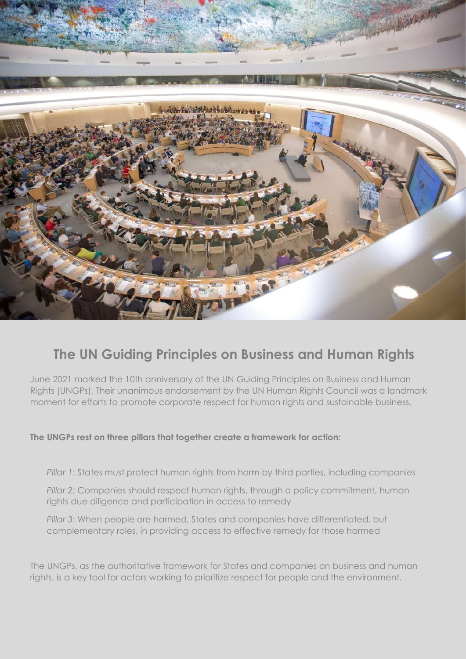

# The UN Guiding Principles on Business and Human Rights

June 2021 marked the 10th anniversary of the UN Guiding Principles on Business and Human Rights (UNGPs). Their unanimous endorsement by the UN Human Rights Council was a landmark moment for efforts to promote corporate respect for human rights and sustainable business.

# The UNGPs rest on three pillars that together create a framework for action:

Pillar 1: States must protect human rights from harm by third parties, including companies

Pillar 2: Companies should respect human rights, through a policy commitment, human rights due diligence and participation in access to remedy

Pillar 3: When people are harmed, States and companies have differentiated, but complementary roles, in providing access to effective remedy for those harmed

The UNGPs, as the authoritative framework for States and companies on business and human rights, is a key tool for actors working to prioritize respect for people and the environment.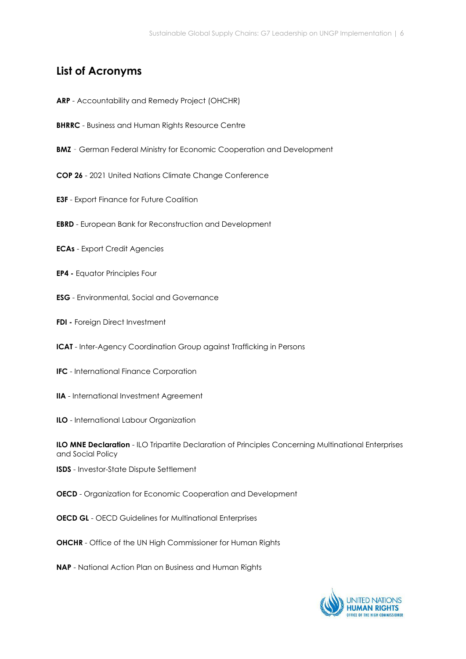# List of Acronyms

- ARP Accountability and Remedy Project (OHCHR)
- **BHRRC** Business and Human Rights Resource Centre
- **BMZ** German Federal Ministry for Economic Cooperation and Development
- COP 26 2021 United Nations Climate Change Conference
- E3F Export Finance for Future Coalition
- EBRD European Bank for Reconstruction and Development
- ECAs Export Credit Agencies
- EP4 Equator Principles Four
- ESG Environmental, Social and Governance
- FDI Foreign Direct Investment
- ICAT Inter-Agency Coordination Group against Trafficking in Persons
- IFC International Finance Corporation
- IIA International Investment Agreement
- ILO International Labour Organization

**ILO MNE Declaration** - ILO Tripartite Declaration of Principles Concerning Multinational Enterprises and Social Policy

- ISDS Investor-State Dispute Settlement
- OECD Organization for Economic Cooperation and Development
- **OECD GL** OECD Guidelines for Multinational Enterprises
- OHCHR Office of the UN High Commissioner for Human Rights
- NAP National Action Plan on Business and Human Rights

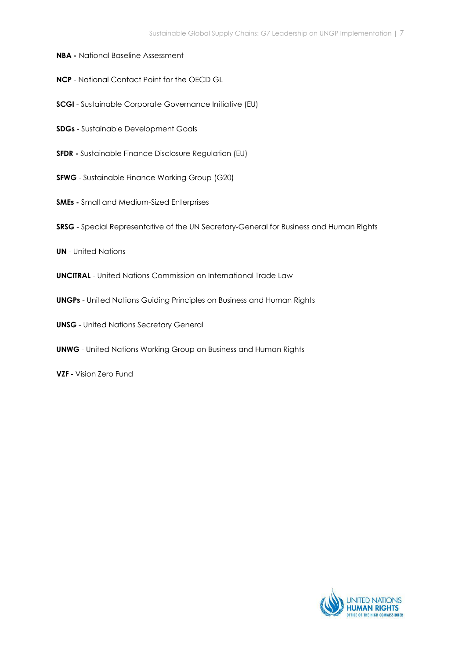- NBA National Baseline Assessment
- NCP National Contact Point for the OECD GL
- SCGI Sustainable Corporate Governance Initiative (EU)
- SDGs Sustainable Development Goals
- SFDR Sustainable Finance Disclosure Regulation (EU)
- SFWG Sustainable Finance Working Group (G20)
- SMEs Small and Medium-Sized Enterprises
- SRSG Special Representative of the UN Secretary-General for Business and Human Rights
- UN United Nations
- UNCITRAL United Nations Commission on International Trade Law
- UNGPs United Nations Guiding Principles on Business and Human Rights
- UNSG United Nations Secretary General
- UNWG United Nations Working Group on Business and Human Rights
- VZF Vision Zero Fund

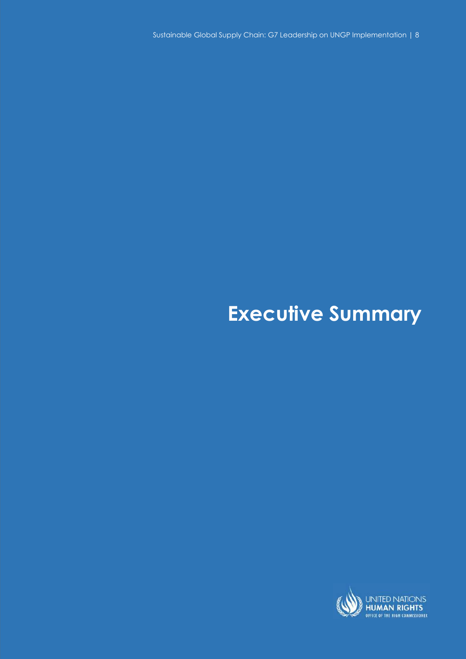Sustainable Global Supply Chain: G7 Leadership on UNGP Implementation | 8

# Executive Summary

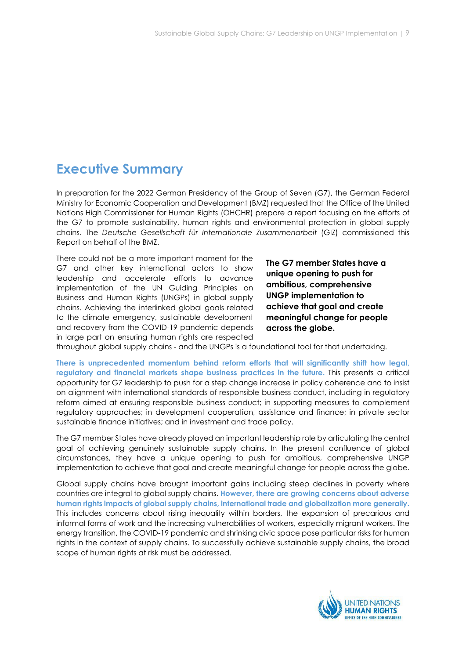# Executive Summary

In preparation for the 2022 German Presidency of the Group of Seven (G7), the German Federal Ministry for Economic Cooperation and Development (BMZ) requested that the Office of the United Nations High Commissioner for Human Rights (OHCHR) prepare a report focusing on the efforts of the G7 to promote sustainability, human rights and environmental protection in global supply chains. The Deutsche Gesellschaft für Internationale Zusammenarbeit (GIZ) commissioned this Report on behalf of the BMZ.

There could not be a more important moment for the G7 and other key international actors to show leadership and accelerate efforts to advance implementation of the UN Guiding Principles on Business and Human Rights (UNGPs) in global supply chains. Achieving the interlinked global goals related to the climate emergency, sustainable development and recovery from the COVID-19 pandemic depends in large part on ensuring human rights are respected

The G7 member States have a unique opening to push for ambitious, comprehensive UNGP implementation to achieve that goal and create meaningful change for people across the globe.

throughout global supply chains - and the UNGPs is a foundational tool for that undertaking.

There is unprecedented momentum behind reform efforts that will significantly shift how legal, regulatory and financial markets shape business practices in the future. This presents a critical opportunity for G7 leadership to push for a step change increase in policy coherence and to insist on alignment with international standards of responsible business conduct, including in regulatory reform aimed at ensuring responsible business conduct; in supporting measures to complement regulatory approaches; in development cooperation, assistance and finance; in private sector sustainable finance initiatives; and in investment and trade policy.

The G7 member States have already played an important leadership role by articulating the central goal of achieving genuinely sustainable supply chains. In the present confluence of global circumstances, they have a unique opening to push for ambitious, comprehensive UNGP implementation to achieve that goal and create meaningful change for people across the globe.

Global supply chains have brought important gains including steep declines in poverty where countries are integral to global supply chains. However, there are growing concerns about adverse human rights impacts of global supply chains, international trade and globalization more generally. This includes concerns about rising inequality within borders, the expansion of precarious and informal forms of work and the increasing vulnerabilities of workers, especially migrant workers. The energy transition, the COVID-19 pandemic and shrinking civic space pose particular risks for human rights in the context of supply chains. To successfully achieve sustainable supply chains, the broad scope of human rights at risk must be addressed.

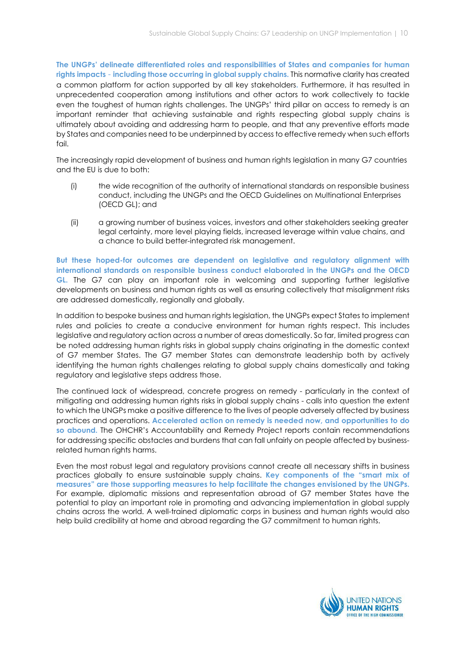The UNGPs' delineate differentiated roles and responsibilities of States and companies for human rights impacts – including those occurring in global supply chains. This normative clarity has created a common platform for action supported by all key stakeholders. Furthermore, it has resulted in unprecedented cooperation among institutions and other actors to work collectively to tackle even the toughest of human rights challenges. The UNGPs' third pillar on access to remedy is an important reminder that achieving sustainable and rights respecting global supply chains is ultimately about avoiding and addressing harm to people, and that any preventive efforts made by States and companies need to be underpinned by access to effective remedy when such efforts  $f$ ail

The increasingly rapid development of business and human rights legislation in many G7 countries and the EU is due to both:

- (i) the wide recognition of the authority of international standards on responsible business conduct, including the UNGPs and the OECD Guidelines on Multinational Enterprises (OECD GL); and
- (ii) a growing number of business voices, investors and other stakeholders seeking greater legal certainty, more level playing fields, increased leverage within value chains, and a chance to build better-integrated risk management.

But these hoped-for outcomes are dependent on legislative and regulatory alignment with international standards on responsible business conduct elaborated in the UNGPs and the OECD GL. The G7 can play an important role in welcoming and supporting further legislative developments on business and human rights as well as ensuring collectively that misalignment risks are addressed domestically, regionally and globally.

In addition to bespoke business and human rights legislation, the UNGPs expect States to implement rules and policies to create a conducive environment for human rights respect. This includes legislative and regulatory action across a number of areas domestically. So far, limited progress can be noted addressing human rights risks in global supply chains originating in the domestic context of G7 member States. The G7 member States can demonstrate leadership both by actively identifying the human rights challenges relating to global supply chains domestically and taking regulatory and legislative steps address those.

The continued lack of widespread, concrete progress on remedy - particularly in the context of mitigating and addressing human rights risks in global supply chains - calls into question the extent to which the UNGPs make a positive difference to the lives of people adversely affected by business practices and operations. Accelerated action on remedy is needed now, and opportunities to do so abound. The OHCHR's Accountability and Remedy Project reports contain recommendations for addressing specific obstacles and burdens that can fall unfairly on people affected by businessrelated human rights harms.

Even the most robust legal and regulatory provisions cannot create all necessary shifts in business practices globally to ensure sustainable supply chains. Key components of the "smart mix of measures" are those supporting measures to help facilitate the changes envisioned by the UNGPs. For example, diplomatic missions and representation abroad of G7 member States have the potential to play an important role in promoting and advancing implementation in global supply chains across the world. A well-trained diplomatic corps in business and human rights would also help build credibility at home and abroad regarding the G7 commitment to human rights.

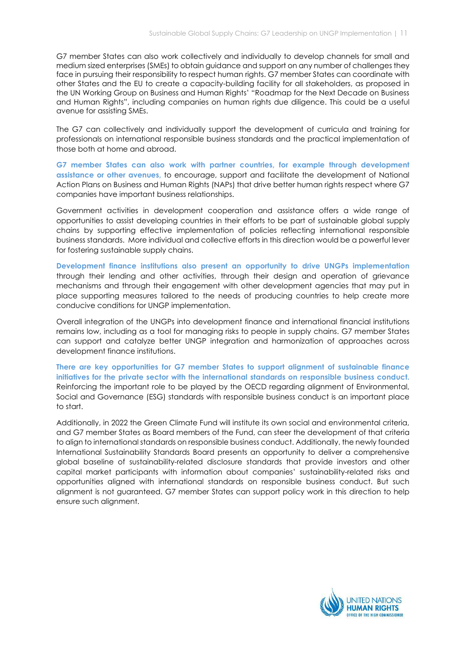G7 member States can also work collectively and individually to develop channels for small and medium sized enterprises (SMEs) to obtain guidance and support on any number of challenges they face in pursuing their responsibility to respect human rights. G7 member States can coordinate with other States and the EU to create a capacity-building facility for all stakeholders, as proposed in the UN Working Group on Business and Human Rights' "Roadmap for the Next Decade on Business and Human Rights", including companies on human rights due diligence. This could be a useful avenue for assisting SMEs.

The G7 can collectively and individually support the development of curricula and training for professionals on international responsible business standards and the practical implementation of those both at home and abroad.

G7 member States can also work with partner countries, for example through development assistance or other avenues, to encourage, support and facilitate the development of National Action Plans on Business and Human Rights (NAPs) that drive better human rights respect where G7 companies have important business relationships.

Government activities in development cooperation and assistance offers a wide range of opportunities to assist developing countries in their efforts to be part of sustainable global supply chains by supporting effective implementation of policies reflecting international responsible business standards. More individual and collective efforts in this direction would be a powerful lever for fostering sustainable supply chains.

Development finance institutions also present an opportunity to drive UNGPs implementation through their lending and other activities, through their design and operation of grievance mechanisms and through their engagement with other development agencies that may put in place supporting measures tailored to the needs of producing countries to help create more conducive conditions for UNGP implementation.

Overall integration of the UNGPs into development finance and international financial institutions remains low, including as a tool for managing risks to people in supply chains. G7 member States can support and catalyze better UNGP integration and harmonization of approaches across development finance institutions.

There are key opportunities for G7 member States to support alignment of sustainable finance initiatives for the private sector with the international standards on responsible business conduct. Reinforcing the important role to be played by the OECD regarding alignment of Environmental, Social and Governance (ESG) standards with responsible business conduct is an important place to start.

Additionally, in 2022 the Green Climate Fund will institute its own social and environmental criteria, and G7 member States as Board members of the Fund, can steer the development of that criteria to align to international standards on responsible business conduct. Additionally, the newly founded International Sustainability Standards Board presents an opportunity to deliver a comprehensive global baseline of sustainability-related disclosure standards that provide investors and other capital market participants with information about companies' sustainability-related risks and opportunities aligned with international standards on responsible business conduct. But such alignment is not guaranteed. G7 member States can support policy work in this direction to help ensure such alignment.

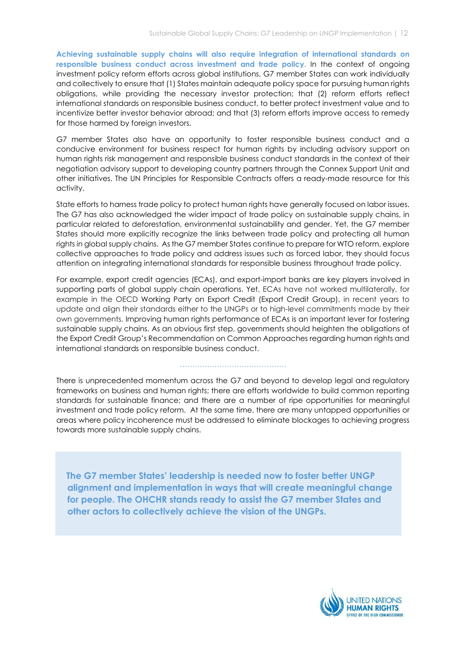Achieving sustainable supply chains will also require integration of international standards on responsible business conduct across investment and trade policy. In the context of ongoing investment policy reform efforts across global institutions, G7 member States can work individually and collectively to ensure that (1) States maintain adequate policy space for pursuing human rights obligations, while providing the necessary investor protection; that (2) reform efforts reflect international standards on responsible business conduct, to better protect investment value and to incentivize better investor behavior abroad; and that (3) reform efforts improve access to remedy for those harmed by foreign investors.

G7 member States also have an opportunity to foster responsible business conduct and a conducive environment for business respect for human rights by including advisory support on human rights risk management and responsible business conduct standards in the context of their negotiation advisory support to developing country partners through the Connex Support Unit and other initiatives. The UN Principles for Responsible Contracts offers a ready-made resource for this activity.

State efforts to harness trade policy to protect human rights have generally focused on labor issues. The G7 has also acknowledged the wider impact of trade policy on sustainable supply chains, in particular related to deforestation, environmental sustainability and gender. Yet, the G7 member States should more explicitly recognize the links between trade policy and protecting all human rights in global supply chains. As the G7 member States continue to prepare for WTO reform, explore collective approaches to trade policy and address issues such as forced labor, they should focus attention on integrating international standards for responsible business throughout trade policy.

For example, export credit agencies (ECAs), and export-import banks are key players involved in supporting parts of global supply chain operations. Yet, ECAs have not worked multilaterally, for example in the OECD Working Party on Export Credit (Export Credit Group), in recent years to update and align their standards either to the UNGPs or to high-level commitments made by their own governments. Improving human rights performance of ECAs is an important lever for fostering sustainable supply chains. As an obvious first step, governments should heighten the obligations of the Export Credit Group's Recommendation on Common Approaches regarding human rights and international standards on responsible business conduct.

There is unprecedented momentum across the G7 and beyond to develop legal and regulatory frameworks on business and human rights; there are efforts worldwide to build common reporting standards for sustainable finance; and there are a number of ripe opportunities for meaningful investment and trade policy reform. At the same time, there are many untapped opportunities or areas where policy incoherence must be addressed to eliminate blockages to achieving progress towards more sustainable supply chains.

…………………………………….

 The G7 member States' leadership is needed now to foster better UNGP alignment and implementation in ways that will create meaningful change for people. The OHCHR stands ready to assist the G7 member States and other actors to collectively achieve the vision of the UNGPs.

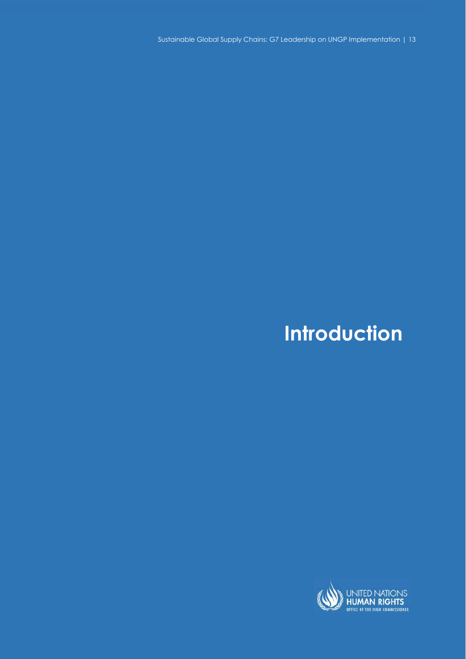Sustainable Global Supply Chains: G7 Leadership on UNGP Implementation | 13

# Introduction

 $S_{\rm eff}$  Sustainable Global Supply Chains: G7 Leadership on UNGP Implementation

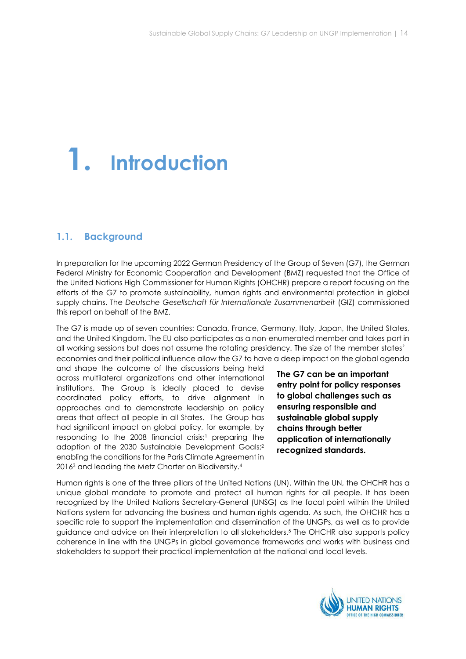# 1. Introduction

# 1.1. Background

In preparation for the upcoming 2022 German Presidency of the Group of Seven (G7), the German Federal Ministry for Economic Cooperation and Development (BMZ) requested that the Office of the United Nations High Commissioner for Human Rights (OHCHR) prepare a report focusing on the efforts of the G7 to promote sustainability, human rights and environmental protection in global supply chains. The Deutsche Gesellschaft für Internationale Zusammenarbeit (GIZ) commissioned this report on behalf of the BMZ.

The G7 is made up of seven countries: Canada, France, Germany, Italy, Japan, the United States, and the United Kingdom. The EU also participates as a non-enumerated member and takes part in all working sessions but does not assume the rotating presidency. The size of the member states' economies and their political influence allow the G7 to have a deep impact on the global agenda

and shape the outcome of the discussions being held across multilateral organizations and other international institutions. The Group is ideally placed to devise coordinated policy efforts, to drive alignment in approaches and to demonstrate leadership on policy areas that affect all people in all States. The Group has had significant impact on global policy, for example, by responding to the 2008 financial crisis;<sup>1</sup> preparing the adoption of the 2030 Sustainable Development Goals;<sup>2</sup> enabling the conditions for the Paris Climate Agreement in 2016<sup>3</sup> and leading the Metz Charter on Biodiversity.<sup>4</sup>

The G7 can be an important entry point for policy responses to global challenges such as ensuring responsible and sustainable global supply chains through better application of internationally recognized standards.

Human rights is one of the three pillars of the United Nations (UN). Within the UN, the OHCHR has a unique global mandate to promote and protect all human rights for all people. It has been recognized by the United Nations Secretary-General (UNSG) as the focal point within the United Nations system for advancing the business and human rights agenda. As such, the OHCHR has a specific role to support the implementation and dissemination of the UNGPs, as well as to provide guidance and advice on their interpretation to all stakeholders.<sup>5</sup> The OHCHR also supports policy coherence in line with the UNGPs in global governance frameworks and works with business and stakeholders to support their practical implementation at the national and local levels.

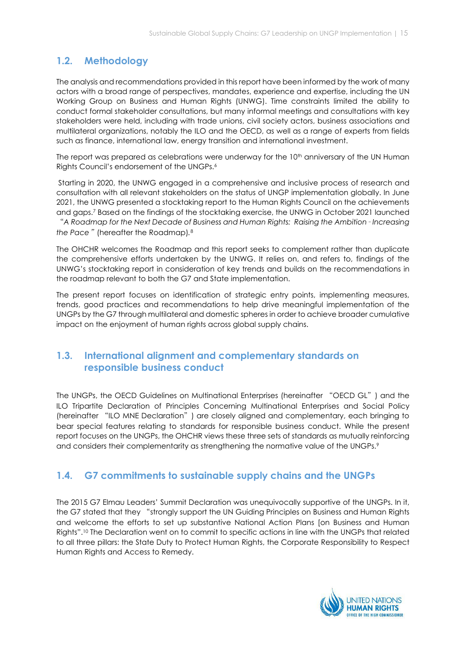# 1.2. Methodology

The analysis and recommendations provided in this report have been informed by the work of many actors with a broad range of perspectives, mandates, experience and expertise, including the UN Working Group on Business and Human Rights (UNWG). Time constraints limited the ability to conduct formal stakeholder consultations, but many informal meetings and consultations with key stakeholders were held, including with trade unions, civil society actors, business associations and multilateral organizations, notably the ILO and the OECD, as well as a range of experts from fields such as finance, international law, energy transition and international investment.

The report was prepared as celebrations were underway for the  $10<sup>th</sup>$  anniversary of the UN Human Rights Council's endorsement of the UNGPs.<sup>6</sup>

 Starting in 2020, the UNWG engaged in a comprehensive and inclusive process of research and consultation with all relevant stakeholders on the status of UNGP implementation globally. In June 2021, the UNWG presented a stocktaking report to the Human Rights Council on the achievements and gaps.<sup>7</sup> Based on the findings of the stocktaking exercise, the UNWG in October 2021 launched "A Roadmap for the Next Decade of Business and Human Rights: Raising the Ambition– Increasing

the Pace" (hereafter the Roadmap). $8$ 

The OHCHR welcomes the Roadmap and this report seeks to complement rather than duplicate the comprehensive efforts undertaken by the UNWG. It relies on, and refers to, findings of the UNWG's stocktaking report in consideration of key trends and builds on the recommendations in the roadmap relevant to both the G7 and State implementation.

The present report focuses on identification of strategic entry points, implementing measures, trends, good practices and recommendations to help drive meaningful implementation of the UNGPs by the G7 through multilateral and domestic spheres in order to achieve broader cumulative impact on the enjoyment of human rights across global supply chains.

# 1.3. International alignment and complementary standards on responsible business conduct

The UNGPs, the OECD Guidelines on Multinational Enterprises (hereinafter "OECD GL") and the ILO Tripartite Declaration of Principles Concerning Multinational Enterprises and Social Policy (hereinafter "ILO MNE Declaration") are closely aligned and complementary, each bringing to bear special features relating to standards for responsible business conduct. While the present report focuses on the UNGPs, the OHCHR views these three sets of standards as mutually reinforcing and considers their complementarity as strengthening the normative value of the UNGPs.<sup>9</sup>

# 1.4. G7 commitments to sustainable supply chains and the UNGPs

The 2015 G7 Elmau Leaders' Summit Declaration was unequivocally supportive of the UNGPs. In it, the G7 stated that they "strongly support the UN Guiding Principles on Business and Human Rights and welcome the efforts to set up substantive National Action Plans [on Business and Human Rights".10 The Declaration went on to commit to specific actions in line with the UNGPs that related to all three pillars: the State Duty to Protect Human Rights, the Corporate Responsibility to Respect Human Rights and Access to Remedy.

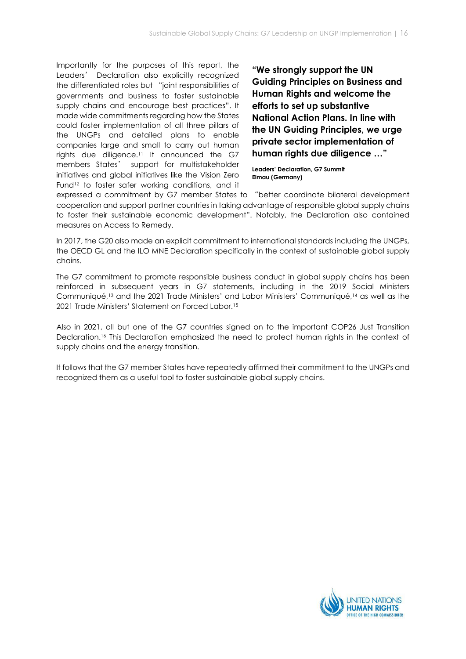Importantly for the purposes of this report, the Leaders' Declaration also explicitly recognized the differentiated roles but "joint responsibilities of governments and business to foster sustainable supply chains and encourage best practices". It made wide commitments regarding how the States could foster implementation of all three pillars of the UNGPs and detailed plans to enable companies large and small to carry out human rights due diligence.<sup>11</sup> It announced the G7 members States' support for multistakeholder initiatives and global initiatives like the Vision Zero Fund<sup>12</sup> to foster safer working conditions, and it

"We strongly support the UN Guiding Principles on Business and Human Rights and welcome the efforts to set up substantive National Action Plans. In line with the UN Guiding Principles, we urge private sector implementation of human rights due diligence …"

Leaders' Declaration, G7 Summit Elmau (Germany)

expressed a commitment by G7 member States to "better coordinate bilateral development cooperation and support partner countries in taking advantage of responsible global supply chains to foster their sustainable economic development". Notably, the Declaration also contained measures on Access to Remedy.

In 2017, the G20 also made an explicit commitment to international standards including the UNGPs, the OECD GL and the ILO MNE Declaration specifically in the context of sustainable global supply chains.

The G7 commitment to promote responsible business conduct in global supply chains has been reinforced in subsequent years in G7 statements, including in the 2019 Social Ministers Communiqué,13 and the 2021 Trade Ministers' and Labor Ministers' Communiqué,14 as well as the 2021 Trade Ministers' Statement on Forced Labor.<sup>15</sup>

Also in 2021, all but one of the G7 countries signed on to the important COP26 Just Transition Declaration.16 This Declaration emphasized the need to protect human rights in the context of supply chains and the energy transition.

It follows that the G7 member States have repeatedly affirmed their commitment to the UNGPs and recognized them as a useful tool to foster sustainable global supply chains.

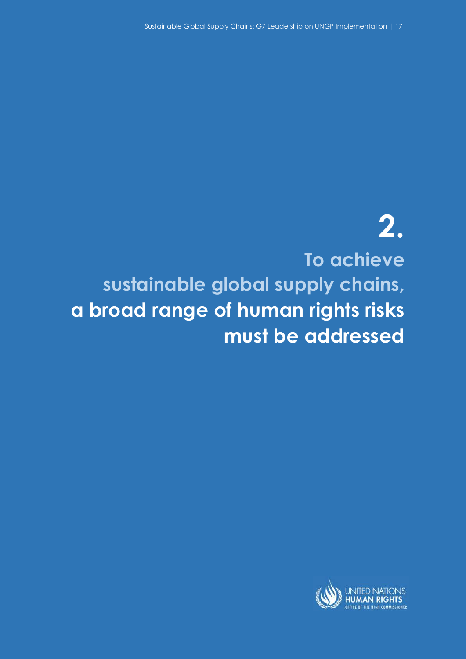# 2. To achieve sustainable global supply chains, a broad range of human rights risks must be addressed

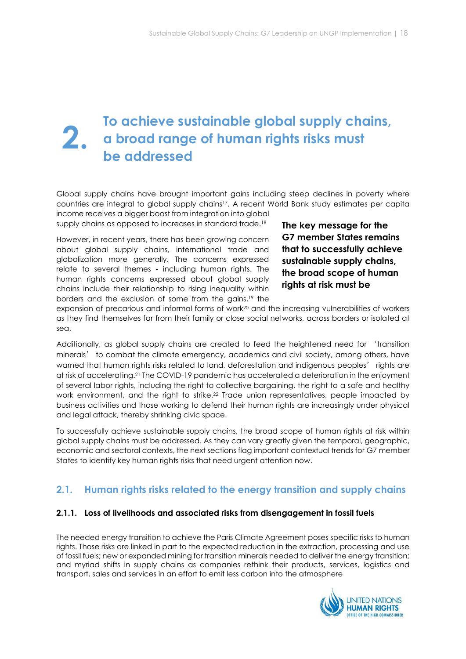# To achieve sustainable global supply chains, a broad range of human rights risks must be addressed 2.

Global supply chains have brought important gains including steep declines in poverty where countries are integral to global supply chains17. A recent World Bank study estimates per capita income receives a bigger boost from integration into global

supply chains as opposed to increases in standard trade.<sup>18</sup>

However, in recent years, there has been growing concern about global supply chains, international trade and globalization more generally. The concerns expressed relate to several themes - including human rights. The human rights concerns expressed about global supply chains include their relationship to rising inequality within borders and the exclusion of some from the gains,19 the

The key message for the G7 member States remains that to successfully achieve sustainable supply chains, the broad scope of human rights at risk must be

expansion of precarious and informal forms of work20 and the increasing vulnerabilities of workers as they find themselves far from their family or close social networks, across borders or isolated at sea.

Additionally, as global supply chains are created to feed the heightened need for 'transition minerals' to combat the climate emergency, academics and civil society, among others, have warned that human rights risks related to land, deforestation and indigenous peoples' rights are at risk of accelerating.21 The COVID-19 pandemic has accelerated a deterioration in the enjoyment of several labor rights, including the right to collective bargaining, the right to a safe and healthy work environment, and the right to strike.<sup>22</sup> Trade union representatives, people impacted by business activities and those working to defend their human rights are increasingly under physical and legal attack, thereby shrinking civic space.

To successfully achieve sustainable supply chains, the broad scope of human rights at risk within global supply chains must be addressed. As they can vary greatly given the temporal, geographic, economic and sectoral contexts, the next sections flag important contextual trends for G7 member States to identify key human rights risks that need urgent attention now.

# 2.1. Human rights risks related to the energy transition and supply chains

# 2.1.1. Loss of livelihoods and associated risks from disengagement in fossil fuels

The needed energy transition to achieve the Paris Climate Agreement poses specific risks to human rights. Those risks are linked in part to the expected reduction in the extraction, processing and use of fossil fuels; new or expanded mining for transition minerals needed to deliver the energy transition; and myriad shifts in supply chains as companies rethink their products, services, logistics and transport, sales and services in an effort to emit less carbon into the atmosphere

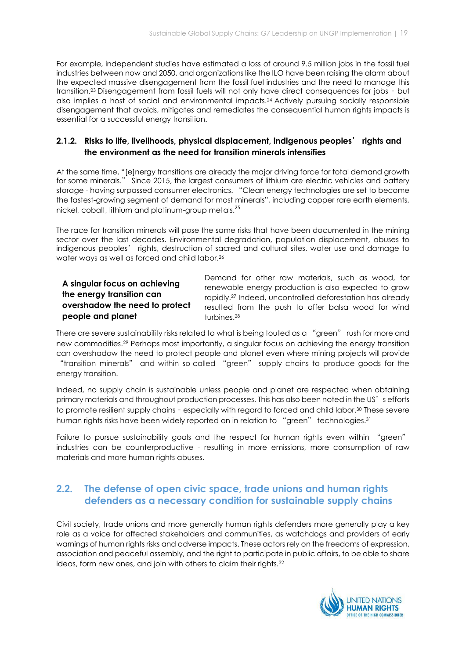For example, independent studies have estimated a loss of around 9.5 million jobs in the fossil fuel industries between now and 2050, and organizations like the ILO have been raising the alarm about the expected massive disengagement from the fossil fuel industries and the need to manage this transition.23 Disengagement from fossil fuels will not only have direct consequences for jobs – but also implies a host of social and environmental impacts.24 Actively pursuing socially responsible disengagement that avoids, mitigates and remediates the consequential human rights impacts is essential for a successful energy transition.

# 2.1.2. Risks to life, livelihoods, physical displacement, indigenous peoples' rights and the environment as the need for transition minerals intensifies

At the same time, "[e]nergy transitions are already the major driving force for total demand growth for some minerals." Since 2015, the largest consumers of lithium are electric vehicles and battery storage - having surpassed consumer electronics. "Clean energy technologies are set to become the fastest-growing segment of demand for most minerals", including copper rare earth elements, nickel, cobalt, lithium and platinum-group metals. 25

The race for transition minerals will pose the same risks that have been documented in the mining sector over the last decades. Environmental degradation, population displacement, abuses to indigenous peoples' rights, destruction of sacred and cultural sites, water use and damage to water ways as well as forced and child labor.<sup>26</sup>

# A singular focus on achieving the energy transition can overshadow the need to protect people and planet

Demand for other raw materials, such as wood, for renewable energy production is also expected to grow rapidly.27 Indeed, uncontrolled deforestation has already resulted from the push to offer balsa wood for wind turbines.<sup>28</sup>

There are severe sustainability risks related to what is being touted as a "green" rush for more and new commodities.29 Perhaps most importantly, a singular focus on achieving the energy transition can overshadow the need to protect people and planet even where mining projects will provide "transition minerals" and within so-called "green" supply chains to produce goods for the energy transition.

Indeed, no supply chain is sustainable unless people and planet are respected when obtaining primary materials and throughout production processes. This has also been noted in the US's efforts to promote resilient supply chains - especially with regard to forced and child labor.<sup>30</sup> These severe human rights risks have been widely reported on in relation to "green" technologies.<sup>31</sup>

Failure to pursue sustainability goals and the respect for human rights even within "green" industries can be counterproductive - resulting in more emissions, more consumption of raw materials and more human rights abuses.

# 2.2. The defense of open civic space, trade unions and human rights defenders as a necessary condition for sustainable supply chains

Civil society, trade unions and more generally human rights defenders more generally play a key role as a voice for affected stakeholders and communities, as watchdogs and providers of early warnings of human rights risks and adverse impacts. These actors rely on the freedoms of expression, association and peaceful assembly, and the right to participate in public affairs, to be able to share ideas, form new ones, and join with others to claim their rights.<sup>32</sup>

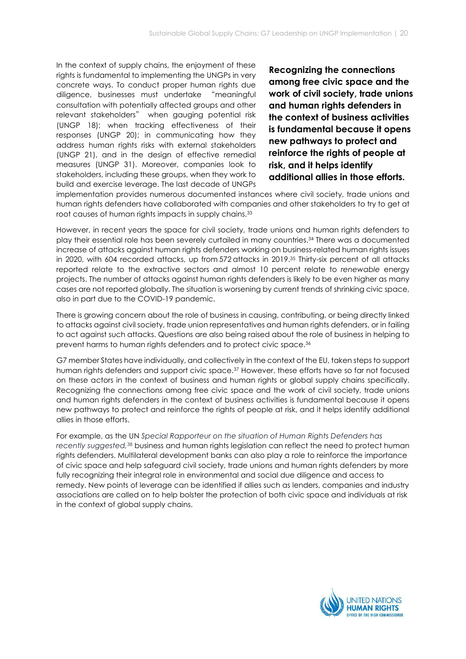In the context of supply chains, the enjoyment of these rights is fundamental to implementing the UNGPs in very concrete ways. To conduct proper human rights due diligence, businesses must undertake "meaningful consultation with potentially affected groups and other relevant stakeholders" when gauging potential risk (UNGP 18); when tracking effectiveness of their responses (UNGP 20); in communicating how they address human rights risks with external stakeholders (UNGP 21), and in the design of effective remedial measures (UNGP 31). Moreover, companies look to stakeholders, including these groups, when they work to build and exercise leverage. The last decade of UNGPs

Recognizing the connections among free civic space and the work of civil society, trade unions and human rights defenders in the context of business activities is fundamental because it opens new pathways to protect and reinforce the rights of people at risk, and it helps identify additional allies in those efforts.

implementation provides numerous documented instances where civil society, trade unions and human rights defenders have collaborated with companies and other stakeholders to try to get at root causes of human rights impacts in supply chains.<sup>33</sup>

However, in recent years the space for civil society, trade unions and human rights defenders to play their essential role has been severely curtailed in many countries.34 There was a documented increase of attacks against human rights defenders working on business-related human rights issues in 2020, with 604 recorded attacks, up from 572 attacks in 2019.35 Thirty-six percent of all attacks reported relate to the extractive sectors and almost 10 percent relate to renewable energy projects. The number of attacks against human rights defenders is likely to be even higher as many cases are not reported globally. The situation is worsening by current trends of shrinking civic space, also in part due to the COVID-19 pandemic.

There is growing concern about the role of business in causing, contributing, or being directly linked to attacks against civil society, trade union representatives and human rights defenders, or in failing to act against such attacks. Questions are also being raised about the role of business in helping to prevent harms to human rights defenders and to protect civic space.<sup>36</sup>

G7 member States have individually, and collectively in the context of the EU, taken steps to support human rights defenders and support civic space.37 However, these efforts have so far not focused on these actors in the context of business and human rights or global supply chains specifically. Recognizing the connections among free civic space and the work of civil society, trade unions and human rights defenders in the context of business activities is fundamental because it opens new pathways to protect and reinforce the rights of people at risk, and it helps identify additional allies in those efforts.

For example, as the UN Special Rapporteur on the situation of Human Rights Defenders has recently suggested,<sup>38</sup> business and human rights legislation can reflect the need to protect human rights defenders. Multilateral development banks can also play a role to reinforce the importance of civic space and help safeguard civil society, trade unions and human rights defenders by more fully recognizing their integral role in environmental and social due diligence and access to remedy. New points of leverage can be identified if allies such as lenders, companies and industry associations are called on to help bolster the protection of both civic space and individuals at risk in the context of global supply chains.

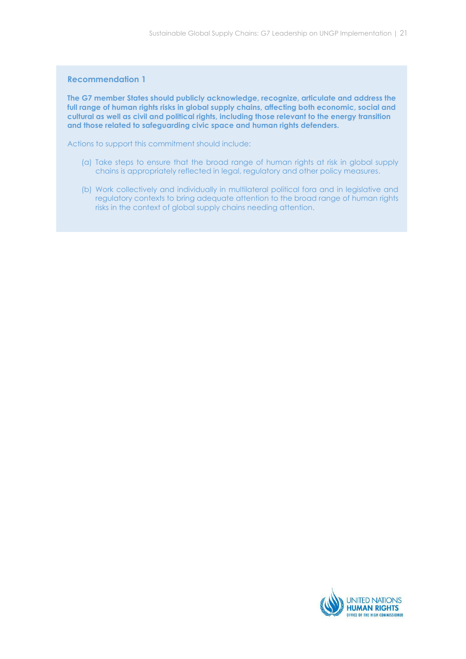#### Recommendation 1

The G7 member States should publicly acknowledge, recognize, articulate and address the full range of human rights risks in global supply chains, affecting both economic, social and cultural as well as civil and political rights, including those relevant to the energy transition and those related to safeguarding civic space and human rights defenders.

Actions to support this commitment should include:

- (a) Take steps to ensure that the broad range of human rights at risk in global supply chains is appropriately reflected in legal, regulatory and other policy measures.
- (b) Work collectively and individually in multilateral political fora and in legislative and regulatory contexts to bring adequate attention to the broad range of human rights risks in the context of global supply chains needing attention.

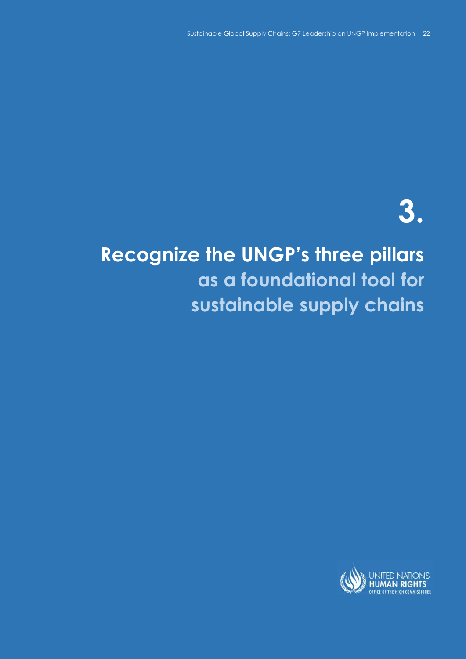# 3.

# Recognize the UNGP's three pillars as a foundational tool for sustainable supply chains

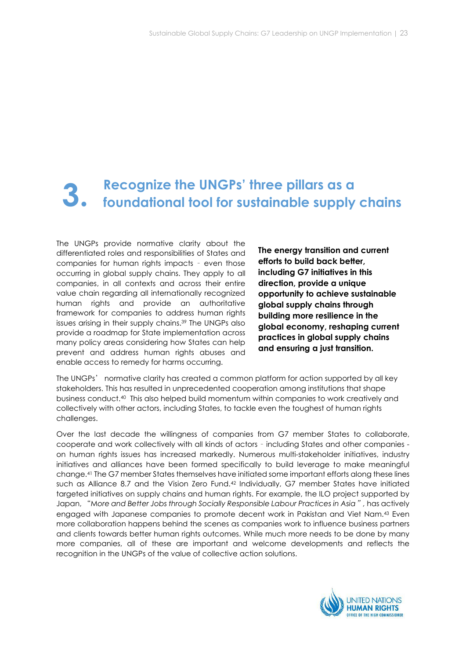# Recognize the UNGPs' three pillars as a foundational tool for sustainable supply chains 3.

The UNGPs provide normative clarity about the differentiated roles and responsibilities of States and companies for human rights impacts – even those occurring in global supply chains. They apply to all companies, in all contexts and across their entire value chain regarding all internationally recognized human rights and provide an authoritative framework for companies to address human rights issues arising in their supply chains.39 The UNGPs also provide a roadmap for State implementation across many policy areas considering how States can help prevent and address human rights abuses and enable access to remedy for harms occurring.

The energy transition and current efforts to build back better, including G7 initiatives in this direction, provide a unique opportunity to achieve sustainable global supply chains through building more resilience in the global economy, reshaping current practices in global supply chains and ensuring a just transition.

The UNGPs' normative clarity has created a common platform for action supported by all key stakeholders. This has resulted in unprecedented cooperation among institutions that shape business conduct.40 This also helped build momentum within companies to work creatively and collectively with other actors, including States, to tackle even the toughest of human rights challenges.

Over the last decade the willingness of companies from G7 member States to collaborate, cooperate and work collectively with all kinds of actors – including States and other companies on human rights issues has increased markedly. Numerous multi-stakeholder initiatives, industry initiatives and alliances have been formed specifically to build leverage to make meaningful change.41 The G7 member States themselves have initiated some important efforts along these lines such as Alliance 8.7 and the Vision Zero Fund.<sup>42</sup> Individually, G7 member States have initiated targeted initiatives on supply chains and human rights. For example, the ILO project supported by Japan, "More and Better Jobs through Socially Responsible Labour Practices in Asia", has actively engaged with Japanese companies to promote decent work in Pakistan and Viet Nam.43 Even more collaboration happens behind the scenes as companies work to influence business partners and clients towards better human rights outcomes. While much more needs to be done by many more companies, all of these are important and welcome developments and reflects the recognition in the UNGPs of the value of collective action solutions.

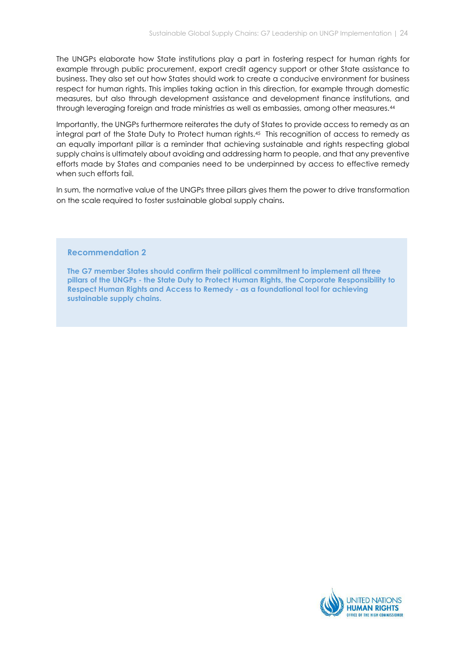The UNGPs elaborate how State institutions play a part in fostering respect for human rights for example through public procurement, export credit agency support or other State assistance to business. They also set out how States should work to create a conducive environment for business respect for human rights. This implies taking action in this direction, for example through domestic measures, but also through development assistance and development finance institutions, and through leveraging foreign and trade ministries as well as embassies, among other measures.<sup>44</sup>

Importantly, the UNGPs furthermore reiterates the duty of States to provide access to remedy as an integral part of the State Duty to Protect human rights.45 This recognition of access to remedy as an equally important pillar is a reminder that achieving sustainable and rights respecting global supply chains is ultimately about avoiding and addressing harm to people, and that any preventive efforts made by States and companies need to be underpinned by access to effective remedy when such efforts fail.

In sum, the normative value of the UNGPs three pillars gives them the power to drive transformation on the scale required to foster sustainable global supply chains.

### Recommendation 2

The G7 member States should confirm their political commitment to implement all three pillars of the UNGPs - the State Duty to Protect Human Rights, the Corporate Responsibility to Respect Human Rights and Access to Remedy - as a foundational tool for achieving sustainable supply chains.

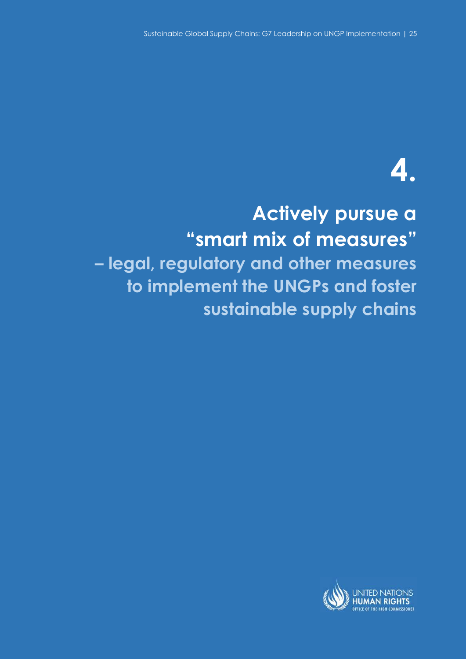# 4.

# Actively pursue a "smart mix of measures" – legal, regulatory and other measures to implement the UNGPs and foster sustainable supply chains

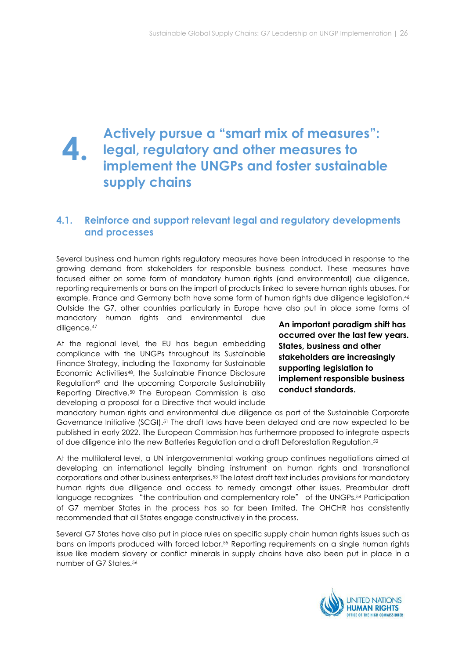# Actively pursue a "smart mix of measures": legal, regulatory and other measures to implement the UNGPs and foster sustainable supply chains 4.

# 4.1. Reinforce and support relevant legal and regulatory developments and processes

Several business and human rights regulatory measures have been introduced in response to the growing demand from stakeholders for responsible business conduct. These measures have focused either on some form of mandatory human rights (and environmental) due diligence, reporting requirements or bans on the import of products linked to severe human rights abuses. For example, France and Germany both have some form of human rights due diligence legislation.<sup>46</sup> Outside the G7, other countries particularly in Europe have also put in place some forms of

mandatory human rights and environmental due diligence.<sup>47</sup>

At the regional level, the EU has begun embedding compliance with the UNGPs throughout its Sustainable Finance Strategy, including the Taxonomy for Sustainable Economic Activities48, the Sustainable Finance Disclosure Regulation49 and the upcoming Corporate Sustainability Reporting Directive.50 The European Commission is also developing a proposal for a Directive that would include

An important paradigm shift has occurred over the last few years. States, business and other stakeholders are increasingly supporting legislation to implement responsible business conduct standards.

mandatory human rights and environmental due diligence as part of the Sustainable Corporate Governance Initiative (SCGI).51 The draft laws have been delayed and are now expected to be published in early 2022. The European Commission has furthermore proposed to integrate aspects of due diligence into the new Batteries Regulation and a draft Deforestation Regulation.<sup>52</sup>

At the multilateral level, a UN intergovernmental working group continues negotiations aimed at developing an international legally binding instrument on human rights and transnational corporations and other business enterprises.53 The latest draft text includes provisions for mandatory human rights due diligence and access to remedy amongst other issues. Preambular draft language recognizes "the contribution and complementary role" of the UNGPs.<sup>54</sup> Participation of G7 member States in the process has so far been limited. The OHCHR has consistently recommended that all States engage constructively in the process.

Several G7 States have also put in place rules on specific supply chain human rights issues such as bans on imports produced with forced labor.55 Reporting requirements on a single human rights issue like modern slavery or conflict minerals in supply chains have also been put in place in a number of G7 States <sup>56</sup>

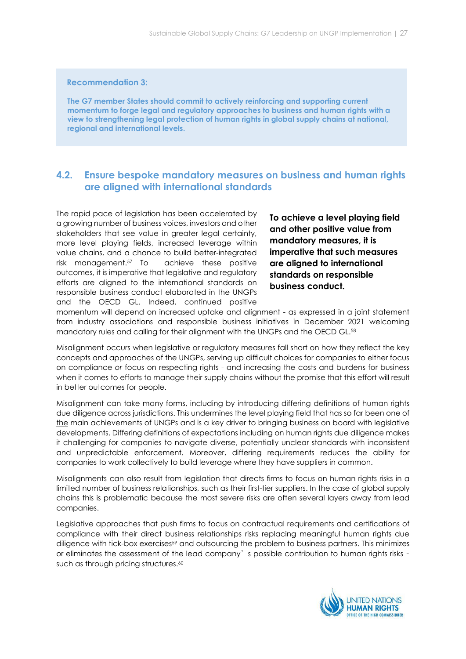## Recommendation 3:

The G7 member States should commit to actively reinforcing and supporting current momentum to forge legal and regulatory approaches to business and human rights with a view to strengthening legal protection of human rights in global supply chains at national, regional and international levels.

# 4.2. Ensure bespoke mandatory measures on business and human rights are aligned with international standards

The rapid pace of legislation has been accelerated by a growing number of business voices, investors and other stakeholders that see value in greater legal certainty, more level playing fields, increased leverage within value chains, and a chance to build better-integrated risk management.57 To achieve these positive outcomes, it is imperative that legislative and regulatory efforts are aligned to the international standards on responsible business conduct elaborated in the UNGPs and the OECD GL. Indeed, continued positive

To achieve a level playing field and other positive value from mandatory measures, it is imperative that such measures are aligned to international standards on responsible business conduct.

momentum will depend on increased uptake and alignment - as expressed in a joint statement from industry associations and responsible business initiatives in December 2021 welcoming mandatory rules and calling for their alignment with the UNGPs and the OECD GL.<sup>58</sup>

Misalignment occurs when legislative or regulatory measures fall short on how they reflect the key concepts and approaches of the UNGPs, serving up difficult choices for companies to either focus on compliance or focus on respecting rights - and increasing the costs and burdens for business when it comes to efforts to manage their supply chains without the promise that this effort will result in better outcomes for people.

Misalignment can take many forms, including by introducing differing definitions of human rights due diligence across jurisdictions. This undermines the level playing field that has so far been one of the main achievements of UNGPs and is a key driver to bringing business on board with legislative developments. Differing definitions of expectations including on human rights due diligence makes it challenging for companies to navigate diverse, potentially unclear standards with inconsistent and unpredictable enforcement. Moreover, differing requirements reduces the ability for companies to work collectively to build leverage where they have suppliers in common.

Misalignments can also result from legislation that directs firms to focus on human rights risks in a limited number of business relationships, such as their first-tier suppliers. In the case of global supply chains this is problematic because the most severe risks are often several layers away from lead companies.

Legislative approaches that push firms to focus on contractual requirements and certifications of compliance with their direct business relationships risks replacing meaningful human rights due diligence with tick-box exercises<sup>59</sup> and outsourcing the problem to business partners. This minimizes or eliminates the assessment of the lead company's possible contribution to human rights risks – such as through pricing structures.<sup>60</sup>

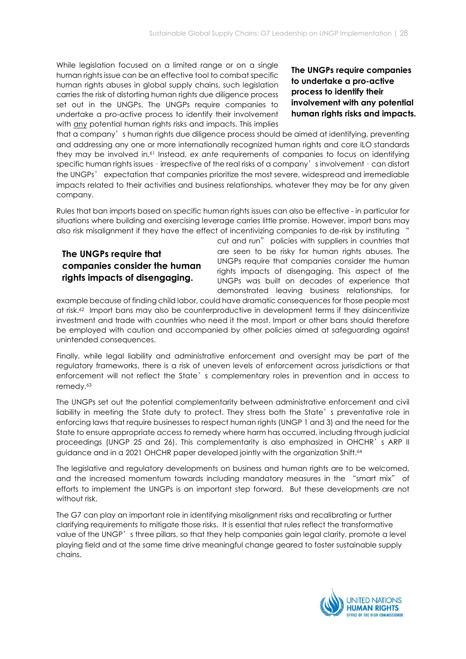While legislation focused on a limited range or on a single human rights issue can be an effective tool to combat specific human rights abuses in global supply chains, such legislation carries the risk of distorting human rights due diligence process set out in the UNGPs. The UNGPs require companies to undertake a pro-active process to identify their involvement with any potential human rights risks and impacts. This implies

# The UNGPs require companies to undertake a pro-active process to identify their involvement with any potential human rights risks and impacts.

that a company's human rights due diligence process should be aimed at identifying, preventing and addressing any one or more internationally recognized human rights and core ILO standards they may be involved in.61 Instead, ex ante requirements of companies to focus on identifying specific human rights issues – irrespective of the real risks of a company's involvement – can distort the UNGPs' expectation that companies prioritize the most severe, widespread and irremediable impacts related to their activities and business relationships, whatever they may be for any given company.

Rules that ban imports based on specific human rights issues can also be effective - in particular for situations where building and exercising leverage carries little promise. However, import bans may also risk misalignment if they have the effect of incentivizing companies to de-risk by instituting "

# The UNGPs require that companies consider the human rights impacts of disengaging.

cut and run" policies with suppliers in countries that are seen to be risky for human rights abuses. The UNGPs require that companies consider the human rights impacts of disengaging. This aspect of the UNGPs was built on decades of experience that demonstrated leaving business relationships, for

example because of finding child labor, could have dramatic consequences for those people most at risk.62 Import bans may also be counterproductive in development terms if they disincentivize investment and trade with countries who need it the most. Import or other bans should therefore be employed with caution and accompanied by other policies aimed at safeguarding against unintended consequences.

Finally, while legal liability and administrative enforcement and oversight may be part of the regulatory frameworks, there is a risk of uneven levels of enforcement across jurisdictions or that enforcement will not reflect the State's complementary roles in prevention and in access to remedy.<sup>63</sup>

The UNGPs set out the potential complementarity between administrative enforcement and civil liability in meeting the State duty to protect. They stress both the State's preventative role in enforcing laws that require businesses to respect human rights (UNGP 1 and 3) and the need for the State to ensure appropriate access to remedy where harm has occurred, including through judicial proceedings (UNGP 25 and 26). This complementarity is also emphasized in OHCHR's ARP II guidance and in a 2021 OHCHR paper developed jointly with the organization Shift.<sup>64</sup>

The legislative and regulatory developments on business and human rights are to be welcomed, and the increased momentum towards including mandatory measures in the "smart mix" of efforts to implement the UNGPs is an important step forward. But these developments are not without risk.

The G7 can play an important role in identifying misalignment risks and recalibrating or further clarifying requirements to mitigate those risks. It is essential that rules reflect the transformative value of the UNGP's three pillars, so that they help companies gain legal clarity, promote a level playing field and at the same time drive meaningful change geared to foster sustainable supply chains.

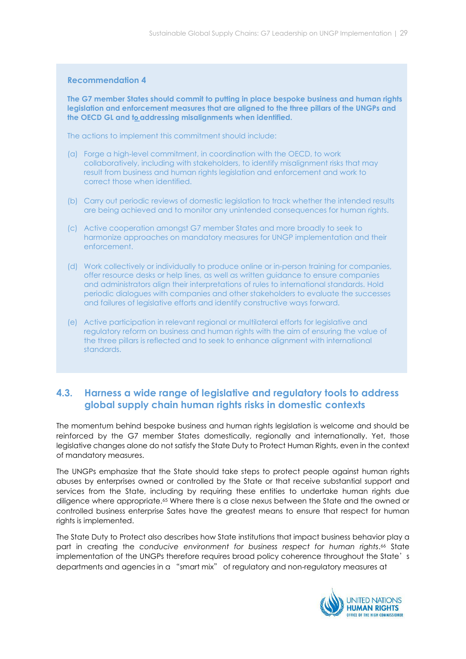#### Recommendation 4

The G7 member States should commit to putting in place bespoke business and human rights legislation and enforcement measures that are aligned to the three pillars of the UNGPs and the OECD GL and to addressing misalignments when identified.

The actions to implement this commitment should include:

- (a) Forge a high-level commitment, in coordination with the OECD, to work collaboratively, including with stakeholders, to identify misalignment risks that may result from business and human rights legislation and enforcement and work to correct those when identified.
- (b) Carry out periodic reviews of domestic legislation to track whether the intended results are being achieved and to monitor any unintended consequences for human rights.
- (c) Active cooperation amongst G7 member States and more broadly to seek to harmonize approaches on mandatory measures for UNGP implementation and their enforcement.
- (d) Work collectively or individually to produce online or in-person training for companies, offer resource desks or help lines, as well as written guidance to ensure companies and administrators align their interpretations of rules to international standards. Hold periodic dialogues with companies and other stakeholders to evaluate the successes and failures of legislative efforts and identify constructive ways forward.
- (e) Active participation in relevant regional or multilateral efforts for legislative and regulatory reform on business and human rights with the aim of ensuring the value of the three pillars is reflected and to seek to enhance alignment with international standards.

# 4.3. Harness a wide range of legislative and regulatory tools to address global supply chain human rights risks in domestic contexts

The momentum behind bespoke business and human rights legislation is welcome and should be reinforced by the G7 member States domestically, regionally and internationally. Yet, those legislative changes alone do not satisfy the State Duty to Protect Human Rights, even in the context of mandatory measures.

The UNGPs emphasize that the State should take steps to protect people against human rights abuses by enterprises owned or controlled by the State or that receive substantial support and services from the State, including by requiring these entities to undertake human rights due diligence where appropriate.65 Where there is a close nexus between the State and the owned or controlled business enterprise Sates have the greatest means to ensure that respect for human rights is implemented.

The State Duty to Protect also describes how State institutions that impact business behavior play a part in creating the conducive environment for business respect for human rights.<sup>66</sup> State implementation of the UNGPs therefore requires broad policy coherence throughout the State's departments and agencies in a "smart mix" of regulatory and non-regulatory measures at

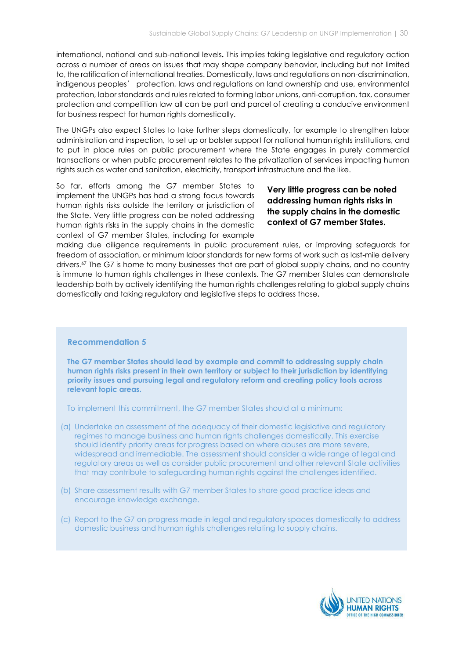international, national and sub-national levels. This implies taking legislative and regulatory action across a number of areas on issues that may shape company behavior, including but not limited to, the ratification of international treaties. Domestically, laws and regulations on non-discrimination, indigenous peoples' protection, laws and regulations on land ownership and use, environmental protection, labor standards and rules related to forming labor unions, anti-corruption, tax, consumer protection and competition law all can be part and parcel of creating a conducive environment for business respect for human rights domestically.

The UNGPs also expect States to take further steps domestically, for example to strengthen labor administration and inspection, to set up or bolster support for national human rights institutions, and to put in place rules on public procurement where the State engages in purely commercial transactions or when public procurement relates to the privatization of services impacting human rights such as water and sanitation, electricity, transport infrastructure and the like.

So far, efforts among the G7 member States to implement the UNGPs has had a strong focus towards human rights risks outside the territory or jurisdiction of the State. Very little progress can be noted addressing human rights risks in the supply chains in the domestic context of G7 member States, including for example

# Very little progress can be noted addressing human rights risks in the supply chains in the domestic context of G7 member States.

making due diligence requirements in public procurement rules, or improving safeguards for freedom of association, or minimum labor standards for new forms of work such as last-mile delivery drivers.67 The G7 is home to many businesses that are part of global supply chains, and no country is immune to human rights challenges in these contexts. The G7 member States can demonstrate leadership both by actively identifying the human rights challenges relating to global supply chains domestically and taking regulatory and legislative steps to address those.

### Recommendation 5

The G7 member States should lead by example and commit to addressing supply chain human rights risks present in their own territory or subject to their jurisdiction by identifying priority issues and pursuing legal and regulatory reform and creating policy tools across relevant topic areas.

To implement this commitment, the G7 member States should at a minimum:

- (a) Undertake an assessment of the adequacy of their domestic legislative and regulatory regimes to manage business and human rights challenges domestically. This exercise should identify priority areas for progress based on where abuses are more severe, widespread and irremediable. The assessment should consider a wide range of legal and regulatory areas as well as consider public procurement and other relevant State activities that may contribute to safeguarding human rights against the challenges identified.
- (b) Share assessment results with G7 member States to share good practice ideas and encourage knowledge exchange.
- (c) Report to the G7 on progress made in legal and regulatory spaces domestically to address domestic business and human rights challenges relating to supply chains.

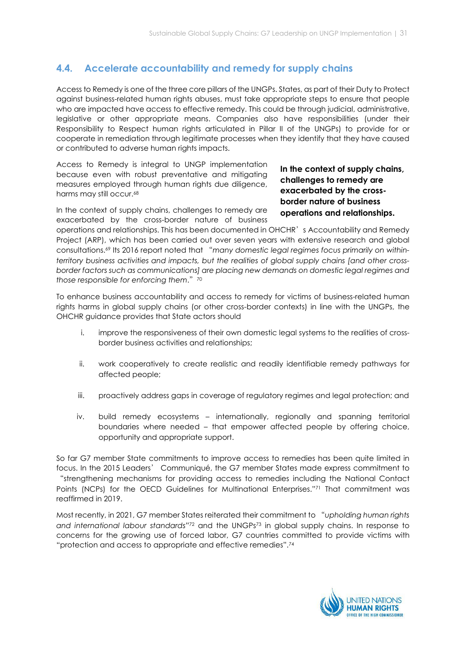# 4.4. Accelerate accountability and remedy for supply chains

Access to Remedy is one of the three core pillars of the UNGPs. States, as part of their Duty to Protect against business-related human rights abuses, must take appropriate steps to ensure that people who are impacted have access to effective remedy. This could be through judicial, administrative, legislative or other appropriate means. Companies also have responsibilities (under their Responsibility to Respect human rights articulated in Pillar II of the UNGPs) to provide for or cooperate in remediation through legitimate processes when they identify that they have caused or contributed to adverse human rights impacts.

Access to Remedy is integral to UNGP implementation because even with robust preventative and mitigating measures employed through human rights due diligence, harms may still occur.<sup>68</sup>

In the context of supply chains, challenges to remedy are exacerbated by the cross-border nature of business In the context of supply chains, challenges to remedy are exacerbated by the crossborder nature of business operations and relationships.

operations and relationships. This has been documented in OHCHR's Accountability and Remedy Project (ARP), which has been carried out over seven years with extensive research and global consultations.69 Its 2016 report noted that "many domestic legal regimes focus primarily on withinterritory business activities and impacts, but the realities of global supply chains [and other crossborder factors such as communications] are placing new demands on domestic legal regimes and those responsible for enforcing them." $70$ 

To enhance business accountability and access to remedy for victims of business-related human rights harms in global supply chains (or other cross-border contexts) in line with the UNGPs, the OHCHR guidance provides that State actors should

- i. improve the responsiveness of their own domestic legal systems to the realities of crossborder business activities and relationships;
- ii. work cooperatively to create realistic and readily identifiable remedy pathways for affected people;
- iii. proactively address gaps in coverage of regulatory regimes and legal protection; and
- iv. build remedy ecosystems internationally, regionally and spanning territorial boundaries where needed – that empower affected people by offering choice, opportunity and appropriate support.

So far G7 member State commitments to improve access to remedies has been quite limited in focus. In the 2015 Leaders' Communiqué, the G7 member States made express commitment to "strengthening mechanisms for providing access to remedies including the National Contact Points (NCPs) for the OECD Guidelines for Multinational Enterprises."71 That commitment was reaffirmed in 2019.

Most recently, in 2021, G7 member States reiterated their commitment to "upholding human rights and international labour standards"72 and the UNGPs73 in global supply chains. In response to concerns for the growing use of forced labor, G7 countries committed to provide victims with "protection and access to appropriate and effective remedies".<sup>74</sup>

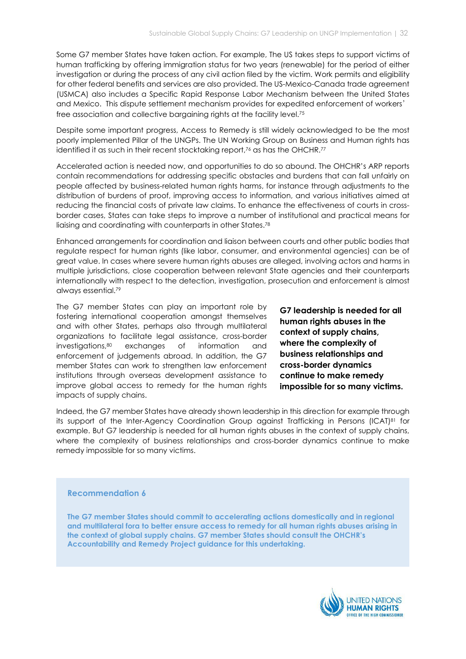Some G7 member States have taken action. For example, The US takes steps to support victims of human trafficking by offering immigration status for two years (renewable) for the period of either investigation or during the process of any civil action filed by the victim. Work permits and eligibility for other federal benefits and services are also provided. The US-Mexico-Canada trade agreement (USMCA) also includes a Specific Rapid Response Labor Mechanism between the United States and Mexico. This dispute settlement mechanism provides for expedited enforcement of workers' free association and collective bargaining rights at the facility level.<sup>75</sup>

Despite some important progress, Access to Remedy is still widely acknowledged to be the most poorly implemented Pillar of the UNGPs. The UN Working Group on Business and Human rights has identified it as such in their recent stocktaking report,<sup>76</sup> as has the OHCHR.<sup>77</sup>

Accelerated action is needed now, and opportunities to do so abound. The OHCHR's ARP reports contain recommendations for addressing specific obstacles and burdens that can fall unfairly on people affected by business-related human rights harms, for instance through adjustments to the distribution of burdens of proof, improving access to information, and various initiatives aimed at reducing the financial costs of private law claims. To enhance the effectiveness of courts in crossborder cases, States can take steps to improve a number of institutional and practical means for liaising and coordinating with counterparts in other States.<sup>78</sup>

Enhanced arrangements for coordination and liaison between courts and other public bodies that regulate respect for human rights (like labor, consumer, and environmental agencies) can be of great value. In cases where severe human rights abuses are alleged, involving actors and harms in multiple jurisdictions, close cooperation between relevant State agencies and their counterparts internationally with respect to the detection, investigation, prosecution and enforcement is almost always essential.<sup>79</sup>

The G7 member States can play an important role by fostering international cooperation amongst themselves and with other States, perhaps also through multilateral organizations to facilitate legal assistance, cross-border investigations,80 exchanges of information and enforcement of judgements abroad. In addition, the G7 member States can work to strengthen law enforcement institutions through overseas development assistance to improve global access to remedy for the human rights impacts of supply chains.

G7 leadership is needed for all human rights abuses in the context of supply chains, where the complexity of business relationships and cross-border dynamics continue to make remedy impossible for so many victims.

Indeed, the G7 member States have already shown leadership in this direction for example through its support of the Inter-Agency Coordination Group against Trafficking in Persons (ICAT)<sup>81</sup> for example. But G7 leadership is needed for all human rights abuses in the context of supply chains, where the complexity of business relationships and cross-border dynamics continue to make remedy impossible for so many victims.

#### Recommendation 6

The G7 member States should commit to accelerating actions domestically and in regional and multilateral fora to better ensure access to remedy for all human rights abuses arising in the context of global supply chains. G7 member States should consult the OHCHR's Accountability and Remedy Project guidance for this undertaking.

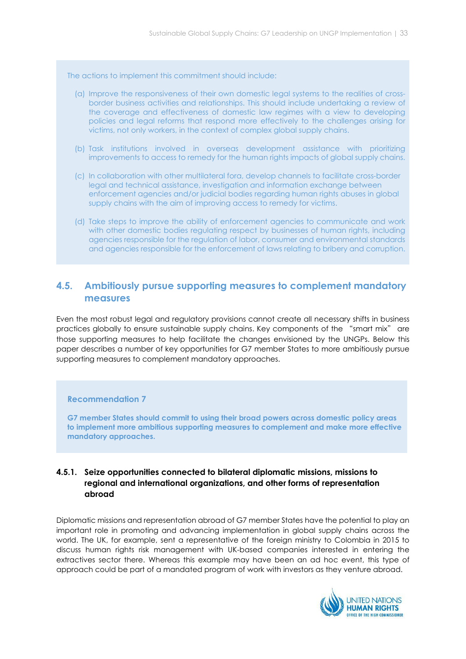The actions to implement this commitment should include:

- (a) Improve the responsiveness of their own domestic legal systems to the realities of crossborder business activities and relationships. This should include undertaking a review of the coverage and effectiveness of domestic law regimes with a view to developing policies and legal reforms that respond more effectively to the challenges arising for victims, not only workers, in the context of complex global supply chains.
- (b) Task institutions involved in overseas development assistance with prioritizing improvements to access to remedy for the human rights impacts of global supply chains.
- (c) In collaboration with other multilateral fora, develop channels to facilitate cross-border legal and technical assistance, investigation and information exchange between enforcement agencies and/or judicial bodies regarding human rights abuses in global supply chains with the aim of improving access to remedy for victims.
- (d) Take steps to improve the ability of enforcement agencies to communicate and work with other domestic bodies regulating respect by businesses of human rights, including agencies responsible for the regulation of labor, consumer and environmental standards and agencies responsible for the enforcement of laws relating to bribery and corruption.

# 4.5. Ambitiously pursue supporting measures to complement mandatory measures

Even the most robust legal and regulatory provisions cannot create all necessary shifts in business practices globally to ensure sustainable supply chains. Key components of the "smart mix" are those supporting measures to help facilitate the changes envisioned by the UNGPs. Below this paper describes a number of key opportunities for G7 member States to more ambitiously pursue supporting measures to complement mandatory approaches.

### Recommendation 7

G7 member States should commit to using their broad powers across domestic policy areas to implement more ambitious supporting measures to complement and make more effective mandatory approaches.

# 4.5.1. Seize opportunities connected to bilateral diplomatic missions, missions to regional and international organizations, and other forms of representation abroad

Diplomatic missions and representation abroad of G7 member States have the potential to play an important role in promoting and advancing implementation in global supply chains across the world. The UK, for example, sent a representative of the foreign ministry to Colombia in 2015 to discuss human rights risk management with UK-based companies interested in entering the extractives sector there. Whereas this example may have been an ad hoc event, this type of approach could be part of a mandated program of work with investors as they venture abroad.

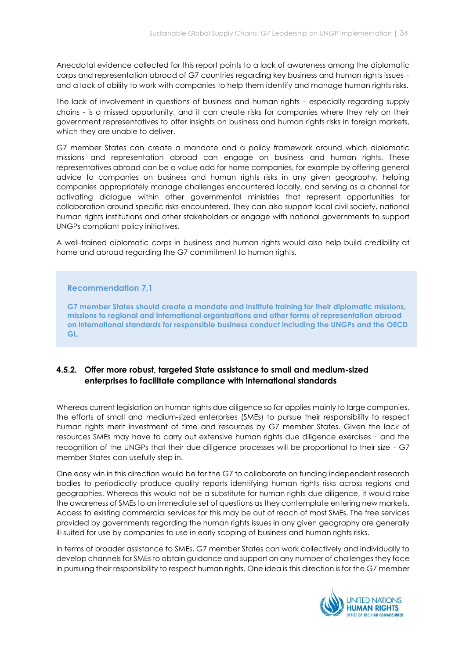Anecdotal evidence collected for this report points to a lack of awareness among the diplomatic corps and representation abroad of G7 countries regarding key business and human rights issues – and a lack of ability to work with companies to help them identify and manage human rights risks.

The lack of involvement in questions of business and human rights – especially regarding supply chains - is a missed opportunity, and it can create risks for companies where they rely on their government representatives to offer insights on business and human rights risks in foreign markets, which they are unable to deliver.

G7 member States can create a mandate and a policy framework around which diplomatic missions and representation abroad can engage on business and human rights. These representatives abroad can be a value add for home companies, for example by offering general advice to companies on business and human rights risks in any given geography, helping companies appropriately manage challenges encountered locally, and serving as a channel for activating dialogue within other governmental ministries that represent opportunities for collaboration around specific risks encountered. They can also support local civil society, national human rights institutions and other stakeholders or engage with national governments to support UNGPs compliant policy initiatives.

A well-trained diplomatic corps in business and human rights would also help build credibility at home and abroad regarding the G7 commitment to human rights.

### Recommendation 7.1

G7 member States should create a mandate and institute training for their diplomatic missions, missions to regional and international organizations and other forms of representation abroad on international standards for responsible business conduct including the UNGPs and the OECD GL.

## 4.5.2. Offer more robust, targeted State assistance to small and medium-sized enterprises to facilitate compliance with international standards

Whereas current legislation on human rights due diligence so far applies mainly to large companies, the efforts of small and medium-sized enterprises (SMEs) to pursue their responsibility to respect human rights merit investment of time and resources by G7 member States. Given the lack of resources SMEs may have to carry out extensive human rights due diligence exercises – and the recognition of the UNGPs that their due diligence processes will be proportional to their size – G7 member States can usefully step in.

One easy win in this direction would be for the G7 to collaborate on funding independent research bodies to periodically produce quality reports identifying human rights risks across regions and geographies. Whereas this would not be a substitute for human rights due diligence, it would raise the awareness of SMEs to an immediate set of questions as they contemplate entering new markets. Access to existing commercial services for this may be out of reach of most SMEs. The free services provided by governments regarding the human rights issues in any given geography are generally ill-suited for use by companies to use in early scoping of business and human rights risks.

In terms of broader assistance to SMEs, G7 member States can work collectively and individually to develop channels for SMEs to obtain guidance and support on any number of challenges they face in pursuing their responsibility to respect human rights. One idea is this direction is for the G7 member

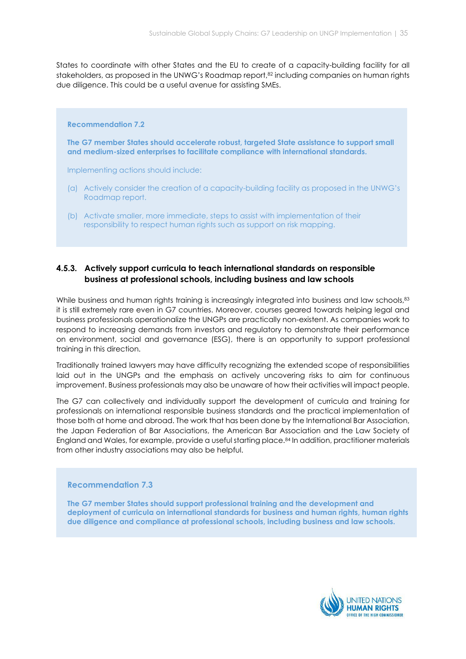States to coordinate with other States and the EU to create of a capacity-building facility for all stakeholders, as proposed in the UNWG's Roadmap report,<sup>82</sup> including companies on human rights due diligence. This could be a useful avenue for assisting SMEs.

#### Recommendation 7.2

The G7 member States should accelerate robust, targeted State assistance to support small and medium-sized enterprises to facilitate compliance with international standards.

Implementing actions should include:

- (a) Actively consider the creation of a capacity-building facility as proposed in the UNWG's Roadmap report.
- (b) Activate smaller, more immediate, steps to assist with implementation of their responsibility to respect human rights such as support on risk mapping.

## 4.5.3. Actively support curricula to teach international standards on responsible business at professional schools, including business and law schools

While business and human rights training is increasingly integrated into business and law schools, 83 it is still extremely rare even in G7 countries. Moreover, courses geared towards helping legal and business professionals operationalize the UNGPs are practically non-existent. As companies work to respond to increasing demands from investors and regulatory to demonstrate their performance on environment, social and governance (ESG), there is an opportunity to support professional training in this direction.

Traditionally trained lawyers may have difficulty recognizing the extended scope of responsibilities laid out in the UNGPs and the emphasis on actively uncovering risks to aim for continuous improvement. Business professionals may also be unaware of how their activities will impact people.

The G7 can collectively and individually support the development of curricula and training for professionals on international responsible business standards and the practical implementation of those both at home and abroad. The work that has been done by the International Bar Association, the Japan Federation of Bar Associations, the American Bar Association and the Law Society of England and Wales, for example, provide a useful starting place.84 In addition, practitioner materials from other industry associations may also be helpful.

#### Recommendation 7.3

The G7 member States should support professional training and the development and deployment of curricula on international standards for business and human rights, human rights due diligence and compliance at professional schools, including business and law schools.

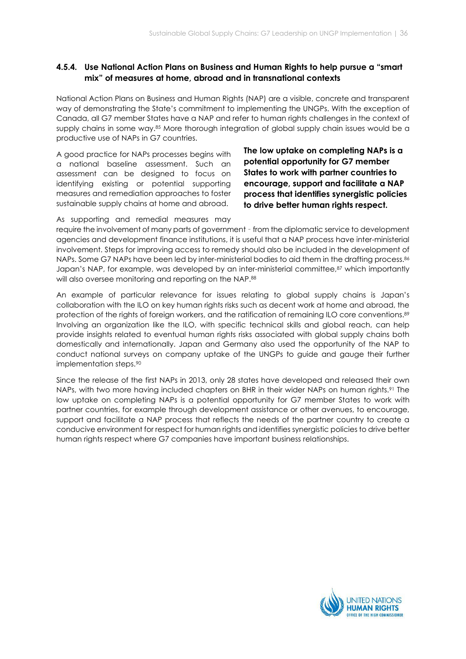# 4.5.4. Use National Action Plans on Business and Human Rights to help pursue a "smart mix" of measures at home, abroad and in transnational contexts

National Action Plans on Business and Human Rights (NAP) are a visible, concrete and transparent way of demonstrating the State's commitment to implementing the UNGPs. With the exception of Canada, all G7 member States have a NAP and refer to human rights challenges in the context of supply chains in some way.85 More thorough integration of global supply chain issues would be a productive use of NAPs in G7 countries.

A good practice for NAPs processes begins with a national baseline assessment. Such an assessment can be designed to focus on identifying existing or potential supporting measures and remediation approaches to foster sustainable supply chains at home and abroad.

The low uptake on completing NAPs is a potential opportunity for G7 member States to work with partner countries to encourage, support and facilitate a NAP process that identifies synergistic policies to drive better human rights respect.

As supporting and remedial measures may

require the involvement of many parts of government – from the diplomatic service to development agencies and development finance institutions, it is useful that a NAP process have inter-ministerial involvement. Steps for improving access to remedy should also be included in the development of NAPs. Some G7 NAPs have been led by inter-ministerial bodies to aid them in the drafting process.<sup>86</sup> Japan's NAP, for example, was developed by an inter-ministerial committee,<sup>87</sup> which importantly will also oversee monitoring and reporting on the NAP.<sup>88</sup>

An example of particular relevance for issues relating to global supply chains is Japan's collaboration with the ILO on key human rights risks such as decent work at home and abroad, the protection of the rights of foreign workers, and the ratification of remaining ILO core conventions.<sup>89</sup> Involving an organization like the ILO, with specific technical skills and global reach, can help provide insights related to eventual human rights risks associated with global supply chains both domestically and internationally. Japan and Germany also used the opportunity of the NAP to conduct national surveys on company uptake of the UNGPs to guide and gauge their further implementation steps.<sup>90</sup>

Since the release of the first NAPs in 2013, only 28 states have developed and released their own NAPs, with two more having included chapters on BHR in their wider NAPs on human rights.<sup>91</sup> The low uptake on completing NAPs is a potential opportunity for G7 member States to work with partner countries, for example through development assistance or other avenues, to encourage, support and facilitate a NAP process that reflects the needs of the partner country to create a conducive environment for respect for human rights and identifies synergistic policies to drive better human rights respect where G7 companies have important business relationships.

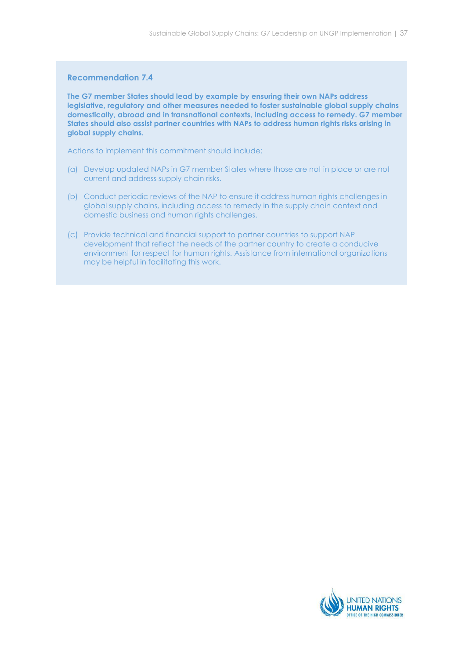#### Recommendation 7.4

The G7 member States should lead by example by ensuring their own NAPs address legislative, regulatory and other measures needed to foster sustainable global supply chains domestically, abroad and in transnational contexts, including access to remedy. G7 member States should also assist partner countries with NAPs to address human rights risks arising in global supply chains.

Actions to implement this commitment should include:

- (a) Develop updated NAPs in G7 member States where those are not in place or are not current and address supply chain risks.
- (b) Conduct periodic reviews of the NAP to ensure it address human rights challenges in global supply chains, including access to remedy in the supply chain context and domestic business and human rights challenges.
- (c) Provide technical and financial support to partner countries to support NAP development that reflect the needs of the partner country to create a conducive environment for respect for human rights. Assistance from international organizations may be helpful in facilitating this work.

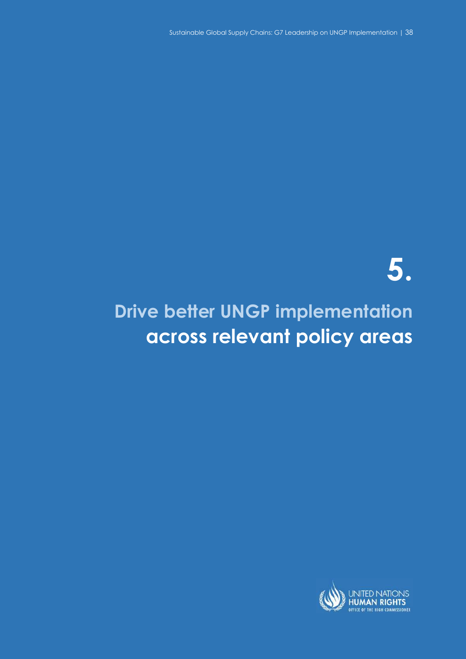Sustainable Global Supply Chains: G7 Leadership on UNGP Implementation | 38 Sustainable Global Supply Chains: G7 Leadership on UNGP Implementation | 38

# 5.

# Drive better UNGP implementation across relevant policy areas

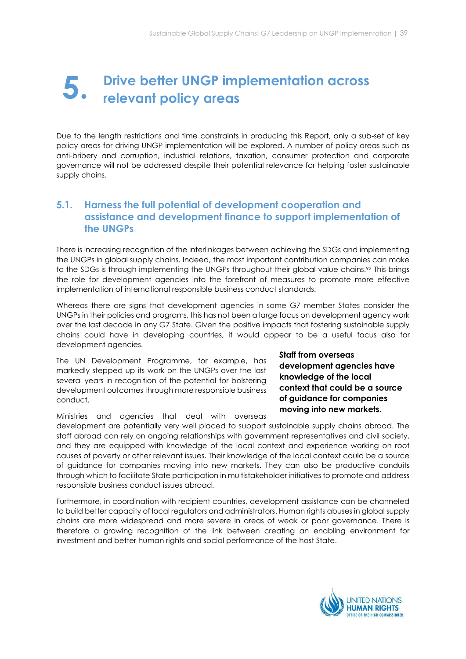# Drive better UNGP implementation across relevant policy areas 5.

Due to the length restrictions and time constraints in producing this Report, only a sub-set of key policy areas for driving UNGP implementation will be explored. A number of policy areas such as anti-bribery and corruption, industrial relations, taxation, consumer protection and corporate governance will not be addressed despite their potential relevance for helping foster sustainable supply chains.

# 5.1. Harness the full potential of development cooperation and assistance and development finance to support implementation of the UNGPs

There is increasing recognition of the interlinkages between achieving the SDGs and implementing the UNGPs in global supply chains. Indeed, the most important contribution companies can make to the SDGs is through implementing the UNGPs throughout their global value chains.<sup>92</sup> This brings the role for development agencies into the forefront of measures to promote more effective implementation of international responsible business conduct standards.

Whereas there are signs that development agencies in some G7 member States consider the UNGPs in their policies and programs, this has not been a large focus on development agency work over the last decade in any G7 State. Given the positive impacts that fostering sustainable supply chains could have in developing countries, it would appear to be a useful focus also for development agencies.

The UN Development Programme, for example, has markedly stepped up its work on the UNGPs over the last several years in recognition of the potential for bolstering development outcomes through more responsible business conduct.

Ministries and agencies that deal with overseas

Staff from overseas development agencies have knowledge of the local context that could be a source of guidance for companies moving into new markets.

development are potentially very well placed to support sustainable supply chains abroad. The staff abroad can rely on ongoing relationships with government representatives and civil society, and they are equipped with knowledge of the local context and experience working on root causes of poverty or other relevant issues. Their knowledge of the local context could be a source of guidance for companies moving into new markets. They can also be productive conduits through which to facilitate State participation in multistakeholder initiatives to promote and address responsible business conduct issues abroad.

Furthermore, in coordination with recipient countries, development assistance can be channeled to build better capacity of local regulators and administrators. Human rights abuses in global supply chains are more widespread and more severe in areas of weak or poor governance. There is therefore a growing recognition of the link between creating an enabling environment for investment and better human rights and social performance of the host State.

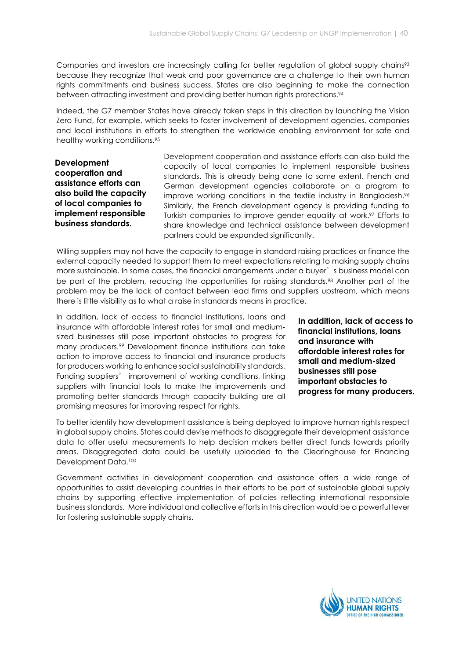Companies and investors are increasingly calling for better regulation of global supply chains<sup>93</sup> because they recognize that weak and poor governance are a challenge to their own human rights commitments and business success. States are also beginning to make the connection between attracting investment and providing better human rights protections.<sup>94</sup>

Indeed, the G7 member States have already taken steps in this direction by launching the Vision Zero Fund, for example, which seeks to foster involvement of development agencies, companies and local institutions in efforts to strengthen the worldwide enabling environment for safe and healthy working conditions.<sup>95</sup>

Development cooperation and assistance efforts can also build the capacity of local companies to implement responsible business standards.

Development cooperation and assistance efforts can also build the capacity of local companies to implement responsible business standards. This is already being done to some extent. French and German development agencies collaborate on a program to improve working conditions in the textile industry in Bangladesh.<sup>96</sup> Similarly, the French development agency is providing funding to Turkish companies to improve gender equality at work.97 Efforts to share knowledge and technical assistance between development partners could be expanded significantly.

Willing suppliers may not have the capacity to engage in standard raising practices or finance the external capacity needed to support them to meet expectations relating to making supply chains more sustainable. In some cases, the financial arrangements under a buyer's business model can be part of the problem, reducing the opportunities for raising standards.<sup>98</sup> Another part of the problem may be the lack of contact between lead firms and suppliers upstream, which means there is little visibility as to what a raise in standards means in practice.

In addition, lack of access to financial institutions, loans and insurance with affordable interest rates for small and mediumsized businesses still pose important obstacles to progress for many producers.99 Development finance institutions can take action to improve access to financial and insurance products for producers working to enhance social sustainability standards. Funding suppliers' improvement of working conditions, linking suppliers with financial tools to make the improvements and promoting better standards through capacity building are all promising measures for improving respect for rights.

In addition, lack of access to financial institutions, loans and insurance with affordable interest rates for small and medium-sized businesses still pose important obstacles to progress for many producers.

To better identify how development assistance is being deployed to improve human rights respect in global supply chains, States could devise methods to disaggregate their development assistance data to offer useful measurements to help decision makers better direct funds towards priority areas. Disaggregated data could be usefully uploaded to the Clearinghouse for Financing Development Data.<sup>100</sup>

Government activities in development cooperation and assistance offers a wide range of opportunities to assist developing countries in their efforts to be part of sustainable global supply chains by supporting effective implementation of policies reflecting international responsible business standards. More individual and collective efforts in this direction would be a powerful lever for fostering sustainable supply chains.

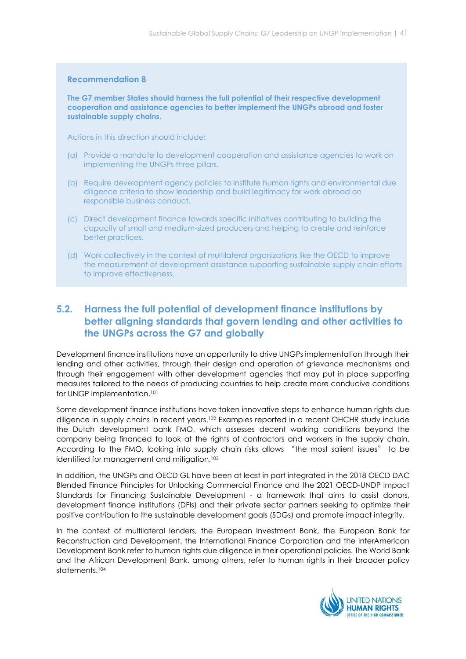#### Recommendation 8

The G7 member States should harness the full potential of their respective development cooperation and assistance agencies to better implement the UNGPs abroad and foster sustainable supply chains.

Actions in this direction should include:

- (a) Provide a mandate to development cooperation and assistance agencies to work on implementing the UNGPs three pillars.
- (b) Require development agency policies to institute human rights and environmental due diligence criteria to show leadership and build legitimacy for work abroad on responsible business conduct.
- (c) Direct development finance towards specific initiatives contributing to building the capacity of small and medium-sized producers and helping to create and reinforce better practices.
- (d) Work collectively in the context of multilateral organizations like the OECD to improve the measurement of development assistance supporting sustainable supply chain efforts to improve effectiveness.

# 5.2. Harness the full potential of development finance institutions by better aligning standards that govern lending and other activities to the UNGPs across the G7 and globally

Development finance institutions have an opportunity to drive UNGPs implementation through their lending and other activities, through their design and operation of grievance mechanisms and through their engagement with other development agencies that may put in place supporting measures tailored to the needs of producing countries to help create more conducive conditions for UNGP implementation.<sup>101</sup>

Some development finance institutions have taken innovative steps to enhance human rights due diligence in supply chains in recent years.102 Examples reported in a recent OHCHR study include the Dutch development bank FMO, which assesses decent working conditions beyond the company being financed to look at the rights of contractors and workers in the supply chain. According to the FMO, looking into supply chain risks allows "the most salient issues" to be identified for management and mitigation.<sup>103</sup>

In addition, the UNGPs and OECD GL have been at least in part integrated in the 2018 OECD DAC Blended Finance Principles for Unlocking Commercial Finance and the 2021 OECD-UNDP Impact Standards for Financing Sustainable Development - a framework that aims to assist donors, development finance institutions (DFIs) and their private sector partners seeking to optimize their positive contribution to the sustainable development goals (SDGs) and promote impact integrity.

In the context of multilateral lenders, the European Investment Bank, the European Bank for Reconstruction and Development, the International Finance Corporation and the InterAmerican Development Bank refer to human rights due diligence in their operational policies. The World Bank and the African Development Bank, among others, refer to human rights in their broader policy statements.<sup>104</sup>

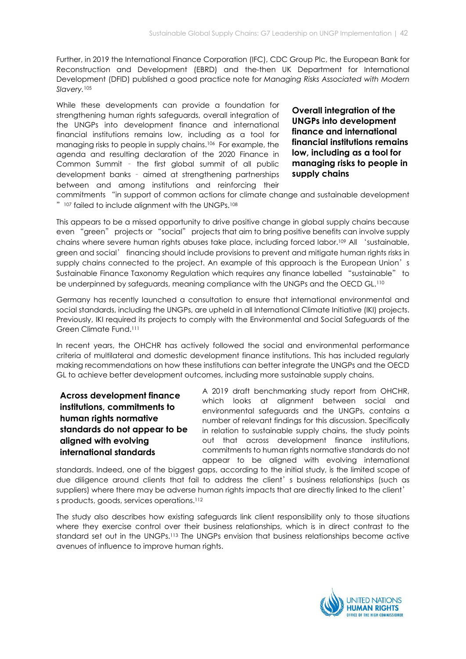Further, in 2019 the International Finance Corporation (IFC), CDC Group Plc, the European Bank for Reconstruction and Development (EBRD) and the-then UK Department for International Development (DFID) published a good practice note for Managing Risks Associated with Modern Slavery.<sup>105</sup>

While these developments can provide a foundation for strengthening human rights safeguards, overall integration of the UNGPs into development finance and international financial institutions remains low, including as a tool for managing risks to people in supply chains.106 For example, the agenda and resulting declaration of the 2020 Finance in Common Summit – the first global summit of all public development banks – aimed at strengthening partnerships between and among institutions and reinforcing their

Overall integration of the UNGPs into development finance and international financial institutions remains low, including as a tool for managing risks to people in supply chains

commitments "in support of common actions for climate change and sustainable development "<sup>107</sup> failed to include alignment with the UNGPs.<sup>108</sup>

This appears to be a missed opportunity to drive positive change in global supply chains because even "green" projects or "social" projects that aim to bring positive benefits can involve supply chains where severe human rights abuses take place, including forced labor.109 All 'sustainable, green and social' financing should include provisions to prevent and mitigate human rights risks in supply chains connected to the project. An example of this approach is the European Union's Sustainable Finance Taxonomy Regulation which requires any finance labelled "sustainable" to be underpinned by safeguards, meaning compliance with the UNGPs and the OECD GL.<sup>110</sup>

Germany has recently launched a consultation to ensure that international environmental and social standards, including the UNGPs, are upheld in all International Climate Initiative (IKI) projects. Previously, IKI required its projects to comply with the Environmental and Social Safeguards of the Green Climate Fund.<sup>111</sup>

In recent years, the OHCHR has actively followed the social and environmental performance criteria of multilateral and domestic development finance institutions. This has included regularly making recommendations on how these institutions can better integrate the UNGPs and the OECD GL to achieve better development outcomes, including more sustainable supply chains.

Across development finance institutions, commitments to human rights normative standards do not appear to be aligned with evolving international standards

A 2019 draft benchmarking study report from OHCHR, which looks at alignment between social and environmental safeguards and the UNGPs, contains a number of relevant findings for this discussion. Specifically in relation to sustainable supply chains, the study points out that across development finance institutions, commitments to human rights normative standards do not appear to be aligned with evolving international

standards. Indeed, one of the biggest gaps, according to the initial study, is the limited scope of due diligence around clients that fail to address the client's business relationships (such as suppliers) where there may be adverse human rights impacts that are directly linked to the client' s products, goods, services operations.<sup>112</sup>

The study also describes how existing safeguards link client responsibility only to those situations where they exercise control over their business relationships, which is in direct contrast to the standard set out in the UNGPs.113 The UNGPs envision that business relationships become active avenues of influence to improve human rights.

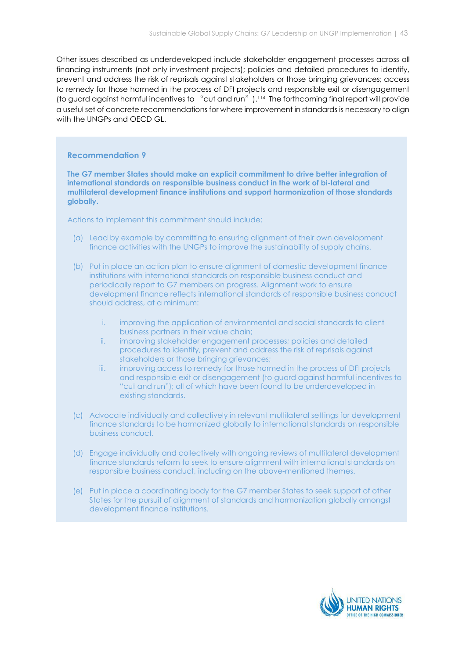Other issues described as underdeveloped include stakeholder engagement processes across all financing instruments (not only investment projects); policies and detailed procedures to identify, prevent and address the risk of reprisals against stakeholders or those bringing grievances; access to remedy for those harmed in the process of DFI projects and responsible exit or disengagement (to guard against harmful incentives to "cut and run").114 The forthcoming final report will provide a useful set of concrete recommendations for where improvement in standards is necessary to align with the UNGPs and OECD GL.

#### Recommendation 9

The G7 member States should make an explicit commitment to drive better integration of international standards on responsible business conduct in the work of bi-lateral and multilateral development finance institutions and support harmonization of those standards globally.

Actions to implement this commitment should include:

- (a) Lead by example by committing to ensuring alignment of their own development finance activities with the UNGPs to improve the sustainability of supply chains.
- (b) Put in place an action plan to ensure alignment of domestic development finance institutions with international standards on responsible business conduct and periodically report to G7 members on progress. Alignment work to ensure development finance reflects international standards of responsible business conduct should address, at a minimum:
	- i. improving the application of environmental and social standards to client business partners in their value chain;
	- ii. improving stakeholder engagement processes; policies and detailed procedures to identify, prevent and address the risk of reprisals against stakeholders or those bringing grievances;
	- iii. improving access to remedy for those harmed in the process of DFI projects and responsible exit or disengagement (to guard against harmful incentives to "cut and run"); all of which have been found to be underdeveloped in existing standards.
- (c) Advocate individually and collectively in relevant multilateral settings for development finance standards to be harmonized globally to international standards on responsible business conduct.
- (d) Engage individually and collectively with ongoing reviews of multilateral development finance standards reform to seek to ensure alignment with international standards on responsible business conduct, including on the above-mentioned themes.
- (e) Put in place a coordinating body for the G7 member States to seek support of other States for the pursuit of alignment of standards and harmonization globally amongst development finance institutions.

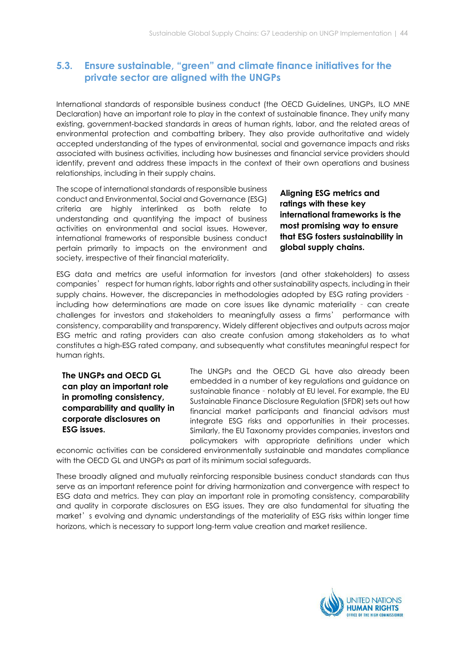# 5.3. Ensure sustainable, "green" and climate finance initiatives for the private sector are aligned with the UNGPs

International standards of responsible business conduct (the OECD Guidelines, UNGPs, ILO MNE Declaration) have an important role to play in the context of sustainable finance. They unify many existing, government-backed standards in areas of human rights, labor, and the related areas of environmental protection and combatting bribery. They also provide authoritative and widely accepted understanding of the types of environmental, social and governance impacts and risks associated with business activities, including how businesses and financial service providers should identify, prevent and address these impacts in the context of their own operations and business relationships, including in their supply chains.

The scope of international standards of responsible business conduct and Environmental, Social and Governance (ESG) criteria are highly interlinked as both relate to understanding and quantifying the impact of business activities on environmental and social issues. However, international frameworks of responsible business conduct pertain primarily to impacts on the environment and society, irrespective of their financial materiality.

Aligning ESG metrics and ratings with these key international frameworks is the most promising way to ensure that ESG fosters sustainability in global supply chains.

ESG data and metrics are useful information for investors (and other stakeholders) to assess companies' respect for human rights, labor rights and other sustainability aspects, including in their supply chains. However, the discrepancies in methodologies adopted by ESG rating providers – including how determinations are made on core issues like dynamic materiality – can create challenges for investors and stakeholders to meaningfully assess a firms' performance with consistency, comparability and transparency. Widely different objectives and outputs across major ESG metric and rating providers can also create confusion among stakeholders as to what constitutes a high-ESG rated company, and subsequently what constitutes meaningful respect for human rights.

The UNGPs and OECD GL can play an important role in promoting consistency, comparability and quality in corporate disclosures on ESG issues.

The UNGPs and the OECD GL have also already been embedded in a number of key regulations and guidance on sustainable finance – notably at EU level. For example, the EU Sustainable Finance Disclosure Regulation (SFDR) sets out how financial market participants and financial advisors must integrate ESG risks and opportunities in their processes. Similarly, the EU Taxonomy provides companies, investors and policymakers with appropriate definitions under which

economic activities can be considered environmentally sustainable and mandates compliance with the OECD GL and UNGPs as part of its minimum social safeguards.

These broadly aligned and mutually reinforcing responsible business conduct standards can thus serve as an important reference point for driving harmonization and convergence with respect to ESG data and metrics. They can play an important role in promoting consistency, comparability and quality in corporate disclosures on ESG issues. They are also fundamental for situating the market's evolving and dynamic understandings of the materiality of ESG risks within longer time horizons, which is necessary to support long-term value creation and market resilience.

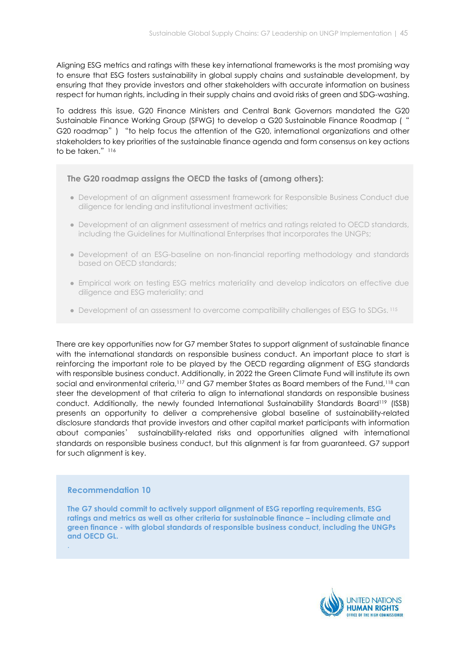Aligning ESG metrics and ratings with these key international frameworks is the most promising way to ensure that ESG fosters sustainability in global supply chains and sustainable development, by ensuring that they provide investors and other stakeholders with accurate information on business respect for human rights, including in their supply chains and avoid risks of green and SDG-washing.

To address this issue, G20 Finance Ministers and Central Bank Governors mandated the G20 Sustainable Finance Working Group (SFWG) to develop a G20 Sustainable Finance Roadmap (" G20 roadmap") "to help focus the attention of the G20, international organizations and other stakeholders to key priorities of the sustainable finance agenda and form consensus on key actions to be taken." $116$ 

## The G20 roadmap assigns the OECD the tasks of (among others):

- Development of an alignment assessment framework for Responsible Business Conduct due diligence for lending and institutional investment activities;
- Development of an alignment assessment of metrics and ratings related to OECD standards, including the Guidelines for Multinational Enterprises that incorporates the UNGPs;
- Development of an ESG-baseline on non-financial reporting methodology and standards based on OECD standards;
- Empirical work on testing ESG metrics materiality and develop indicators on effective due diligence and ESG materiality; and
- Development of an assessment to overcome compatibility challenges of ESG to SDGs.<sup>115</sup>

There are key opportunities now for G7 member States to support alignment of sustainable finance with the international standards on responsible business conduct. An important place to start is reinforcing the important role to be played by the OECD regarding alignment of ESG standards with responsible business conduct. Additionally, in 2022 the Green Climate Fund will institute its own social and environmental criteria,<sup>117</sup> and G7 member States as Board members of the Fund,<sup>118</sup> can steer the development of that criteria to align to international standards on responsible business conduct. Additionally, the newly founded International Sustainability Standards Board<sup>119</sup> (ISSB) presents an opportunity to deliver a comprehensive global baseline of sustainability-related disclosure standards that provide investors and other capital market participants with information about companies' sustainability-related risks and opportunities aligned with international standards on responsible business conduct, but this alignment is far from guaranteed. G7 support for such alignment is key.

#### Recommendation 10

.

The G7 should commit to actively support alignment of ESG reporting requirements, ESG ratings and metrics as well as other criteria for sustainable finance – including climate and green finance - with global standards of responsible business conduct, including the UNGPs and OECD GL.

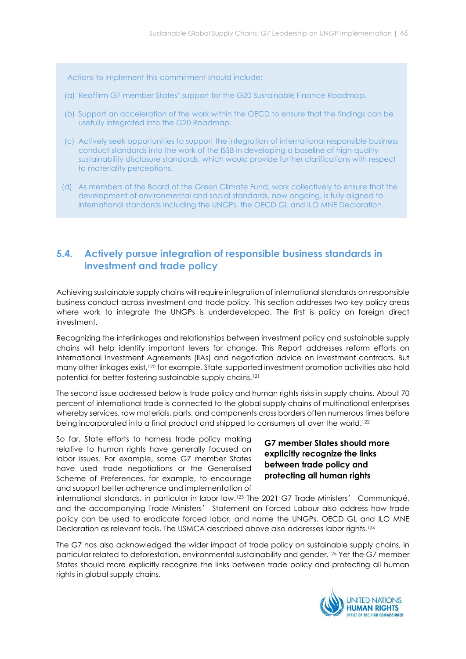Actions to implement this commitment should include:

- (a) Reaffirm G7 member States' support for the G20 Sustainable Finance Roadmap.
- (b) Support an acceleration of the work within the OECD to ensure that the findings can be usefully integrated into the G20 Roadmap.
- (c) Actively seek opportunities to support the integration of international responsible business conduct standards into the work of the ISSB in developing a baseline of high-quality sustainability disclosure standards, which would provide further clarifications with respect to materiality perceptions.
- (d) As members of the Board of the Green Climate Fund, work collectively to ensure that the development of environmental and social standards, now ongoing, is fully aligned to international standards including the UNGPs, the OECD GL and ILO MNE Declaration.

# 5.4. Actively pursue integration of responsible business standards in investment and trade policy

Achieving sustainable supply chains will require integration of international standards on responsible business conduct across investment and trade policy. This section addresses two key policy areas where work to integrate the UNGPs is underdeveloped. The first is policy on foreign direct investment.

Recognizing the interlinkages and relationships between investment policy and sustainable supply chains will help identify important levers for change. This Report addresses reform efforts on International Investment Agreements (IIAs) and negotiation advice on investment contracts. But many other linkages exist,120 for example, State-supported investment promotion activities also hold potential for better fostering sustainable supply chains.<sup>121</sup>

The second issue addressed below is trade policy and human rights risks in supply chains. About 70 percent of international trade is connected to the global supply chains of multinational enterprises whereby services, raw materials, parts, and components cross borders often numerous times before being incorporated into a final product and shipped to consumers all over the world.<sup>122</sup>

So far, State efforts to harness trade policy making relative to human rights have generally focused on labor issues. For example, some G7 member States have used trade negotiations or the Generalised Scheme of Preferences, for example, to encourage and support better adherence and implementation of

# G7 member States should more explicitly recognize the links between trade policy and protecting all human rights

international standards, in particular in labor law.123 The 2021 G7 Trade Ministers' Communiqué, and the accompanying Trade Ministers' Statement on Forced Labour also address how trade policy can be used to eradicate forced labor, and name the UNGPs, OECD GL and ILO MNE Declaration as relevant tools. The USMCA described above also addresses labor rights.<sup>124</sup>

The G7 has also acknowledged the wider impact of trade policy on sustainable supply chains, in particular related to deforestation, environmental sustainability and gender.125 Yet the G7 member States should more explicitly recognize the links between trade policy and protecting all human rights in global supply chains.

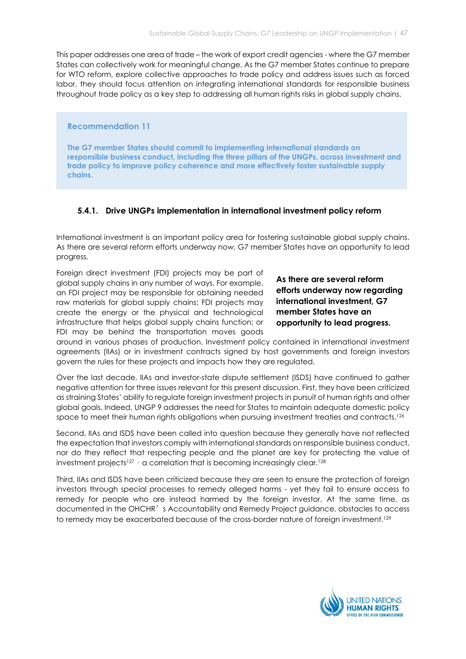This paper addresses one area of trade – the work of export credit agencies - where the G7 member States can collectively work for meaningful change. As the G7 member States continue to prepare for WTO reform, explore collective approaches to trade policy and address issues such as forced labor, they should focus attention on integrating international standards for responsible business throughout trade policy as a key step to addressing all human rights risks in global supply chains.

#### Recommendation 11

The G7 member States should commit to implementing international standards on responsible business conduct, including the three pillars of the UNGPs, across investment and trade policy to improve policy coherence and more effectively foster sustainable supply chains.

### 5.4.1. Drive UNGPs implementation in international investment policy reform

International investment is an important policy area for fostering sustainable global supply chains. As there are several reform efforts underway now, G7 member States have an opportunity to lead progress.

Foreign direct investment (FDI) projects may be part of global supply chains in any number of ways. For example, an FDI project may be responsible for obtaining needed raw materials for global supply chains; FDI projects may create the energy or the physical and technological infrastructure that helps global supply chains function; or FDI may be behind the transportation moves goods

As there are several reform efforts underway now regarding international investment, G7 member States have an opportunity to lead progress.

around in various phases of production. Investment policy contained in international investment agreements (IIAs) or in investment contracts signed by host governments and foreign investors govern the rules for these projects and impacts how they are regulated.

Over the last decade, IIAs and investor-state dispute settlement (ISDS) have continued to gather negative attention for three issues relevant for this present discussion. First, they have been criticized as straining States' ability to regulate foreign investment projects in pursuit of human rights and other global goals. Indeed, UNGP 9 addresses the need for States to maintain adequate domestic policy space to meet their human rights obligations when pursuing investment treaties and contracts.<sup>126</sup>

Second, IIAs and ISDS have been called into question because they generally have not reflected the expectation that investors comply with international standards on responsible business conduct, nor do they reflect that respecting people and the planet are key for protecting the value of investment projects<sup>127</sup> - a correlation that is becoming increasingly clear.<sup>128</sup>

Third, IIAs and ISDS have been criticized because they are seen to ensure the protection of foreign investors through special processes to remedy alleged harms - yet they fail to ensure access to remedy for people who are instead harmed by the foreign investor. At the same time, as documented in the OHCHR's Accountability and Remedy Project guidance, obstacles to access to remedy may be exacerbated because of the cross-border nature of foreign investment.<sup>129</sup>

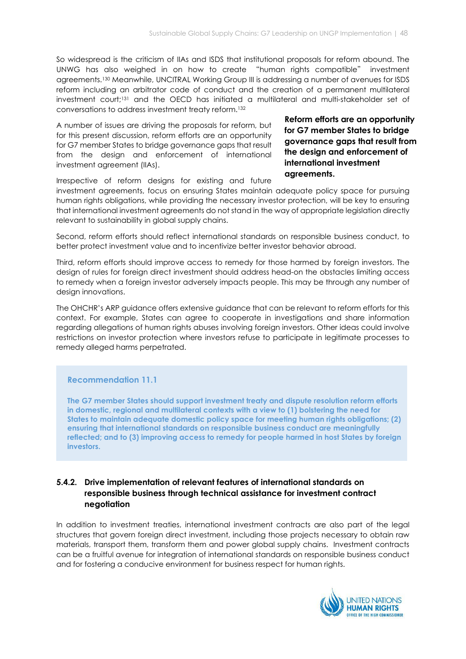So widespread is the criticism of IIAs and ISDS that institutional proposals for reform abound. The UNWG has also weighed in on how to create "human rights compatible" investment agreements.130 Meanwhile, UNCITRAL Working Group III is addressing a number of avenues for ISDS reform including an arbitrator code of conduct and the creation of a permanent multilateral investment court;131 and the OECD has initiated a multilateral and multi-stakeholder set of conversations to address investment treaty reform.<sup>132</sup>

A number of issues are driving the proposals for reform, but for this present discussion, reform efforts are an opportunity for G7 member States to bridge governance gaps that result from the design and enforcement of international investment agreement (IIAs).

Irrespective of reform designs for existing and future

investment agreements, focus on ensuring States maintain adequate policy space for pursuing human rights obligations, while providing the necessary investor protection, will be key to ensuring that international investment agreements do not stand in the way of appropriate legislation directly relevant to sustainability in global supply chains.

Second, reform efforts should reflect international standards on responsible business conduct, to better protect investment value and to incentivize better investor behavior abroad.

Third, reform efforts should improve access to remedy for those harmed by foreign investors. The design of rules for foreign direct investment should address head-on the obstacles limiting access to remedy when a foreign investor adversely impacts people. This may be through any number of design innovations.

The OHCHR's ARP guidance offers extensive guidance that can be relevant to reform efforts for this context. For example, States can agree to cooperate in investigations and share information regarding allegations of human rights abuses involving foreign investors. Other ideas could involve restrictions on investor protection where investors refuse to participate in legitimate processes to remedy alleged harms perpetrated.

## Recommendation 11.1

The G7 member States should support investment treaty and dispute resolution reform efforts in domestic, regional and multilateral contexts with a view to (1) bolstering the need for States to maintain adequate domestic policy space for meeting human rights obligations; (2) ensuring that international standards on responsible business conduct are meaningfully reflected; and to (3) improving access to remedy for people harmed in host States by foreign investors.

# 5.4.2. Drive implementation of relevant features of international standards on responsible business through technical assistance for investment contract negotiation

In addition to investment treaties, international investment contracts are also part of the legal structures that govern foreign direct investment, including those projects necessary to obtain raw materials, transport them, transform them and power global supply chains. Investment contracts can be a fruitful avenue for integration of international standards on responsible business conduct and for fostering a conducive environment for business respect for human rights.



Reform efforts are an opportunity for G7 member States to bridge governance gaps that result from the design and enforcement of international investment agreements.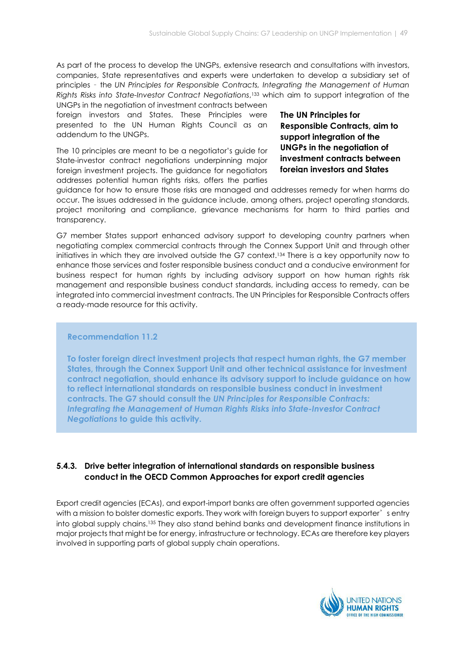As part of the process to develop the UNGPs, extensive research and consultations with investors, companies, State representatives and experts were undertaken to develop a subsidiary set of principles – the UN Principles for Responsible Contracts, Integrating the Management of Human Rights Risks into State-Investor Contract Negotiations, <sup>133</sup> which aim to support integration of the UNGPs in the negotiation of investment contracts between

foreign investors and States. These Principles were presented to the UN Human Rights Council as an addendum to the UNGPs.

The 10 principles are meant to be a negotiator's guide for State-investor contract negotiations underpinning major foreign investment projects. The guidance for negotiators addresses potential human rights risks, offers the parties

The UN Principles for Responsible Contracts, aim to support integration of the UNGPs in the negotiation of investment contracts between foreign investors and States

guidance for how to ensure those risks are managed and addresses remedy for when harms do occur. The issues addressed in the guidance include, among others, project operating standards, project monitoring and compliance, grievance mechanisms for harm to third parties and transparency.

G7 member States support enhanced advisory support to developing country partners when negotiating complex commercial contracts through the Connex Support Unit and through other initiatives in which they are involved outside the G7 context.134 There is a key opportunity now to enhance those services and foster responsible business conduct and a conducive environment for business respect for human rights by including advisory support on how human rights risk management and responsible business conduct standards, including access to remedy, can be integrated into commercial investment contracts. The UN Principles for Responsible Contracts offers a ready-made resource for this activity.

## Recommendation 11.2

To foster foreign direct investment projects that respect human rights, the G7 member States, through the Connex Support Unit and other technical assistance for investment contract negotiation, should enhance its advisory support to include guidance on how to reflect international standards on responsible business conduct in investment contracts. The G7 should consult the UN Principles for Responsible Contracts: Integrating the Management of Human Rights Risks into State-Investor Contract Negotiations to guide this activity.

# 5.4.3. Drive better integration of international standards on responsible business conduct in the OECD Common Approaches for export credit agencies

Export credit agencies (ECAs), and export-import banks are often government supported agencies with a mission to bolster domestic exports. They work with foreign buyers to support exporter's entry into global supply chains.<sup>135</sup> They also stand behind banks and development finance institutions in major projects that might be for energy, infrastructure or technology. ECAs are therefore key players involved in supporting parts of global supply chain operations.

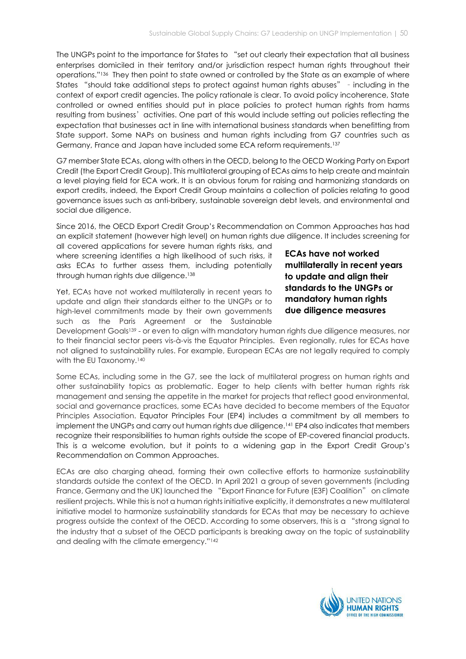The UNGPs point to the importance for States to "set out clearly their expectation that all business enterprises domiciled in their territory and/or jurisdiction respect human rights throughout their operations."136 They then point to state owned or controlled by the State as an example of where States "should take additional steps to protect against human rights abuses" – including in the context of export credit agencies. The policy rationale is clear. To avoid policy incoherence, State controlled or owned entities should put in place policies to protect human rights from harms resulting from business' activities. One part of this would include setting out policies reflecting the expectation that businesses act in line with international business standards when benefitting from State support. Some NAPs on business and human rights including from G7 countries such as Germany, France and Japan have included some ECA reform requirements.<sup>137</sup>

G7 member State ECAs, along with others in the OECD, belong to the OECD Working Party on Export Credit (the Export Credit Group). This multilateral grouping of ECAs aims to help create and maintain a level playing field for ECA work. It is an obvious forum for raising and harmonizing standards on export credits, indeed, the Export Credit Group maintains a collection of policies relating to good governance issues such as anti-bribery, sustainable sovereign debt levels, and environmental and social due diligence.

Since 2016, the OECD Export Credit Group's Recommendation on Common Approaches has had an explicit statement (however high level) on human rights due diligence. It includes screening for

all covered applications for severe human rights risks, and where screening identifies a high likelihood of such risks, it asks ECAs to further assess them, including potentially through human rights due diligence.<sup>138</sup>

Yet, ECAs have not worked multilaterally in recent years to update and align their standards either to the UNGPs or to high-level commitments made by their own governments such as the Paris Agreement or the Sustainable

ECAs have not worked multilaterally in recent years to update and align their standards to the UNGPs or mandatory human rights due diligence measures

Development Goals<sup>139</sup> - or even to align with mandatory human rights due diligence measures, nor to their financial sector peers vis-à-vis the Equator Principles. Even regionally, rules for ECAs have not aligned to sustainability rules. For example, European ECAs are not legally required to comply with the EU Taxonomy.<sup>140</sup>

Some ECAs, including some in the G7, see the lack of multilateral progress on human rights and other sustainability topics as problematic. Eager to help clients with better human rights risk management and sensing the appetite in the market for projects that reflect good environmental, social and governance practices, some ECAs have decided to become members of the Equator Principles Association. Equator Principles Four (EP4) includes a commitment by all members to implement the UNGPs and carry out human rights due diligence.141 EP4 also indicates that members recognize their responsibilities to human rights outside the scope of EP-covered financial products. This is a welcome evolution, but it points to a widening gap in the Export Credit Group's Recommendation on Common Approaches.

ECAs are also charging ahead, forming their own collective efforts to harmonize sustainability standards outside the context of the OECD. In April 2021 a group of seven governments (including France, Germany and the UK) launched the "Export Finance for Future (E3F) Coalition" on climate resilient projects. While this is not a human rights initiative explicitly, it demonstrates a new multilateral initiative model to harmonize sustainability standards for ECAs that may be necessary to achieve progress outside the context of the OECD. According to some observers, this is a "strong signal to the industry that a subset of the OECD participants is breaking away on the topic of sustainability and dealing with the climate emergency."<sup>142</sup>

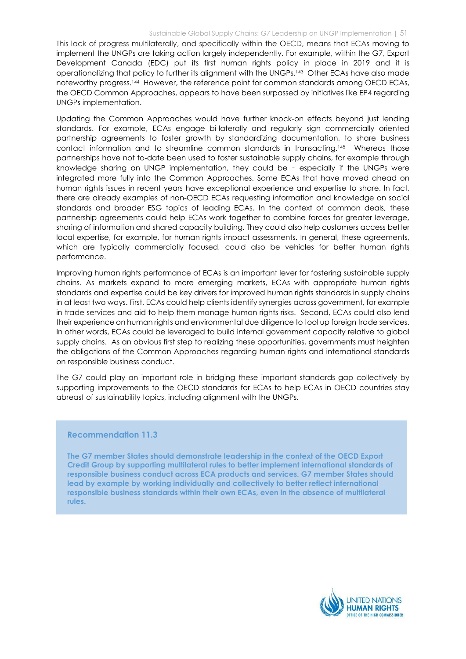This lack of progress multilaterally, and specifically within the OECD, means that ECAs moving to implement the UNGPs are taking action largely independently. For example, within the G7, Export Development Canada (EDC) put its first human rights policy in place in 2019 and it is operationalizing that policy to further its alignment with the UNGPs.<sup>143</sup> Other ECAs have also made noteworthy progress.144 However, the reference point for common standards among OECD ECAs, the OECD Common Approaches, appears to have been surpassed by initiatives like EP4 regarding UNGPs implementation.

Updating the Common Approaches would have further knock-on effects beyond just lending standards. For example, ECAs engage bi-laterally and regularly sign commercially oriented partnership agreements to foster growth by standardizing documentation, to share business contact information and to streamline common standards in transacting.145 Whereas those partnerships have not to-date been used to foster sustainable supply chains, for example through knowledge sharing on UNGP implementation, they could be – especially if the UNGPs were integrated more fully into the Common Approaches. Some ECAs that have moved ahead on human rights issues in recent years have exceptional experience and expertise to share. In fact, there are already examples of non-OECD ECAs requesting information and knowledge on social standards and broader ESG topics of leading ECAs. In the context of common deals, these partnership agreements could help ECAs work together to combine forces for greater leverage, sharing of information and shared capacity building. They could also help customers access better local expertise, for example, for human rights impact assessments. In general, these agreements, which are typically commercially focused, could also be vehicles for better human rights performance.

Improving human rights performance of ECAs is an important lever for fostering sustainable supply chains. As markets expand to more emerging markets, ECAs with appropriate human rights standards and expertise could be key drivers for improved human rights standards in supply chains in at least two ways. First, ECAs could help clients identify synergies across government, for example in trade services and aid to help them manage human rights risks. Second, ECAs could also lend their experience on human rights and environmental due diligence to tool up foreign trade services. In other words, ECAs could be leveraged to build internal government capacity relative to global supply chains. As an obvious first step to realizing these opportunities, governments must heighten the obligations of the Common Approaches regarding human rights and international standards on responsible business conduct.

The G7 could play an important role in bridging these important standards gap collectively by supporting improvements to the OECD standards for ECAs to help ECAs in OECD countries stay abreast of sustainability topics, including alignment with the UNGPs.

#### Recommendation 11.3

The G7 member States should demonstrate leadership in the context of the OECD Export Credit Group by supporting multilateral rules to better implement international standards of responsible business conduct across ECA products and services. G7 member States should lead by example by working individually and collectively to better reflect international responsible business standards within their own ECAs, even in the absence of multilateral rules.

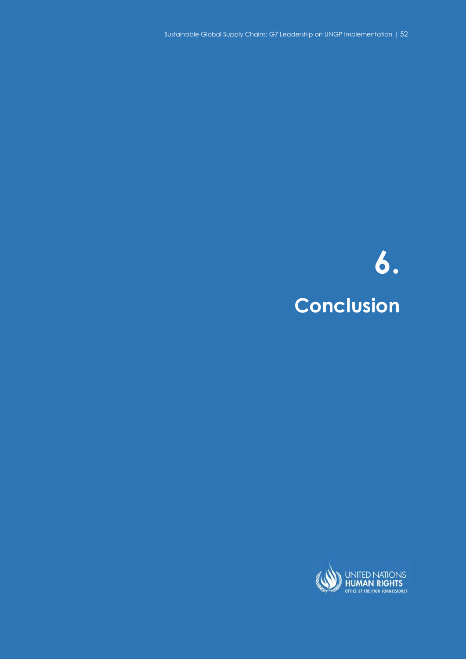Sustainable Global Supply Chains: G7 Leadership on UNGP Implementation | 52 Sustainable Global Supply Chains: G7 Leadership on UNGP Implementation | 52

# 6. **Conclusion**

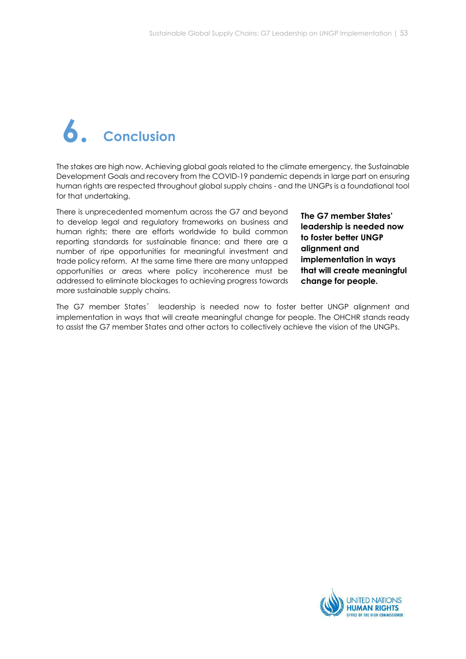# 6. Conclusion

The stakes are high now. Achieving global goals related to the climate emergency, the Sustainable Development Goals and recovery from the COVID-19 pandemic depends in large part on ensuring human rights are respected throughout global supply chains - and the UNGPs is a foundational tool for that undertaking.

There is unprecedented momentum across the G7 and beyond to develop legal and regulatory frameworks on business and human rights; there are efforts worldwide to build common reporting standards for sustainable finance; and there are a number of ripe opportunities for meaningful investment and trade policy reform. At the same time there are many untapped opportunities or areas where policy incoherence must be addressed to eliminate blockages to achieving progress towards more sustainable supply chains.

The G7 member States' leadership is needed now to foster better UNGP alignment and implementation in ways that will create meaningful change for people.

The G7 member States' leadership is needed now to foster better UNGP alignment and implementation in ways that will create meaningful change for people. The OHCHR stands ready to assist the G7 member States and other actors to collectively achieve the vision of the UNGPs.

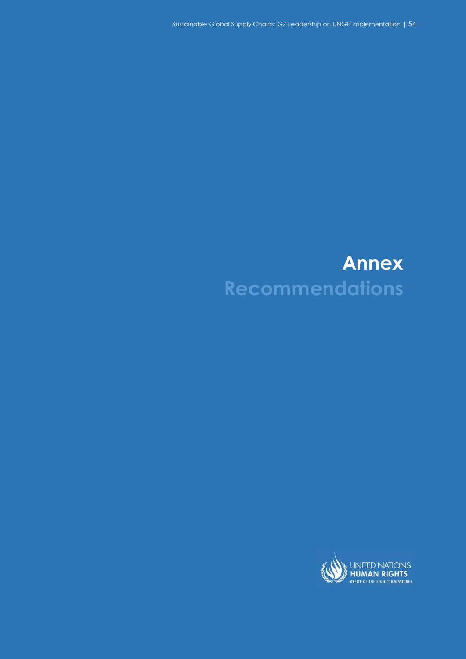Sustainable Global Supply Chains: G7 Leadership on UNGP Implementation | 54

# Annex Recommendations

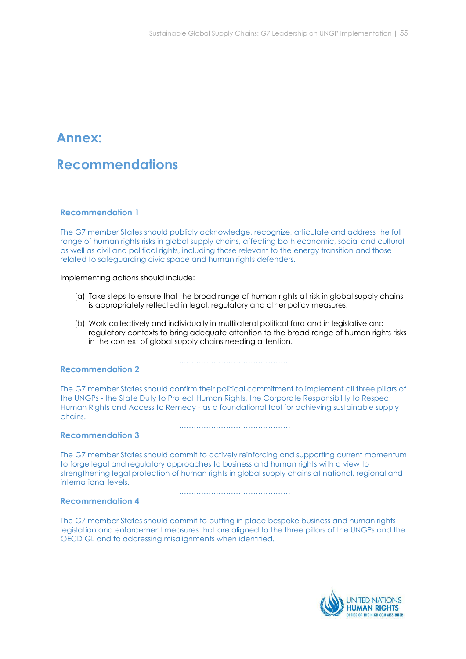# Annex:

# Recommendations

### Recommendation 1

The G7 member States should publicly acknowledge, recognize, articulate and address the full range of human rights risks in global supply chains, affecting both economic, social and cultural as well as civil and political rights, including those relevant to the energy transition and those related to safeguarding civic space and human rights defenders.

Implementing actions should include:

- (a) Take steps to ensure that the broad range of human rights at risk in global supply chains is appropriately reflected in legal, regulatory and other policy measures.
- (b) Work collectively and individually in multilateral political fora and in legislative and regulatory contexts to bring adequate attention to the broad range of human rights risks in the context of global supply chains needing attention.

#### Recommendation 2

The G7 member States should confirm their political commitment to implement all three pillars of the UNGPs - the State Duty to Protect Human Rights, the Corporate Responsibility to Respect Human Rights and Access to Remedy - as a foundational tool for achieving sustainable supply chains.

………………………………………

………………………………………

#### Recommendation 3

The G7 member States should commit to actively reinforcing and supporting current momentum to forge legal and regulatory approaches to business and human rights with a view to strengthening legal protection of human rights in global supply chains at national, regional and international levels.

………………………………………

#### Recommendation 4

The G7 member States should commit to putting in place bespoke business and human rights legislation and enforcement measures that are aligned to the three pillars of the UNGPs and the OECD GL and to addressing misalignments when identified.

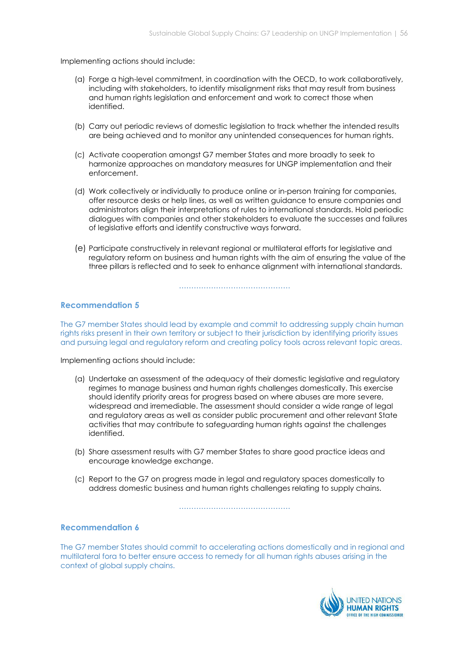Implementing actions should include:

- (a) Forge a high-level commitment, in coordination with the OECD, to work collaboratively, including with stakeholders, to identify misalignment risks that may result from business and human rights legislation and enforcement and work to correct those when identified.
- (b) Carry out periodic reviews of domestic legislation to track whether the intended results are being achieved and to monitor any unintended consequences for human rights.
- (c) Activate cooperation amongst G7 member States and more broadly to seek to harmonize approaches on mandatory measures for UNGP implementation and their enforcement.
- (d) Work collectively or individually to produce online or in-person training for companies, offer resource desks or help lines, as well as written guidance to ensure companies and administrators align their interpretations of rules to international standards. Hold periodic dialogues with companies and other stakeholders to evaluate the successes and failures of legislative efforts and identify constructive ways forward.
- (e) Participate constructively in relevant regional or multilateral efforts for legislative and regulatory reform on business and human rights with the aim of ensuring the value of the three pillars is reflected and to seek to enhance alignment with international standards.

#### ………………………………………

#### Recommendation 5

The G7 member States should lead by example and commit to addressing supply chain human rights risks present in their own territory or subject to their jurisdiction by identifying priority issues and pursuing legal and regulatory reform and creating policy tools across relevant topic areas.

Implementing actions should include:

- (a) Undertake an assessment of the adequacy of their domestic legislative and regulatory regimes to manage business and human rights challenges domestically. This exercise should identify priority areas for progress based on where abuses are more severe, widespread and irremediable. The assessment should consider a wide range of legal and regulatory areas as well as consider public procurement and other relevant State activities that may contribute to safeguarding human rights against the challenges identified.
- (b) Share assessment results with G7 member States to share good practice ideas and encourage knowledge exchange.
- (c) Report to the G7 on progress made in legal and regulatory spaces domestically to address domestic business and human rights challenges relating to supply chains.

………………………………………

#### Recommendation 6

The G7 member States should commit to accelerating actions domestically and in regional and multilateral fora to better ensure access to remedy for all human rights abuses arising in the context of global supply chains.

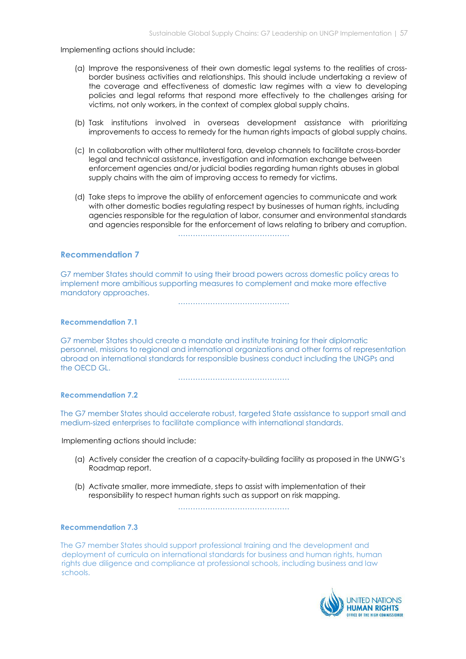Implementing actions should include:

- (a) Improve the responsiveness of their own domestic legal systems to the realities of crossborder business activities and relationships. This should include undertaking a review of the coverage and effectiveness of domestic law regimes with a view to developing policies and legal reforms that respond more effectively to the challenges arising for victims, not only workers, in the context of complex global supply chains.
- (b) Task institutions involved in overseas development assistance with prioritizing improvements to access to remedy for the human rights impacts of global supply chains.
- (c) In collaboration with other multilateral fora, develop channels to facilitate cross-border legal and technical assistance, investigation and information exchange between enforcement agencies and/or judicial bodies regarding human rights abuses in global supply chains with the aim of improving access to remedy for victims.
- (d) Take steps to improve the ability of enforcement agencies to communicate and work with other domestic bodies regulating respect by businesses of human rights, including agencies responsible for the regulation of labor, consumer and environmental standards and agencies responsible for the enforcement of laws relating to bribery and corruption.

………………………………………

### Recommendation 7

G7 member States should commit to using their broad powers across domestic policy areas to implement more ambitious supporting measures to complement and make more effective mandatory approaches.

………………………………………

#### Recommendation 7.1

G7 member States should create a mandate and institute training for their diplomatic personnel, missions to regional and international organizations and other forms of representation abroad on international standards for responsible business conduct including the UNGPs and the OECD GL.

………………………………………

#### Recommendation 7.2

The G7 member States should accelerate robust, targeted State assistance to support small and medium-sized enterprises to facilitate compliance with international standards.

Implementing actions should include:

- (a) Actively consider the creation of a capacity-building facility as proposed in the UNWG's Roadmap report.
- (b) Activate smaller, more immediate, steps to assist with implementation of their responsibility to respect human rights such as support on risk mapping.

………………………………………

#### Recommendation 7.3

The G7 member States should support professional training and the development and deployment of curricula on international standards for business and human rights, human rights due diligence and compliance at professional schools, including business and law schools.

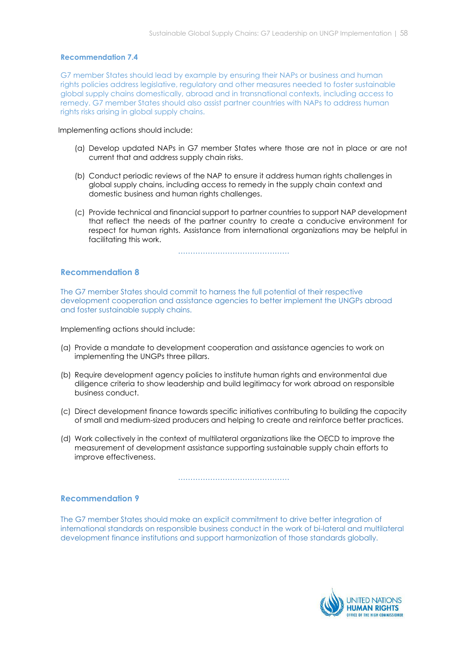#### Recommendation 7.4

G7 member States should lead by example by ensuring their NAPs or business and human rights policies address legislative, regulatory and other measures needed to foster sustainable global supply chains domestically, abroad and in transnational contexts, including access to remedy. G7 member States should also assist partner countries with NAPs to address human rights risks arising in global supply chains.

Implementing actions should include:

- (a) Develop updated NAPs in G7 member States where those are not in place or are not current that and address supply chain risks.
- (b) Conduct periodic reviews of the NAP to ensure it address human rights challenges in global supply chains, including access to remedy in the supply chain context and domestic business and human rights challenges.
- (c) Provide technical and financial support to partner countries to support NAP development that reflect the needs of the partner country to create a conducive environment for respect for human rights. Assistance from international organizations may be helpful in facilitating this work.

………………………………………

#### Recommendation 8

The G7 member States should commit to harness the full potential of their respective development cooperation and assistance agencies to better implement the UNGPs abroad and foster sustainable supply chains.

Implementing actions should include:

- (a) Provide a mandate to development cooperation and assistance agencies to work on implementing the UNGPs three pillars.
- (b) Require development agency policies to institute human rights and environmental due diligence criteria to show leadership and build legitimacy for work abroad on responsible business conduct.
- (c) Direct development finance towards specific initiatives contributing to building the capacity of small and medium-sized producers and helping to create and reinforce better practices.
- (d) Work collectively in the context of multilateral organizations like the OECD to improve the measurement of development assistance supporting sustainable supply chain efforts to improve effectiveness.

………………………………………

#### Recommendation 9

The G7 member States should make an explicit commitment to drive better integration of international standards on responsible business conduct in the work of bi-lateral and multilateral development finance institutions and support harmonization of those standards globally.

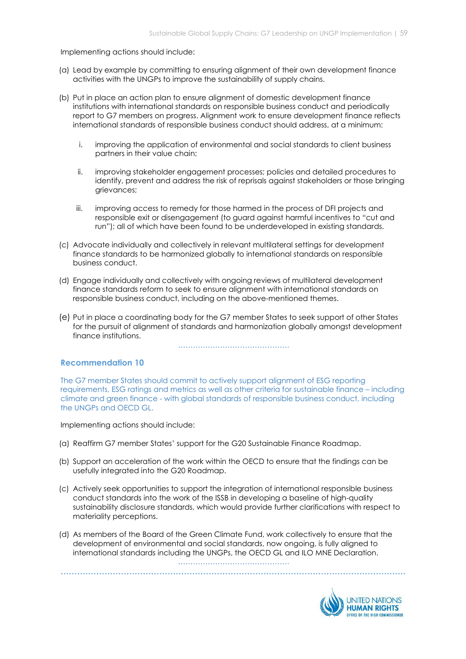#### Implementing actions should include:

- (a) Lead by example by committing to ensuring alignment of their own development finance activities with the UNGPs to improve the sustainability of supply chains.
- (b) Put in place an action plan to ensure alignment of domestic development finance institutions with international standards on responsible business conduct and periodically report to G7 members on progress. Alignment work to ensure development finance reflects international standards of responsible business conduct should address, at a minimum:
	- i. improving the application of environmental and social standards to client business partners in their value chain;
	- ii. improving stakeholder engagement processes; policies and detailed procedures to identify, prevent and address the risk of reprisals against stakeholders or those bringing grievances;
	- iii. improving access to remedy for those harmed in the process of DFI projects and responsible exit or disengagement (to guard against harmful incentives to "cut and run"); all of which have been found to be underdeveloped in existing standards.
- (c) Advocate individually and collectively in relevant multilateral settings for development finance standards to be harmonized globally to international standards on responsible business conduct.
- (d) Engage individually and collectively with ongoing reviews of multilateral development finance standards reform to seek to ensure alignment with international standards on responsible business conduct, including on the above-mentioned themes.
- (e) Put in place a coordinating body for the G7 member States to seek support of other States for the pursuit of alignment of standards and harmonization globally amongst development finance institutions.

………………………………………

#### Recommendation 10

The G7 member States should commit to actively support alignment of ESG reporting requirements, ESG ratings and metrics as well as other criteria for sustainable finance – including climate and green finance - with global standards of responsible business conduct, including the UNGPs and OECD GL.

Implementing actions should include:

- (a) Reaffirm G7 member States' support for the G20 Sustainable Finance Roadmap.
- (b) Support an acceleration of the work within the OECD to ensure that the findings can be usefully integrated into the G20 Roadmap.
- (c) Actively seek opportunities to support the integration of international responsible business conduct standards into the work of the ISSB in developing a baseline of high-quality sustainability disclosure standards, which would provide further clarifications with respect to materiality perceptions.
- (d) As members of the Board of the Green Climate Fund, work collectively to ensure that the development of environmental and social standards, now ongoing, is fully aligned to international standards including the UNGPs, the OECD GL and ILO MNE Declaration.

………………………………………………………………………………………………………………

………………………………………

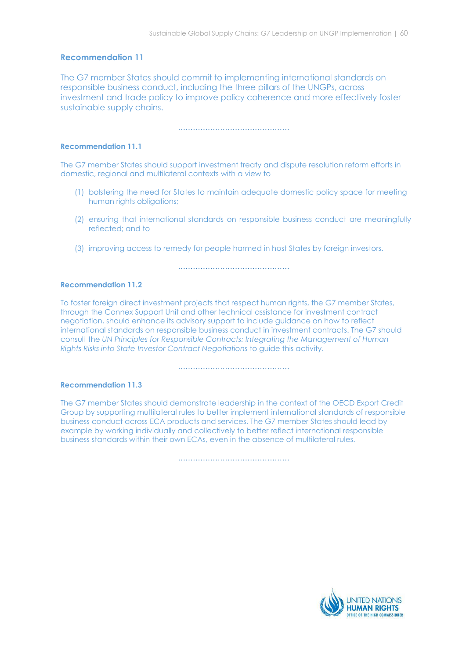# Recommendation 11

The G7 member States should commit to implementing international standards on responsible business conduct, including the three pillars of the UNGPs, across investment and trade policy to improve policy coherence and more effectively foster sustainable supply chains.

………………………………………

### Recommendation 11.1

The G7 member States should support investment treaty and dispute resolution reform efforts in domestic, regional and multilateral contexts with a view to

- (1) bolstering the need for States to maintain adequate domestic policy space for meeting human rights obligations;
- (2) ensuring that international standards on responsible business conduct are meaningfully reflected; and to
- (3) improving access to remedy for people harmed in host States by foreign investors.

………………………………………

#### Recommendation 11.2

To foster foreign direct investment projects that respect human rights, the G7 member States, through the Connex Support Unit and other technical assistance for investment contract negotiation, should enhance its advisory support to include guidance on how to reflect international standards on responsible business conduct in investment contracts. The G7 should consult the UN Principles for Responsible Contracts: Integrating the Management of Human Rights Risks into State-Investor Contract Negotiations to guide this activity.

………………………………………

#### Recommendation 11.3

The G7 member States should demonstrate leadership in the context of the OECD Export Credit Group by supporting multilateral rules to better implement international standards of responsible business conduct across ECA products and services. The G7 member States should lead by example by working individually and collectively to better reflect international responsible business standards within their own ECAs, even in the absence of multilateral rules.

………………………………………

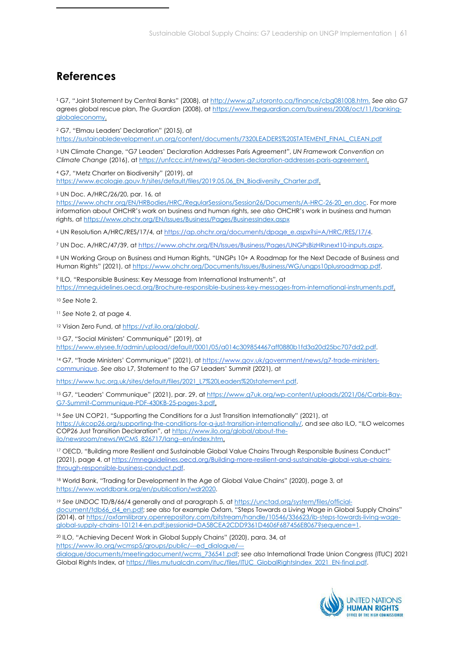# References

<sup>1</sup> G7, "Joint Statement by Central Banks" (2008), at http://www.g7.utoronto.ca/finance/cbg081008.htm. See also G7 agrees global rescue plan, The Guardian (2008), at https://www.theguardian.com/business/2008/oct/11/bankingglobaleconomy.

<sup>2</sup> G7, "Elmau Leaders' Declaration" (2015), at

https://sustainabledevelopment.un.org/content/documents/7320LEADERS%20STATEMENT\_FINAL\_CLEAN.pdf

<sup>3</sup> UN Climate Change, "G7 Leaders' Declaration Addresses Paris Agreement", UN Framework Convention on Climate Change (2016), at https://unfccc.int/news/g7-leaders-declaration-addresses-paris-agreement.

<sup>4</sup> G7, "Metz Charter on Biodiversity" (2019), at https://www.ecologie.gouv.fr/sites/default/files/2019.05.06 EN\_Biodiversity\_Charter.pdf.

<sup>5</sup> UN Doc. A/HRC/26/20, par. 16, at

https://www.ohchr.org/EN/HRBodies/HRC/RegularSessions/Session26/Documents/A-HRC-26-20\_en.doc. For more information about OHCHR's work on business and human rights, see also OHCHR's work in business and human rights, at https://www.ohchr.org/EN/Issues/Business/Pages/BusinessIndex.aspx

<sup>6</sup> UN Resolution A/HRC/RES/17/4, at https://ap.ohchr.org/documents/dpage\_e.aspx?si=A/HRC/RES/17/4.

<sup>7</sup> UN Doc. A/HRC/47/39, at https://www.ohchr.org/EN/Issues/Business/Pages/UNGPsBizHRsnext10-inputs.aspx.

<sup>8</sup> UN Working Group on Business and Human Rights, "UNGPs 10+ A Roadmap for the Next Decade of Business and Human Rights" (2021), at https://www.ohchr.org/Documents/Issues/Business/WG/ungps10plusroadmap.pdf.

<sup>9</sup> ILO, "Responsible Business: Key Message from International Instruments", at

https://mneguidelines.oecd.org/Brochure-responsible-business-key-messages-from-international-instruments.pdf.

<sup>10</sup> See Note 2.

<sup>11</sup> See Note 2, at page 4.

<sup>12</sup> Vision Zero Fund, at https://vzf.ilo.org/global/.

<sup>13</sup> G7, "Social Ministers' Communiqué" (2019), at https://www.elysee.fr/admin/upload/default/0001/05/a014c309854467aff0880b1fd3a20d25bc707dd2.pdf.

14 G7, "Trade Ministers' Communique" (2021), at https://www.gov.uk/government/news/g7-trade-ministerscommunique. See also L7, Statement to the G7 Leaders' Summit (2021), at

https://www.tuc.org.uk/sites/default/files/2021\_L7%20Leaders%20statement.pdf.

15 G7, "Leaders' Communique" (2021), par. 29, at https://www.g7uk.org/wp-content/uploads/2021/06/Carbis-Bay-G7-Summit-Communique-PDF-430KB-25-pages-3.pdf.

<sup>16</sup> See UN COP21, "Supporting the Conditions for a Just Transition Internationally" (2021), at https://ukcop26.org/supporting-the-conditions-for-a-just-transition-internationally/, and see also ILO, "ILO welcomes COP26 Just Transition Declaration", at https://www.ilo.org/global/about-theilo/newsroom/news/WCMS\_826717/lang--en/index.htm.

17 OECD, "Building more Resilient and Sustainable Global Value Chains Through Responsible Business Conduct" (2021), page 4, at https://mneguidelines.oecd.org/Building-more-resilient-and-sustainable-global-value-chainsthrough-responsible-business-conduct.pdf.

18 World Bank, "Trading for Development In the Age of Global Value Chains" (2020), page 3, at https://www.worldbank.org/en/publication/wdr2020.

<sup>19</sup> See UNDOC TD/B/66/4 generally and at paragraph 5, at https://unctad.org/system/files/officialdocument/tdb66\_d4\_en.pdf; see also for example Oxfam, "Steps Towards a Living Wage in Global Supply Chains" (2014), at https://oxfamilibrary.openrepository.com/bitstream/handle/10546/336623/ib-steps-towards-living-wageglobal-supply-chains-101214-en.pdf;jsessionid=DA58CEA2CDD9361D4606F687456E8067?sequence=1.

<sup>20</sup> ILO, "Achieving Decent Work in Global Supply Chains" (2020), para. 34, at https://www.ilo.org/wcmsp5/groups/public/---ed\_dialogue/---

dialogue/documents/meetingdocument/wcms\_736541.pdf; see also International Trade Union Congress (ITUC) 2021 Global Rights Index, at https://files.mutualcdn.com/ituc/files/ITUC\_GlobalRightsIndex\_2021\_EN-final.pdf.

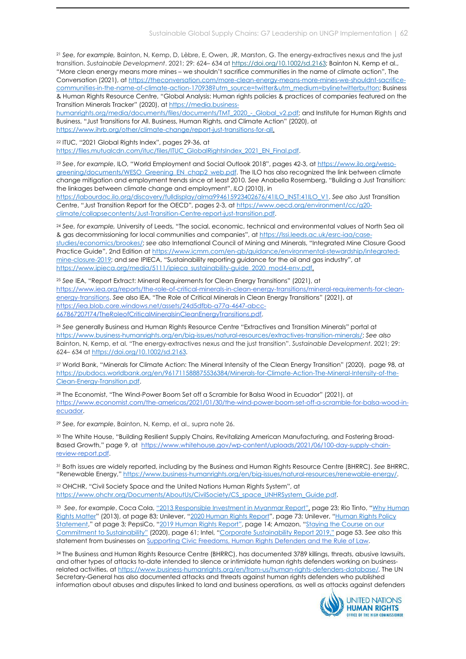<sup>21</sup> See, for example, Bainton, N, Kemp, D, Lèbre, E, Owen, JR, Marston, G. The energy-extractives nexus and the just transition. Sustainable Development. 2021; 29: 624- 634 at https://doi.org/10.1002/sd.2163; Bainton N, Kemp et al., "More clean energy means more mines – we shouldn't sacrifice communities in the name of climate action", The Conversation (2021), at https://theconversation.com/more-clean-energy-means-more-mines-we-shouldnt-sacrificecommunities-in-the-name-of-climate-action-170938?utm\_source=twitter&utm\_medium=bylinetwitterbutton; Business & Human Rights Resource Centre, "Global Analysis: Human rights policies & practices of companies featured on the Transition Minerals Tracker" (2020), at https://media.business-

humanrights.org/media/documents/files/documents/TMT\_2020\_-\_Global\_v2.pdf; and Institute for Human Rights and Business, "Just Transitions for All. Business, Human Rights, and Climate Action" (2020), at https://www.ihrb.org/other/climate-change/report-just-transitions-for-all.

<sup>22</sup> ITUC, "2021 Global Rights Index", pages 29-36, at

https://files.mutualcdn.com/ituc/files/ITUC\_GlobalRightsIndex\_2021\_EN\_Final.pdf.

<sup>23</sup> See, for example, ILO, "World Employment and Social Outlook 2018", pages 42-3, at https://www.ilo.org/wesogreening/documents/WESO\_Greening\_EN\_chap2\_web.pdf. The ILO has also recognized the link between climate change mitigation and employment trends since at least 2010. See Anabella Rosemberg, "Building a Just Transition: the linkages between climate change and employment", ILO (2010), in

https://labourdoc.ilo.org/discovery/fulldisplay/alma994615923402676/41ILO\_INST:41ILO\_V1. See also Just Transition Centre, "Just Transition Report for the OECD", pages 2-3, at https://www.oecd.org/environment/cc/g20 climate/collapsecontents/Just-Transition-Centre-report-just-transition.pdf.

<sup>24</sup> See, for example, University of Leeds, "The social, economic, technical and environmental values of North Sea oil & gas decommissioning for local communities and companies", at https://lssi.leeds.ac.uk/esrc-iaa/casestudies/economics/brookes/; see also International Council of Mining and Minerals, "Integrated Mine Closure Good Practice Guide", 2nd Edition at https://www.icmm.com/en-gb/guidance/environmental-stewardship/integratedmine-closure-2019; and see IPIECA, "Sustainability reporting guidance for the oil and gas industry", at https://www.ipieca.org/media/5111/ipieca\_sustainability-guide\_2020\_mod4-env.pdf.

<sup>25</sup> See IEA, "Report Extract: Mineral Requirements for Clean Energy Transitions" (2021), at https://www.iea.org/reports/the-role-of-critical-minerals-in-clean-energy-transitions/mineral-requirements-for-cleanenergy-transitions. See also IEA, "The Role of Critical Minerals in Clean Energy Transitions" (2021), at https://iea.blob.core.windows.net/assets/24d5dfbb-a77a-4647-abcc-667867207f74/TheRoleofCriticalMineralsinCleanEnergyTransitions.pdf.

<sup>26</sup> See generally Business and Human Rights Resource Centre "Extractives and Transition Minerals" portal at https://www.business-humanrights.org/en/big-issues/natural-resources/extractives-transition-minerals/; See also Bainton, N, Kemp, et al. "The energy-extractives nexus and the just transition". Sustainable Development. 2021; 29: 624– 634 at https://doi.org/10.1002/sd.2163.

<sup>27</sup> World Bank, "Minerals for Climate Action: The Mineral Intensity of the Clean Energy Transition" (2020), page 98, at https://pubdocs.worldbank.org/en/961711588875536384/Minerals-for-Climate-Action-The-Mineral-Intensity-of-the-Clean-Energy-Transition.pdf.

<sup>28</sup> The Economist, "The Wind-Power Boom Set off a Scramble for Balsa Wood in Ecuador" (2021), at https://www.economist.com/the-americas/2021/01/30/the-wind-power-boom-set-off-a-scramble-for-balsa-wood-inecuador.

<sup>29</sup> See, for example, Bainton, N, Kemp, et al., supra note 26.

30 The White House, "Building Resilient Supply Chains, Revitalizing American Manufacturing, and Fostering Broad-Based Growth," page 9, at https://www.whitehouse.gov/wp-content/uploads/2021/06/100-day-supply-chainreview-report.pdf.

<sup>31</sup> Both issues are widely reported, including by the Business and Human Rights Resource Centre (BHRRC). See BHRRC, "Renewable Energy," https://www.business-humanrights.org/en/big-issues/natural-resources/renewable-energy/.

<sup>32</sup> OHCHR, "Civil Society Space and the United Nations Human Rights System", at https://www.ohchr.org/Documents/AboutUs/CivilSociety/CS\_space\_UNHRSystem\_Guide.pdf.

33 See, for example, Coca Cola, "2013 Responsible Investment in Myanmar Report", page 23; Rio Tinto, "Why Human Rights Matter" (2013), at page 83; Unilever, "2020 Human Rights Report", page 73; Unilever, "Human Rights Policy Statement," at page 3; PepsiCo, "2019 Human Rights Report", page 14; Amazon, "Staying the Course on our Commitment to Sustainability" (2020), page 61; Intel, "Corporate Sustainability Report 2019," page 53. See also this statement from businesses on Supporting Civic Freedoms, Human Rights Defenders and the Rule of Law.

<sup>34</sup> The Business and Human Rights Resource Centre (BHRRC), has documented 3789 killings, threats, abusive lawsuits, and other types of attacks to-date intended to silence or intimidate human rights defenders working on businessrelated activities, at https://www.business-humanrights.org/en/from-us/human-rights-defenders-database/. The UN Secretary-General has also documented attacks and threats against human rights defenders who published information about abuses and disputes linked to land and business operations, as well as attacks against defenders

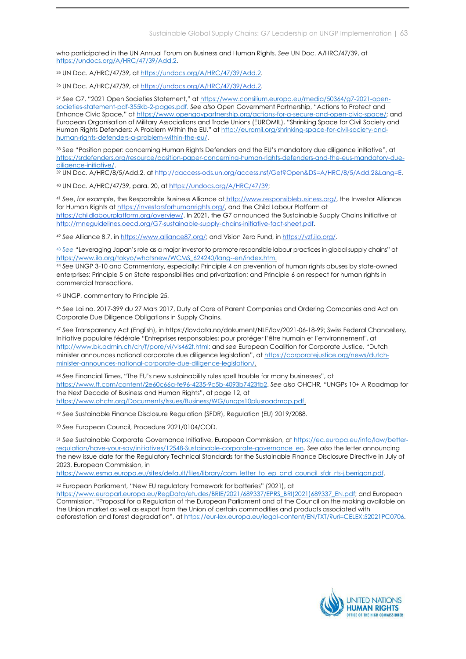who participated in the UN Annual Forum on Business and Human Rights. See UN Doc. A/HRC/47/39, at https://undocs.org/A/HRC/47/39/Add.2.

<sup>35</sup> UN Doc. A/HRC/47/39, at https://undocs.org/A/HRC/47/39/Add.2.

<sup>36</sup> UN Doc. A/HRC/47/39, at https://undocs.org/A/HRC/47/39/Add.2.

<sup>37</sup> See G7, "2021 Open Societies Statement," at https://www.consilium.europa.eu/media/50364/g7-2021-opensocieties-statement-pdf-355kb-2-pages.pdf. See also Open Government Partnership, "Actions to Protect and Enhance Civic Space," at https://www.opengovpartnership.org/actions-for-a-secure-and-open-civic-space/; and European Organisation of Military Associations and Trade Unions (EUROMIL), "Shrinking Space for Civil Society and Human Rights Defenders: A Problem Within the EU," at http://euromil.org/shrinking-space-for-civil-society-andhuman-rights-defenders-a-problem-within-the-eu/.

<sup>38</sup> See "Position paper: concerning Human Rights Defenders and the EU's mandatory due diligence initiative", at https://srdefenders.org/resource/position-paper-concerning-human-rights-defenders-and-the-eus-mandatory-duediligence-initiative/.

<sup>39</sup> UN Doc. A/HRC/8/5/Add.2, at http://daccess-ods.un.org/access.nsf/Get?Open&DS=A/HRC/8/5/Add.2&Lang=E.

<sup>40</sup> UN Doc. A/HRC/47/39, para. 20, at https://undocs.org/A/HRC/47/39;

41 See, for example, the Responsible Business Alliance at http://www.responsiblebusiness.org/, the Investor Alliance for Human Rights at https://investorsforhumanrights.org/, and the Child Labour Platform at https://childlabourplatform.org/overview/. In 2021, the G7 announced the Sustainable Supply Chains Initiative at http://mneguidelines.oecd.org/G7-sustainable-supply-chains-initiative-fact-sheet.pdf.

<sup>42</sup> See Alliance 8.7, in https://www.alliance87.org/; and Vision Zero Fund, in https://vzf.ilo.org/.

43 See "Leveraging Japan's role as a major investor to promote responsible labour practices in global supply chains" at https://www.ilo.org/tokyo/whatsnew/WCMS\_624240/lang--en/index.htm.

<sup>44</sup> See UNGP 3-10 and Commentary, especially: Principle 4 on prevention of human rights abuses by state-owned enterprises; Principle 5 on State responsibilities and privatization; and Principle 6 on respect for human rights in commercial transactions.

<sup>45</sup> UNGP, commentary to Principle 25.

<sup>46</sup> See Loi no. 2017-399 du 27 Mars 2017, Duty of Care of Parent Companies and Ordering Companies and Act on Corporate Due Diligence Obligations in Supply Chains.

<sup>47</sup> See Transparency Act (English), in https://lovdata.no/dokument/NLE/lov/2021-06-18-99; Swiss Federal Chancellery, Initiative populaire fédérale "Entreprises responsables: pour protéger l'être humain et l'environnement", at http://www.bk.admin.ch/ch/f/pore/vi/vis462t.html; and see European Coalition for Corporate Justice, "Dutch minister announces national corporate due diligence legislation", at https://corporatejustice.org/news/dutchminister-announces-national-corporate-due-diligence-legislation/.

<sup>48</sup> See Financial Times, "The EU's new sustainability rules spell trouble for many businesses", at https://www.ft.com/content/2e60c66a-fe96-4235-9c5b-4093b7423fb2. See also OHCHR, "UNGPs 10+ A Roadmap for the Next Decade of Business and Human Rights", at page 12, at https://www.ohchr.org/Documents/Issues/Business/WG/ungps10plusroadmap.pdf.

<sup>49</sup> See Sustainable Finance Disclosure Regulation (SFDR), Regulation (EU) 2019/2088.

<sup>50</sup> See European Council, Procedure 2021/0104/COD.

51 See Sustainable Corporate Governance Initiative, European Commission, at https://ec.europa.eu/info/law/betterregulation/have-your-say/initiatives/12548-Sustainable-corporate-governance\_en. See also the letter announcing the new issue date for the Regulatory Technical Standards for the Sustainable Finance Disclosure Directive in July of 2023, European Commission, in

https://www.esma.europa.eu/sites/default/files/library/com\_letter\_to\_ep\_and\_council\_sfdr\_rts-j.berrigan.pdf.

<sup>52</sup> European Parliament, "New EU regulatory framework for batteries" (2021), at https://www.europarl.europa.eu/RegData/etudes/BRIE/2021/689337/EPRS\_BRI(2021)689337\_EN.pdf; and European Commission, "Proposal for a Regulation of the European Parliament and of the Council on the making available on the Union market as well as export from the Union of certain commodities and products associated with deforestation and forest degradation", at https://eur-lex.europa.eu/legal-content/EN/TXT/?uri=CELEX:52021PC0706.

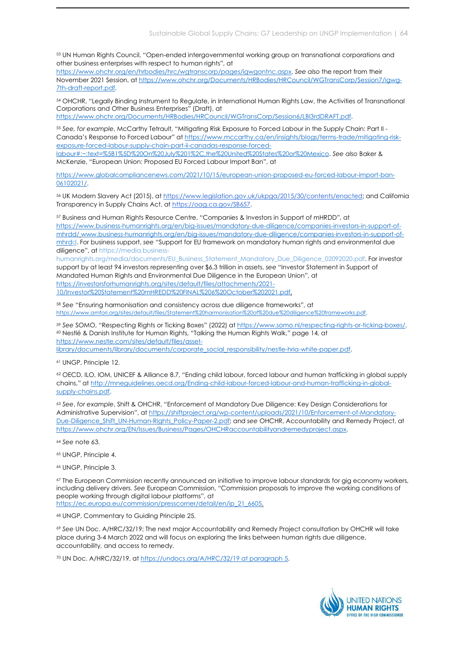<sup>53</sup> UN Human Rights Council, "Open-ended intergovernmental working group on transnational corporations and other business enterprises with respect to human rights", at

https://www.ohchr.org/en/hrbodies/hrc/wgtranscorp/pages/igwgontnc.aspx. See also the report from their November 2021 Session, at https://www.ohchr.org/Documents/HRBodies/HRCouncil/WGTransCorp/Session7/igwg-7th-draft-report.pdf.

<sup>54</sup> OHCHR, "Legally Binding Instrument to Regulate, in International Human Rights Law, the Activities of Transnational Corporations and Other Business Enterprises" (Draft), at

https://www.ohchr.org/Documents/HRBodies/HRCouncil/WGTransCorp/Session6/LBI3rdDRAFT.pdf.

<sup>55</sup> See, for example, McCarthy Tetrault, "Mitigating Risk Exposure to Forced Labour in the Supply Chain: Part II - Canada's Response to Forced Labour" at https://www.mccarthy.ca/en/insights/blogs/terms-trade/mitigating-riskexposure-forced-labour-supply-chain-part-ii-canadas-response-forcedlabour#:~:text=%5B1%5D%20On%20July%201%2C,the%20United%20States%20or%20Mexico. See also Baker &

McKenzie, "European Union: Proposed EU Forced Labour Import Ban", at

https://www.globalcompliancenews.com/2021/10/15/european-union-proposed-eu-forced-labour-import-ban-06102021/.

<sup>56</sup> UK Modern Slavery Act (2015), at https://www.legislation.gov.uk/ukpga/2015/30/contents/enacted; and California Transparency in Supply Chains Act, at https://oag.ca.gov/SB657.

<sup>57</sup> Business and Human Rights Resource Centre, "Companies & Investors in Support of mHRDD", at https://www.business-humanrights.org/en/big-issues/mandatory-due-diligence/companies-investors-in-support-ofmhrdd/ www.business-humanrights.org/en/big-issues/mandatory-due-diligence/companies-investors-in-support-ofmhrdd. For business support, see "Support for EU framework on mandatory human rights and environmental due diligence", at https://media.business-

humanrights.org/media/documents/EU\_Business\_Statement\_Mandatory\_Due\_Diligence\_02092020.pdf. For investor support by at least 94 investors representing over \$6.3 trillion in assets, see "Investor Statement in Support of Mandated Human Rights and Environmental Due Diligence in the European Union", at https://investorsforhumanrights.org/sites/default/files/attachments/2021- 10/Investor%20Statement%20mHREDD%20FINAL%206%20October%202021.pdf.

<sup>58</sup> See "Ensuring harmonisation and consistency across due diligence frameworks", at https://www.amfori.org/sites/default/files/Statement%20harmonisation%20of%20due%20diligence%20frameworks.pdf.

<sup>59</sup> See SOMO, "Respecting Rights or Ticking Boxes" (2022) at https://www.somo.nl/respecting-rights-or-ticking-boxes/. <sup>60</sup> Nestlé & Danish Institute for Human Rights, "Talking the Human Rights Walk," page 14, at https://www.nestle.com/sites/default/files/asset-

library/documents/library/documents/corporate\_social\_responsibility/nestle-hria-white-paper.pdf.

<sup>61</sup> UNGP, Principle 12.

<sup>62</sup> OECD, ILO, IOM, UNICEF & Alliance 8.7, "Ending child labour, forced labour and human trafficking in global supply chains," at http://mneguidelines.oecd.org/Ending-child-labour-forced-labour-and-human-trafficking-in-globalsupply-chains.pdf.

<sup>63</sup> See, for example, Shift & OHCHR, "Enforcement of Mandatory Due Diligence: Key Design Considerations for Administrative Supervision", at https://shiftproject.org/wp-content/uploads/2021/10/Enforcement-of-Mandatory-Due-Diligence Shift UN-Human-Rights Policy-Paper-2.pdf; and see OHCHR, Accountability and Remedy Project, at https://www.ohchr.org/EN/Issues/Business/Pages/OHCHRaccountabilityandremedyproject.aspx.

<sup>64</sup> See note 63.

<sup>65</sup> UNGP, Principle 4.

<sup>66</sup> UNGP, Principle 3.

67 The European Commission recently announced an initiative to improve labour standards for gig economy workers, including delivery drivers. See European Commission, "Commission proposals to improve the working conditions of people working through digital labour platforms", at https://ec.europa.eu/commission/presscorner/detail/en/ip\_21\_6605.

<sup>68</sup> UNGP, Commentary to Guiding Principle 25.

<sup>69</sup> See UN Doc. A/HRC/32/19; The next major Accountability and Remedy Project consultation by OHCHR will take place during 3-4 March 2022 and will focus on exploring the links between human rights due diligence, accountability, and access to remedy.

70 UN Doc. A/HRC/32/19, at https://undocs.org/A/HRC/32/19 at paragraph 5.

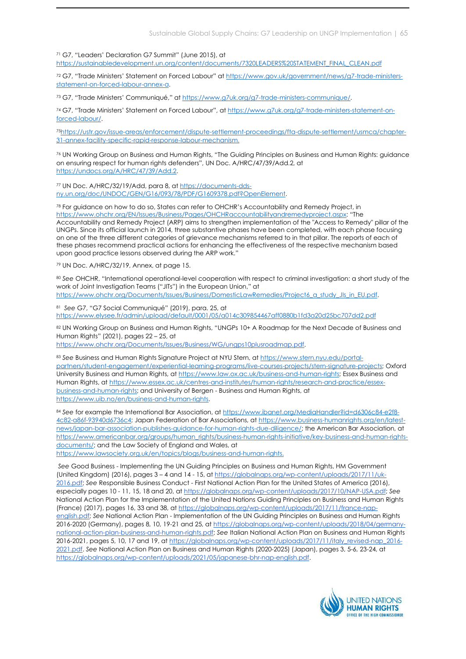<sup>71</sup> G7, "Leaders' Declaration G7 Summit" (June 2015), at https://sustainabledevelopment.un.org/content/documents/7320LEADERS%20STATEMENT\_FINAL\_CLEAN.pdf

72 G7, "Trade Ministers' Statement on Forced Labour" at https://www.gov.uk/government/news/g7-trade-ministersstatement-on-forced-labour-annex-a.

<sup>73</sup> G7, "Trade Ministers' Communiqué," at https://www.g7uk.org/g7-trade-ministers-communique/.

74 G7, "Trade Ministers' Statement on Forced Labour", at https://www.g7uk.org/g7-trade-ministers-statement-onforced-labour/.

75https://ustr.gov/issue-areas/enforcement/dispute-settlement-proceedings/fta-dispute-settlement/usmca/chapter-31-annex-facility-specific-rapid-response-labour-mechanism.

<sup>76</sup> UN Working Group on Business and Human Rights, "The Guiding Principles on Business and Human Rights: guidance on ensuring respect for human rights defenders", UN Doc. A/HRC/47/39/Add.2, at https://undocs.org/A/HRC/47/39/Add.2.

77 UN Doc. A/HRC/32/19/Add, para 8, at https://documents-ddsny.un.org/doc/UNDOC/GEN/G16/093/78/PDF/G1609378.pdf?OpenElement.

78 For guidance on how to do so, States can refer to OHCHR's Accountability and Remedy Project, in https://www.ohchr.org/EN/Issues/Business/Pages/OHCHRaccountabilityandremedyproject.aspx: "The Accountability and Remedy Project (ARP) aims to strengthen implementation of the "Access to Remedy" pillar of the UNGPs. Since its official launch in 2014, three substantive phases have been completed, with each phase focusing on one of the three different categories of grievance mechanisms referred to in that pillar. The reports of each of these phases recommend practical actions for enhancing the effectiveness of the respective mechanism based upon good practice lessons observed during the ARP work."

<sup>79</sup> UN Doc. A/HRC/32/19, Annex, at page 15.

80 See OHCHR, "International operational-level cooperation with respect to criminal investigation: a short study of the work of Joint Investigation Teams ("JITs") in the European Union," at

https://www.ohchr.org/Documents/Issues/Business/DomesticLawRemedies/Project6\_a\_study\_JIs\_in\_EU.pdf.

<sup>81</sup> See G7, "G7 Social Communiqué" (2019), para. 25, at https://www.elysee.fr/admin/upload/default/0001/05/a014c309854467aff0880b1fd3a20d25bc707dd2.pdf

82 UN Working Group on Business and Human Rights, "UNGPs 10+ A Roadmap for the Next Decade of Business and Human Rights" (2021), pages 22 – 25, at

https://www.ohchr.org/Documents/Issues/Business/WG/ungps10plusroadmap.pdf.

83 See Business and Human Rights Signature Project at NYU Stern, at https://www.stern.nyu.edu/portalpartners/student-engagement/experiential-learning-programs/live-courses-projects/stern-signature-projects; Oxford University Business and Human Rights, at https://www.law.ox.ac.uk/business-and-human-rights; Essex Business and Human Rights, at https://www.essex.ac.uk/centres-and-institutes/human-rights/research-and-practice/essexbusiness-and-human-rights; and University of Bergen - Business and Human Rights, at https://www.uib.no/en/business-and-human-rights.

84 See for example the International Bar Association, at https://www.ibanet.org/MediaHandler?id=d6306c84-e2f8-4c82-a86f-93940d6736c4; Japan Federation of Bar Associations, at https://www.business-humanrights.org/en/latestnews/japan-bar-association-publishes-guidance-for-human-rights-due-diligence/; the American Bar Association, at https://www.americanbar.org/groups/human\_rights/business-human-rights-initiative/key-business-and-human-rightsdocuments/; and the Law Society of England and Wales, at

https://www.lawsociety.org.uk/en/topics/blogs/business-and-human-rights.

See Good Business - Implementing the UN Guiding Principles on Business and Human Rights, HM Government (United Kingdom) (2016), pages 3 – 4 and 14 - 15, at https://globalnaps.org/wp-content/uploads/2017/11/uk-2016.pdf; See Responsible Business Conduct - First National Action Plan for the United States of America (2016), especially pages 10 - 11, 15, 18 and 20, at https://globalnaps.org/wp-content/uploads/2017/10/NAP-USA.pdf; See National Action Plan for the Implementation of the United Nations Guiding Principles on Business and Human Rights (France) (2017), pages 16, 33 and 38, at https://globalnaps.org/wp-content/uploads/2017/11/france-napenglish.pdf; See National Action Plan - Implementation of the UN Guiding Principles on Business and Human Rights 2016-2020 (Germany), pages 8, 10, 19-21 and 25, at https://globalnaps.org/wp-content/uploads/2018/04/germanynational-action-plan-business-and-human-rights.pdf; See Italian National Action Plan on Business and Human Rights 2016-2021, pages 5, 10, 17 and 19, at https://globalnaps.org/wp-content/uploads/2017/11/italy\_revised-nap\_2016-2021.pdf. See National Action Plan on Business and Human Rights (2020-2025) (Japan), pages 3, 5-6, 23-24, at https://globalnaps.org/wp-content/uploads/2021/05/japanese-bhr-nap-english.pdf.

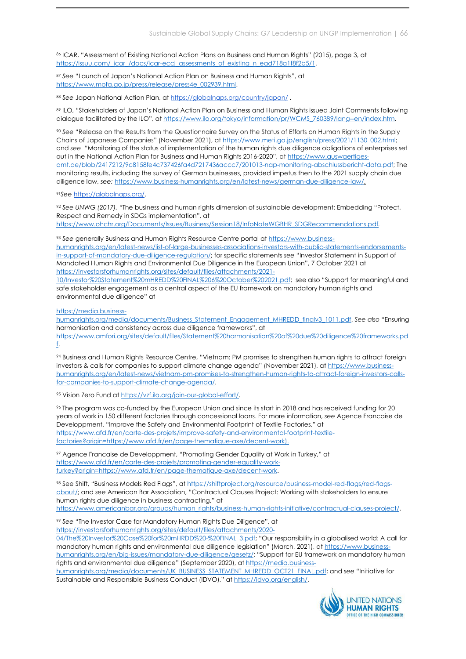86 ICAR, "Assessment of Existing National Action Plans on Business and Human Rights" (2015), page 3, at https://issuu.com/\_icar\_/docs/icar-eccj\_assessments\_of\_existing\_n\_ead718a1f8f2b5/1.

<sup>87</sup> See "Launch of Japan's National Action Plan on Business and Human Rights", at https://www.mofa.go.jp/press/release/press4e\_002939.html.

88 See Japan National Action Plan, at https://globalnaps.org/country/japan/.

89 ILO, "Stakeholders of Japan's National Action Plan on Business and Human Rights issued Joint Comments following dialogue facilitated by the ILO", at https://www.ilo.org/tokyo/information/pr/WCMS\_760389/lang--en/index.htm.

<sup>90</sup> See "Release on the Results from the Questionnaire Survey on the Status of Efforts on Human Rights in the Supply Chains of Japanese Companies" (November 2021), at https://www.meti.go.jp/english/press/2021/1130\_002.html; and see "Monitoring of the status of implementation of the human rights due diligence obligations of enterprises set out in the National Action Plan for Business and Human Rights 2016-2020", at https://www.auswaertigesamt.de/blob/2417212/9c8158fe4c737426fa4d7217436accc7/201013-nap-monitoring-abschlussbericht-data.pdf; The monitoring results, including the survey of German businesses, provided impetus then to the 2021 supply chain due diligence law, see: https://www.business-humanrights.org/en/latest-news/german-due-diligence-law/.

<sup>91</sup>See https://globalnaps.org/.

92 See UNWG (2017), "The business and human rights dimension of sustainable development: Embedding "Protect, Respect and Remedy in SDGs implementation", at https://www.ohchr.org/Documents/Issues/Business/Session18/InfoNoteWGBHR\_SDGRecommendations.pdf.

93 See generally Business and Human Rights Resource Centre portal at https://www.businesshumanrights.org/en/latest-news/list-of-large-businesses-associations-investors-with-public-statements-endorsementsin-support-of-mandatory-due-diligence-regulation/; for specific statements see "Investor Statement in Support of Mandated Human Rights and Environmental Due Diligence in the European Union", 7 October 2021 at https://investorsforhumanrights.org/sites/default/files/attachments/2021-

10/Investor%20Statement%20mHREDD%20FINAL%206%20October%202021.pdf; see also "Support for meaningful and safe stakeholder engagement as a central aspect of the EU framework on mandatory human rights and environmental due diligence" at

https://media.business-

humanrights.org/media/documents/Business\_Statement\_Engagement\_MHREDD\_finalv3\_1011.pdf. See also "Ensuring harmonisation and consistency across due diligence frameworks", at https://www.amfori.org/sites/default/files/Statement%20harmonisation%20of%20due%20diligence%20frameworks.pd f.

<sup>94</sup> Business and Human Rights Resource Centre, "Vietnam: PM promises to strengthen human rights to attract foreign investors & calls for companies to support climate change agenda" (November 2021), at https://www.businesshumanrights.org/en/latest-news/vietnam-pm-promises-to-strengthen-human-rights-to-attract-foreign-investors-callsfor-companies-to-support-climate-change-agenda/.

<sup>95</sup> Vision Zero Fund at https://vzf.ilo.org/join-our-global-effort/.

<sup>96</sup> The program was co-funded by the European Union and since its start in 2018 and has received funding for 20 years of work in 150 different factories through concessional loans. For more information, see Agence Francaise de Developpment, "Improve the Safety and Environmental Footprint of Textile Factories," at https://www.afd.fr/en/carte-des-projets/improve-safety-and-environmental-footprint-textilefactories?origin=https://www.afd.fr/en/page-thematique-axe/decent-work).

<sup>97</sup> Agence Francaise de Developpment, "Promoting Gender Equality at Work in Turkey," at https://www.afd.fr/en/carte-des-projets/promoting-gender-equality-workturkey?origin=https://www.afd.fr/en/page-thematique-axe/decent-work.

98 See Shift, "Business Models Red Flags", at https://shiftproject.org/resource/business-model-red-flags/red-flagsabout/; and see American Bar Association, "Contractual Clauses Project: Working with stakeholders to ensure human rights due diligence in business contracting," at https://www.americanbar.org/groups/human\_rights/business-human-rights-initiative/contractual-clauses-project/.

<sup>99</sup> See "The Investor Case for Mandatory Human Rights Due Diligence", at https://investorsforhumanrights.org/sites/default/files/attachments/2020-

04/The%20Investor%20Case%20for%20mHRDD%20-%20FINAL\_3.pdf; "Our responsibility in a globalised world: A call for mandatory human rights and environmental due diligence legislation" (March, 2021), at https://www.businesshumanrights.org/en/big-issues/mandatory-due-diligence/gesetz/; "Support for EU framework on mandatory human rights and environmental due diligence" (September 2020), at https://media.business-

humanrights.org/media/documents/UK\_BUSINESS\_STATEMENT\_MHREDD\_OCT21\_FINAL.pdf; and see "Initiative for Sustainable and Responsible Business Conduct (IDVO)," at https://idvo.org/english/.

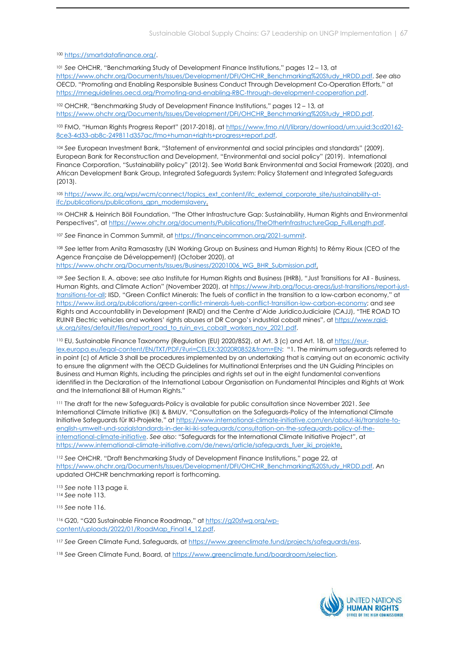#### <sup>100</sup> https://smartdatafinance.org/.

<sup>101</sup> See OHCHR, "Benchmarking Study of Development Finance Institutions," pages 12 – 13, at https://www.ohchr.org/Documents/Issues/Development/DFI/OHCHR\_Benchmarking%20Study\_HRDD.pdf. See also OECD, "Promoting and Enabling Responsible Business Conduct Through Development Co-Operation Efforts," at https://mneguidelines.oecd.org/Promoting-and-enabling-RBC-through-development-cooperation.pdf.

<sup>102</sup> OHCHR, "Benchmarking Study of Development Finance Institutions," pages 12 – 13, at https://www.ohchr.org/Documents/Issues/Development/DFI/OHCHR\_Benchmarking%20Study\_HRDD.pdf.

<sup>103</sup> FMO, "Human Rights Progress Report" (2017-2018), at https://www.fmo.nl/l/library/download/urn:uuid:3cd20162- 8ce3-4d33-ab8c-249811d357ac/fmo+human+rights+progress+report.pdf.

<sup>104</sup> See European Investment Bank, "Statement of environmental and social principles and standards" (2009). European Bank for Reconstruction and Development, "Environmental and social policy" (2019). International Finance Corporation, "Sustainability policy" (2012). See World Bank Environmental and Social Framework (2020), and African Development Bank Group, Integrated Safeguards System: Policy Statement and Integrated Safeguards (2013).

105 https://www.ifc.org/wps/wcm/connect/topics\_ext\_content/ifc\_external\_corporate\_site/sustainability-atifc/publications/publications\_gpn\_modernslavery.

<sup>106</sup> OHCHR & Heinrich Böll Foundation, "The Other Infrastructure Gap: Sustainability, Human Rights and Environmental Perspectives", at https://www.ohchr.org/documents/Publications/TheOtherInfrastructureGap\_FullLength.pdf.

<sup>107</sup> See Finance in Common Summit, at https://financeincommon.org/2021-summit.

<sup>108</sup> See letter from Anita Ramasastry (UN Working Group on Business and Human Rights) to Rémy Rioux (CEO of the Agence Française de Développement) (October 2020), at https://www.ohchr.org/Documents/Issues/Business/20201006\_WG\_BHR\_Submission.pdf.

109 See Section II. A. above; see also Institute for Human Rights and Business (IHRB), "Just Transitions for All - Business, Human Rights, and Climate Action" (November 2020), at https://www.ihrb.org/focus-areas/just-transitions/report-justtransitions-for-all; IISD, "Green Conflict Minerals: The fuels of conflict in the transition to a low-carbon economy," at https://www.iisd.org/publications/green-conflict-minerals-fuels-conflict-transition-low-carbon-economy; and see Rights and Accountability in Development (RAID) and the Centre d'Aide JuridicoJudiciaire (CAJJ), "THE ROAD TO RUIN? Electric vehicles and workers' rights abuses at DR Congo's industrial cobalt mines", at https://www.raiduk.org/sites/default/files/report\_road\_to\_ruin\_evs\_cobalt\_workers\_nov\_2021.pdf.

110 EU, Sustainable Finance Taxonomy (Regulation (EU) 2020/852), at Art. 3 (c) and Art. 18, at https://eurlex.europa.eu/legal-content/EN/TXT/PDF/?uri=CELEX:32020R0852&from=EN: "1. The minimum safeguards referred to in point (c) of Article 3 shall be procedures implemented by an undertaking that is carrying out an economic activity to ensure the alignment with the OECD Guidelines for Multinational Enterprises and the UN Guiding Principles on Business and Human Rights, including the principles and rights set out in the eight fundamental conventions identified in the Declaration of the International Labour Organisation on Fundamental Principles and Rights at Work and the International Bill of Human Rights."

111 The draft for the new Safeguards-Policy is available for public consultation since November 2021. See International Climate Initiative (IKI) & BMUV, "Consultation on the Safeguards-Policy of the International Climate Initiative Safeguards für IKI-Projekte," at https://www.international-climate-initiative.com/en/about-iki/translate-toenglish-umwelt-und-sozialstandards-in-der-iki-iki-safeguards/consultation-on-the-safeguards-policy-of-theinternational-climate-initiative. See also: "Safeguards for the International Climate Initiative Project", at https://www.international-climate-initiative.com/de/news/article/safeguards\_fuer\_iki\_projekte.

<sup>112</sup> See OHCHR, "Draft Benchmarking Study of Development Finance Institutions," page 22, at https://www.ohchr.org/Documents/Issues/Development/DFI/OHCHR\_Benchmarking%20Study\_HRDD.pdf. An updated OHCHR benchmarking report is forthcoming.

<sup>113</sup> See note 113 page ii. <sup>114</sup> See note 113.

<sup>115</sup> See note 116.

116 G20, "G20 Sustainable Finance Roadmap," at https://g20sfwg.org/wpcontent/uploads/2022/01/RoadMap\_Final14\_12.pdf.

117 See Green Climate Fund, Safeguards, at https://www.greenclimate.fund/projects/safeguards/ess.

<sup>118</sup> See Green Climate Fund, Board, at https://www.greenclimate.fund/boardroom/selection.

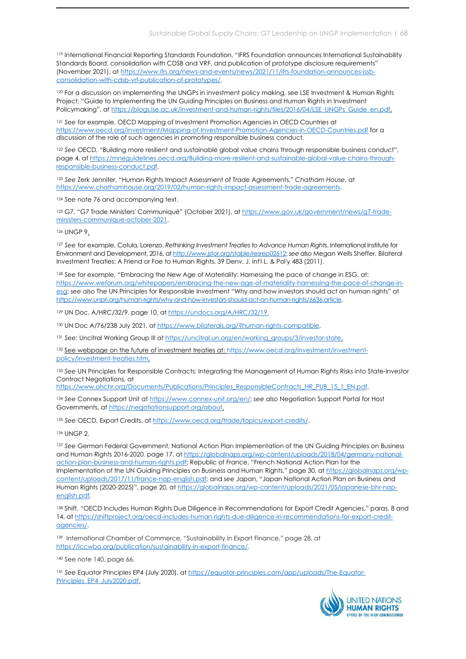<sup>119</sup> International Financial Reporting Standards Foundation, "IFRS Foundation announces International Sustainability Standards Board, consolidation with CDSB and VRF, and publication of prototype disclosure requirements" (November 2021), at https://www.ifrs.org/news-and-events/news/2021/11/ifrs-foundation-announces-issbconsolidation-with-cdsb-vrf-publication-of-prototypes/.

<sup>120</sup> For a discussion on implementing the UNGPs in investment policy making, see LSE Investment & Human Rights Project, "Guide to Implementing the UN Guiding Principles on Business and Human Rights in Investment Policymaking", at https://blogs.lse.ac.uk/investment-and-human-rights/files/2016/04/LSE\_UNGPs\_Guide\_en.pdf.

<sup>121</sup> See for example, OECD Mapping of Investment Promotion Agencies in OECD Countries at https://www.oecd.org/investment/Mapping-of-Investment-Promotion-Agencies-in-OECD-Countries.pdf for a discussion of the role of such agencies in promoting responsible business conduct.

122 See OECD, "Building more resilient and sustainable global value chains through responsible business conduct", page 4, at https://mneguidelines.oecd.org/Building-more-resilient-and-sustainable-global-value-chains-throughresponsible-business-conduct.pdf.

123 See Zerk Jennifer, "Human Rights Impact Assessment of Trade Agreements," Chatham House, at https://www.chathamhouse.org/2019/02/human-rights-impact-assessment-trade-agreements.

<sup>124</sup> See note 76 and accompanying text.

125 G7, "G7 Trade Ministers' Communiqué" (October 2021), at https://www.gov.uk/government/news/g7-tradeministers-communique-october-2021.

<sup>126</sup> UNGP 9.

127 See for example, Cotula, Lorenzo. Rethinking Investment Treaties to Advance Human Rights. International Institute for Environment and Development, 2016, at http://www.jstor.org/stable/resrep02612; see also Megan Wells Sheffer, Bilateral Investment Treaties: A Friend or Foe to Human Rights, 39 Denv. J. Int'l L. & Pol'y 483 (2011).

<sup>128</sup> See for example, "Embracing the New Age of Materiality: Harnessing the pace of change in ESG, at: https://www.weforum.org/whitepapers/embracing-the-new-age-of-materiality-harnessing-the-pace-of-change-inesg; see also The UN Principles for Responsible Investment "Why and how investors should act on human rights" at https://www.unpri.org/human-rights/why-and-how-investors-should-act-on-human-rights/6636.article.

<sup>129</sup> UN Doc. A/HRC/32/9, page 10, at https://undocs.org/A/HRC/32/19.

<sup>130</sup> UN Doc A/76/238 July 2021, at https://www.bilaterals.org/?human-rights-compatible.

131 See: Uncitral Working Group III at https://uncitral.un.org/en/working\_groups/3/investor-state.

132 See webpage on the future of investment treaties at: https://www.oecd.org/investment/investmentpolicy/investment-treaties.htm.

133 See UN Principles for Responsible Contracts: Integrating the Management of Human Rights Risks into State-Investor Contract Negotiations, at

https://www.ohchr.org/Documents/Publications/Principles\_ResponsibleContracts\_HR\_PUB\_15\_1\_EN.pdf.

<sup>134</sup> See Connex Support Unit at https://www.connex-unit.org/en/; see also Negotiation Support Portal for Host Governments, at https://negotiationsupport.org/about.

135 See OECD, Export Credits, at https://www.oecd.org/trade/topics/export-credits/.

<sup>136</sup> UNGP 2.

137 See German Federal Government, National Action Plan Implementation of the UN Guiding Principles on Business and Human Rights 2016-2020, page 17, at https://globalnaps.org/wp-content/uploads/2018/04/germany-nationalaction-plan-business-and-human-rights.pdf; Republic of France, "French National Action Plan for the Implementation of the UN Guiding Principles on Business and Human Rights," page 30, at https://globalnaps.org/wpcontent/uploads/2017/11/france-nap-english.pdf; and see Japan, "Japan National Action Plan on Business and Human Rights (2020-2025)", page 20, at https://globalnaps.org/wp-content/uploads/2021/05/japanese-bhr-napenglish.pdf.

<sup>138</sup> Shift, "OECD Includes Human Rights Due Diligence in Recommendations for Export Credit Agencies," paras. 8 and 14, at https://shiftproject.org/oecd-includes-human-rights-due-diligence-in-recommendations-for-export-creditagencies/.

139 International Chamber of Commerce, "Sustainability in Export Finance," page 28, at https://iccwbo.org/publication/sustainability-in-export-finance/.

140 See note 140, page 66.

<sup>141</sup> See Equator Principles EP4 (July 2020), at https://equator-principles.com/app/uploads/The-Equator-Principles\_EP4\_July2020.pdf.

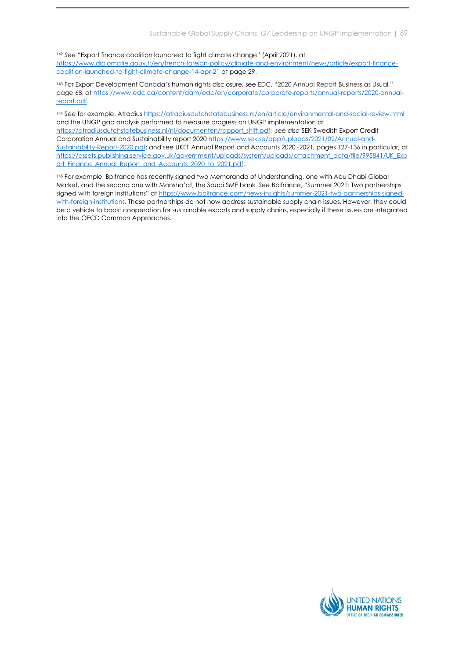<sup>142</sup> See "Export finance coalition launched to fight climate change" (April 2021), at https://www.diplomatie.gouv.fr/en/french-foreign-policy/climate-and-environment/news/article/export-financecoalition-launched-to-fight-climate-change-14-apr-21 at page 29.

<sup>143</sup> For Export Development Canada's human rights disclosure, see EDC, "2020 Annual Report Business as Usual," page 68, at https://www.edc.ca/content/dam/edc/en/corporate/corporate-reports/annual-reports/2020-annualreport.pdf.

<sup>144</sup> See for example, Atradius https://atradiusdutchstatebusiness.nl/en/article/environmental-and-social-review.html and the UNGP gap analysis performed to measure progress on UNGP implementation at https://atradiusdutchstatebusiness.nl/nl/documenten/rapport\_shift.pdf; see also SEK Swedish Export Credit Corporation Annual and Sustainability report 2020 https://www.sek.se/app/uploads/2021/02/Annual-and-Sustainability-Report-2020.pdf; and see UKEF Annual Report and Accounts 2020 -2021, pages 127-136 in particular, at https://assets.publishing.service.gov.uk/government/uploads/system/uploads/attachment\_data/file/995841/UK\_Exp ort\_Finance\_Annual\_Report\_and\_Accounts\_2020\_to\_2021.pdf.

<sup>145</sup> For example, Bpifrance has recently signed two Memoranda of Understanding, one with Abu Dhabi Global Market, and the second one with Monsha'at, the Saudi SME bank. See Bpifrance, "Summer 2021: Two partnerships signed with foreign institutions" at https://www.bpifrance.com/news-insights/summer-2021-two-partnerships-signedwith-foreign-institutions. These partnerships do not now address sustainable supply chain issues. However, they could be a vehicle to boost cooperation for sustainable exports and supply chains, especially if these issues are integrated into the OECD Common Approaches.